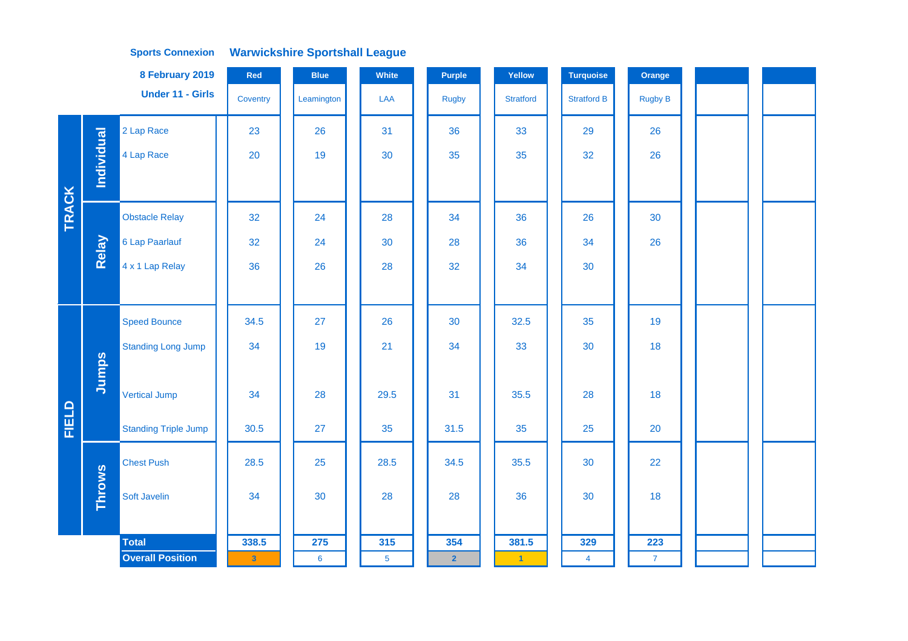|              |               | 8 February 2019             | Red          | <b>Blue</b>     | White          | <b>Purple</b>  | Yellow               | <b>Turquoise</b>   | Orange         |  |  |
|--------------|---------------|-----------------------------|--------------|-----------------|----------------|----------------|----------------------|--------------------|----------------|--|--|
|              |               | <b>Under 11 - Girls</b>     | Coventry     | Leamington      | LAA            | <b>Rugby</b>   | <b>Stratford</b>     | <b>Stratford B</b> | <b>Rugby B</b> |  |  |
|              |               | 2 Lap Race                  | 23           | 26              | 31             | 36             | 33                   | 29                 | 26             |  |  |
|              | Individual    | 4 Lap Race                  | 20           | 19              | 30             | 35             | 35                   | 32                 | 26             |  |  |
|              |               |                             |              |                 |                |                |                      |                    |                |  |  |
| <b>TRACK</b> |               | <b>Obstacle Relay</b>       | 32           | 24              | 28             | 34             | 36                   | 26                 | 30             |  |  |
|              | Relay         | 6 Lap Paarlauf              | 32           | 24              | 30             | 28             | 36                   | 34                 | 26             |  |  |
|              |               | 4 x 1 Lap Relay             | 36           | 26              | 28             | 32             | 34                   | 30                 |                |  |  |
|              |               |                             |              |                 |                |                |                      |                    |                |  |  |
|              |               | <b>Speed Bounce</b>         | 34.5         | 27              | 26             | 30             | 32.5                 | 35                 | 19             |  |  |
|              |               | <b>Standing Long Jump</b>   | 34           | 19              | 21             | 34             | 33                   | 30                 | 18             |  |  |
|              | Jumps         |                             |              |                 |                |                |                      |                    |                |  |  |
|              |               | <b>Vertical Jump</b>        | 34           | 28              | 29.5           | 31             | 35.5                 | 28                 | 18             |  |  |
| FIELD        |               | <b>Standing Triple Jump</b> | 30.5         | 27              | 35             | 31.5           | 35                   | 25                 | 20             |  |  |
|              |               | <b>Chest Push</b>           | 28.5         | 25              | 28.5           | 34.5           | 35.5                 | 30                 | 22             |  |  |
|              | <b>Throws</b> | Soft Javelin                | 34           | 30              | 28             | 28             | 36                   | 30                 | 18             |  |  |
|              |               |                             |              |                 |                |                |                      |                    |                |  |  |
|              |               | <b>Total</b>                | 338.5        | 275             | 315            | 354            | 381.5                | 329                | 223            |  |  |
|              |               | <b>Overall Position</b>     | $\mathbf{3}$ | $6\phantom{1}6$ | 5 <sub>5</sub> | 2 <sup>2</sup> | $\blacktriangleleft$ | $\overline{4}$     | $\overline{7}$ |  |  |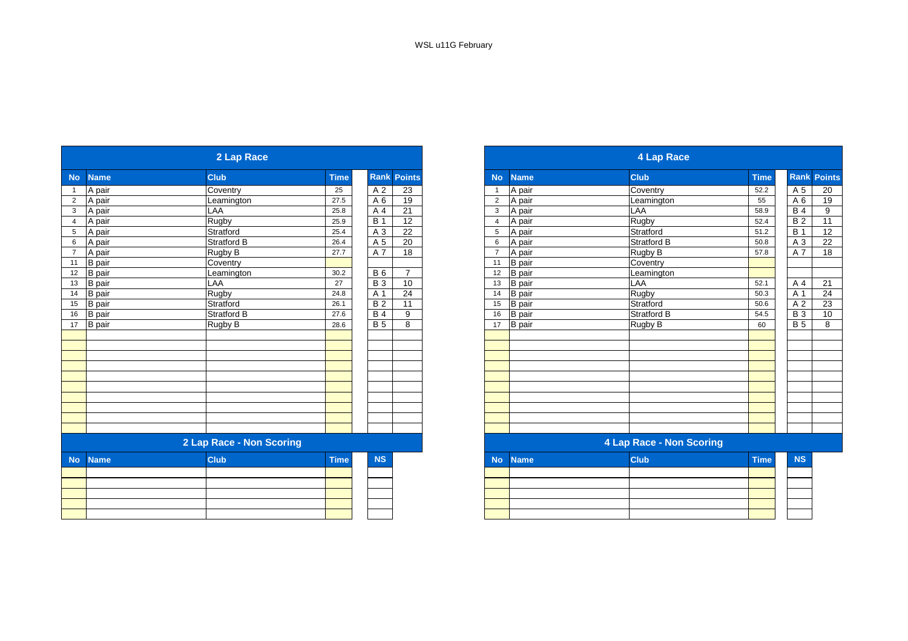|                |               | 2 Lap Race               |             |                 | 4 Lap Race      |                |               |                                 |             |                  |
|----------------|---------------|--------------------------|-------------|-----------------|-----------------|----------------|---------------|---------------------------------|-------------|------------------|
| <b>No</b>      | <b>Name</b>   | <b>Club</b>              | <b>Time</b> | Rank            | <b>Points</b>   | <b>No</b>      | <b>Name</b>   | <b>Club</b>                     | <b>Time</b> | <b>Rank Poil</b> |
|                | A pair        | Coventry                 | 25          | A 2             | $\overline{23}$ | $\overline{1}$ | A pair        | Coventry                        | 52.2        | A 5              |
| $\overline{2}$ | A pair        | Leamington               | 27.5        | A 6             | 19              | $\overline{2}$ | A pair        | Leamington                      | 55          | A 6              |
| 3 <sup>7</sup> | A pair        | LAA                      | 25.8        | A 4             | 21              | 3              | A pair        | <b>LAA</b>                      | 58.9        | <b>B</b> 4       |
| $\overline{4}$ | A pair        | Rugby                    | 25.9        | <b>B</b> 1      | 12              | $\overline{4}$ | A pair        | Rugby                           | 52.4        | B <sub>2</sub>   |
|                | A pair        | Stratford                | 25.4        | A 3             | 22              | 5              | A pair        | Stratford                       | 51.2        | <b>B</b> 1       |
|                | A pair        | <b>Stratford B</b>       | 26.4        | A 5             | $\overline{20}$ | 6              | A pair        | Stratford B                     | 50.8        | A 3              |
|                | A pair        | Rugby B                  | 27.7        | A 7             | $\overline{18}$ | $\overline{7}$ | A pair        | Rugby B                         | 57.8        | A 7              |
| 11             | B pair        | Coventry                 |             |                 |                 | 11             | <b>B</b> pair | Coventry                        |             |                  |
| 12             | B pair        | Leamington               | 30.2        | <b>B6</b>       | $\overline{7}$  | 12             | <b>B</b> pair | Leamington                      |             |                  |
| 13             | B pair        | LAA                      | 27          | <b>B3</b>       | 10              | 13             | <b>B</b> pair | LAA                             | 52.1        | A 4              |
|                | <b>B</b> pair | Rugby                    | 24.8        | A 1             | $\overline{24}$ | 14             | <b>B</b> pair | Rugby                           | 50.3        | A 1              |
|                | <b>B</b> pair | Stratford                | 26.1        | $\overline{B2}$ | 11              | 15             | <b>B</b> pair | Stratford                       | 50.6        | A 2              |
|                | <b>B</b> pair | Stratford B              | 27.6        | <b>B4</b>       | 9               | 16             | <b>B</b> pair | Stratford B                     | 54.5        | <b>B</b> 3       |
|                | B pair        | Rugby B                  | 28.6        | B <sub>5</sub>  | 8               | 17             | <b>B</b> pair | <b>Rugby B</b>                  | 60          | $\overline{B}$   |
|                |               |                          |             |                 |                 |                |               |                                 |             |                  |
|                |               | 2 Lap Race - Non Scoring |             |                 |                 |                |               | <b>4 Lap Race - Non Scoring</b> |             |                  |
| <b>No</b>      | <b>Name</b>   | <b>Club</b>              | <b>Time</b> | <b>NS</b>       |                 | <b>No</b>      | <b>Name</b>   | <b>Club</b>                     | <b>Time</b> | <b>NS</b>        |
|                |               |                          |             |                 |                 |                |               |                                 |             |                  |
|                |               |                          |             |                 |                 |                |               |                                 |             |                  |
|                |               |                          |             |                 |                 |                |               |                                 |             |                  |
|                |               |                          |             |                 |                 |                |               |                                 |             |                  |
|                |               |                          |             |                 |                 |                |               |                                 |             |                  |

|                 |               | 2 Lap Race               |             |            |                | <b>4 Lap Race</b> |               |                          |             |                 |                    |
|-----------------|---------------|--------------------------|-------------|------------|----------------|-------------------|---------------|--------------------------|-------------|-----------------|--------------------|
| No              | <b>Name</b>   | <b>Club</b>              | <b>Time</b> | Rank       | <b>Points</b>  | <b>No</b>         | <b>Name</b>   | <b>Club</b>              | <b>Time</b> |                 | <b>Rank Points</b> |
|                 | A pair        | Coventry                 | 25          | A 2        | 23             |                   | A pair        | Coventry                 | 52.2        | A 5             | 20                 |
| $\overline{2}$  | A pair        | Leamington               | 27.5        | A 6        | 19             | $\overline{2}$    | A pair        | Leamington               | 55          | A <sub>6</sub>  | 19                 |
| $\mathbf{3}$    | A pair        | LAA                      | 25.8        | A 4        | 21             | 3                 | A pair        | LAA                      | 58.9        | <b>B4</b>       | 9                  |
| $\overline{4}$  | A pair        | Rugby                    | 25.9        | <b>B</b> 1 | 12             | $\overline{4}$    | A pair        | <b>Rugby</b>             | 52.4        | $\overline{B2}$ | 11                 |
| $\sqrt{5}$      | A pair        | Stratford                | 25.4        | A 3        | 22             | 5                 | A pair        | Stratford                | 51.2        | <b>B</b> 1      | 12                 |
| $6\phantom{1}6$ | A pair        | Stratford B              | 26.4        | A 5        | 20             | 6                 | A pair        | <b>Stratford B</b>       | 50.8        | A 3             | 22                 |
| $\overline{7}$  | A pair        | Rugby B                  | 27.7        | A 7        | 18             | $\overline{7}$    | A pair        | Rugby B                  | 57.8        | A 7             | 18                 |
| 11              | <b>B</b> pair | Coventry                 |             |            |                | 11                | <b>B</b> pair | Coventry                 |             |                 |                    |
| 12              | B pair        | Leamington               | 30.2        | <b>B</b> 6 | $\overline{7}$ | 12                | <b>B</b> pair | Leamington               |             |                 |                    |
| 13              | B pair        | LAA                      | 27          | <b>B</b> 3 | 10             | 13                | <b>B</b> pair | LAA                      | 52.1        | A 4             | 21                 |
| $14$            | <b>B</b> pair | Rugby                    | 24.8        | A 1        | 24             | 14                | <b>B</b> pair | Rugby                    | 50.3        | A 1             | 24                 |
| 15              | B pair        | Stratford                | 26.1        | <b>B2</b>  | 11             | 15                | <b>B</b> pair | Stratford                | 50.6        | A 2             | 23                 |
| 16              | <b>B</b> pair | Stratford B              | 27.6        | <b>B</b> 4 | 9              | 16                | <b>B</b> pair | Stratford B              | 54.5        | <b>B3</b>       | 10                 |
| 17              | <b>B</b> pair | Rugby B                  | 28.6        | <b>B</b> 5 | 8              | 17                | <b>B</b> pair | Rugby B                  | 60          | <b>B</b> 5      | 8                  |
|                 |               |                          |             |            |                |                   |               |                          |             |                 |                    |
|                 |               |                          |             |            |                |                   |               |                          |             |                 |                    |
|                 |               |                          |             |            |                |                   |               |                          |             |                 |                    |
|                 |               |                          |             |            |                |                   |               |                          |             |                 |                    |
|                 |               |                          |             |            |                |                   |               |                          |             |                 |                    |
|                 |               |                          |             |            |                |                   |               |                          |             |                 |                    |
|                 |               |                          |             |            |                |                   |               |                          |             |                 |                    |
|                 |               |                          |             |            |                |                   |               |                          |             |                 |                    |
|                 |               |                          |             |            |                |                   |               |                          |             |                 |                    |
|                 |               |                          |             |            |                |                   |               |                          |             |                 |                    |
|                 |               | 2 Lap Race - Non Scoring |             |            |                |                   |               | 4 Lap Race - Non Scoring |             |                 |                    |
| No l            | <b>Name</b>   | <b>Club</b>              | <b>Time</b> | <b>NS</b>  |                | <b>No</b>         | <b>Name</b>   | <b>Club</b>              | <b>Time</b> | <b>NS</b>       |                    |

| . | . | ______ | ------- |  |
|---|---|--------|---------|--|
|   |   |        |         |  |
|   |   |        |         |  |
|   |   |        |         |  |
|   |   |        |         |  |
|   |   |        |         |  |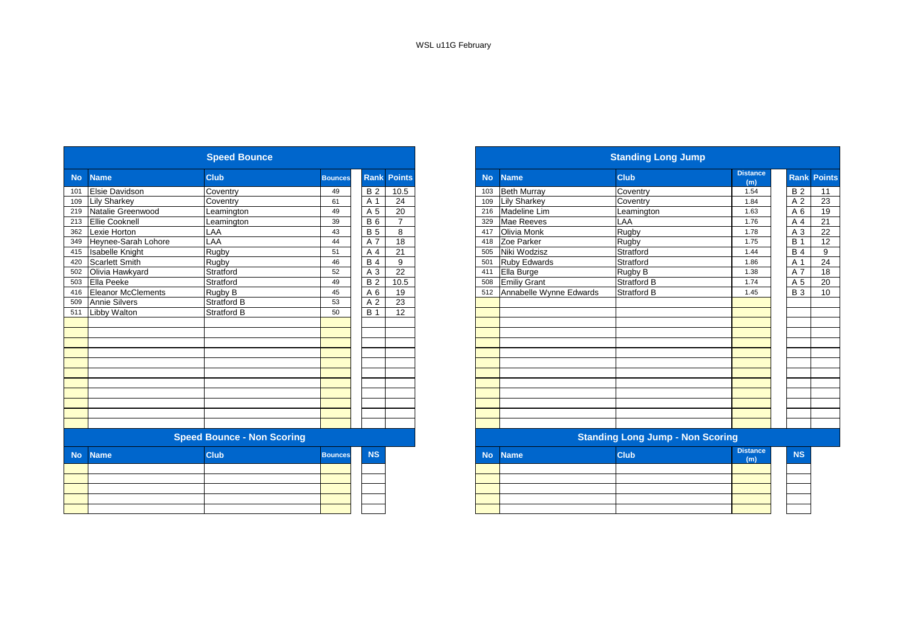|           |                                   | <b>Speed Bounce</b> |                |                |                    |           | <b>Standing Long Jump</b>               |                    |                        |  |  |  |  |
|-----------|-----------------------------------|---------------------|----------------|----------------|--------------------|-----------|-----------------------------------------|--------------------|------------------------|--|--|--|--|
| <b>No</b> | <b>Name</b>                       | <b>Club</b>         | <b>Bounces</b> |                | <b>Rank Points</b> | <b>No</b> | <b>Name</b>                             | <b>Club</b>        | <b>Distance</b><br>(m) |  |  |  |  |
| 101       | <b>Elsie Davidson</b>             | Coventry            | 49             | <b>B2</b>      | 10.5               | 103       | <b>Beth Murray</b>                      | Coventry           | 1.54                   |  |  |  |  |
| 109       | <b>Lily Sharkey</b>               | Coventry            | 61             | A 1            | 24                 | 109       | <b>Lily Sharkey</b>                     | Coventry           | 1.84                   |  |  |  |  |
| 219       | Natalie Greenwood                 | Leamington          | 49             | A 5            | 20                 | 216       | <b>Madeline Lim</b>                     | Leamington         | 1.63                   |  |  |  |  |
| 213       | <b>Ellie Cooknell</b>             | Leamington          | 39             | <b>B6</b>      | $\overline{7}$     | 329       | Mae Reeves                              | LAA                | 1.76                   |  |  |  |  |
| 362       | Lexie Horton                      | LAA                 | 43             | <b>B</b> 5     | 8                  | 417       | Olivia Monk                             | Rugby              | 1.78                   |  |  |  |  |
| 349       | Heynee-Sarah Lohore               | LAA                 | 44             | A 7            | $\overline{18}$    | 418       | Zoe Parker                              | Rugby              | 1.75                   |  |  |  |  |
| 415       | <b>Isabelle Knight</b>            | Rugby               | 51             | A 4            | 21                 | 505       | Niki Wodzisz                            | Stratford          | 1.44                   |  |  |  |  |
| 420       | <b>Scarlett Smith</b>             | <b>Rugby</b>        | 46             | <b>B4</b>      | 9                  | 501       | <b>Ruby Edwards</b>                     | Stratford          | 1.86                   |  |  |  |  |
| 502       | Olivia Hawkyard                   | Stratford           | 52             | A 3            | 22                 | 411       | Ella Burge                              | Rugby B            | 1.38                   |  |  |  |  |
| 503       | Ella Peeke                        | Stratford           | 49             | <b>B2</b>      | 10.5               | 508       | <b>Emiliy Grant</b>                     | Stratford B        | 1.74                   |  |  |  |  |
| 416       | <b>Eleanor McClements</b>         | Rugby B             | 45             | A 6            | 19                 | 512       | Annabelle Wynne Edwards                 | <b>Stratford B</b> | 1.45                   |  |  |  |  |
| 509       | <b>Annie Silvers</b>              | <b>Stratford B</b>  | 53             | A <sub>2</sub> | 23                 |           |                                         |                    |                        |  |  |  |  |
| 511       | <b>Libby Walton</b>               | <b>Stratford B</b>  | 50             | <b>B</b> 1     | 12                 |           |                                         |                    |                        |  |  |  |  |
|           |                                   |                     |                |                |                    |           |                                         |                    |                        |  |  |  |  |
|           |                                   |                     |                |                |                    |           |                                         |                    |                        |  |  |  |  |
|           |                                   |                     |                |                |                    |           |                                         |                    |                        |  |  |  |  |
|           |                                   |                     |                |                |                    |           |                                         |                    |                        |  |  |  |  |
|           |                                   |                     |                |                |                    |           |                                         |                    |                        |  |  |  |  |
|           |                                   |                     |                |                |                    |           |                                         |                    |                        |  |  |  |  |
|           |                                   |                     |                |                |                    |           |                                         |                    |                        |  |  |  |  |
|           |                                   |                     |                |                |                    |           |                                         |                    |                        |  |  |  |  |
|           |                                   |                     |                |                |                    |           |                                         |                    |                        |  |  |  |  |
|           |                                   |                     |                |                |                    |           |                                         |                    |                        |  |  |  |  |
|           |                                   |                     |                |                |                    |           |                                         |                    |                        |  |  |  |  |
|           | <b>Speed Bounce - Non Scoring</b> |                     |                |                |                    |           | <b>Standing Long Jump - Non Scoring</b> |                    |                        |  |  |  |  |
| <b>No</b> | <b>Name</b>                       | <b>Club</b>         | <b>Bounces</b> | <b>NS</b>      |                    | <b>No</b> | <b>Name</b>                             | <b>Club</b>        | <b>Distance</b><br>(m) |  |  |  |  |
|           |                                   |                     |                |                |                    |           |                                         |                    |                        |  |  |  |  |
|           |                                   |                     |                |                |                    |           |                                         |                    |                        |  |  |  |  |
|           |                                   |                     |                |                |                    |           |                                         |                    |                        |  |  |  |  |
|           |                                   |                     |                |                |                    |           |                                         |                    |                        |  |  |  |  |
|           |                                   |                     |                |                |                    |           |                                         |                    |                        |  |  |  |  |

|           |                           |                                   |                |                | <b>Standing Long Jump</b> |           |                         |                                         |                        |             |               |  |
|-----------|---------------------------|-----------------------------------|----------------|----------------|---------------------------|-----------|-------------------------|-----------------------------------------|------------------------|-------------|---------------|--|
| <b>No</b> | <b>Name</b>               | <b>Club</b>                       | <b>Bounces</b> | <b>Rank</b>    | <b>Points</b>             | <b>No</b> | <b>Name</b>             | <b>Club</b>                             | <b>Distance</b><br>(m) | <b>Rank</b> | <b>Points</b> |  |
| 101       | <b>Elsie Davidson</b>     | Coventry                          | 49             | <b>B2</b>      | 10.5                      | 103       | <b>Beth Murray</b>      | Coventry                                | 1.54                   | <b>B2</b>   | 11            |  |
| 109       | <b>Lily Sharkey</b>       | Coventry                          | 61             | A 1            | 24                        | 109       | <b>Lily Sharkey</b>     | Coventry                                | 1.84                   | A 2         | 23            |  |
| 219       | Natalie Greenwood         | Leamington                        | 49             | A 5            | 20                        | 216       | Madeline Lim            | Leamington                              | 1.63                   | A 6         | 19            |  |
| 213       | Ellie Cooknell            | Leamington                        | 39             | <b>B</b> 6     | $\overline{7}$            | 329       | Mae Reeves              | LAA                                     | 1.76                   | A 4         | 21            |  |
| 362       | Lexie Horton              | LAA                               | 43             | <b>B</b> 5     | 8                         | 417       | Olivia Monk             | Rugby                                   | 1.78                   | A 3         | 22            |  |
| 349       | Heynee-Sarah Lohore       | LAA                               | 44             | A 7            | 18                        | 418       | Zoe Parker              | Rugby                                   | 1.75                   | <b>B</b> 1  | 12            |  |
| 415       | <b>Isabelle Knight</b>    | Rugby                             | 51             | A <sub>4</sub> | 21                        | 505       | Niki Wodzisz            | Stratford                               | 1.44                   | <b>B</b> 4  | 9             |  |
| 420       | <b>Scarlett Smith</b>     | Rugby                             | 46             | <b>B</b> 4     | 9                         | 501       | <b>Ruby Edwards</b>     | Stratford                               | 1.86                   | A 1         | 24            |  |
| 502       | Olivia Hawkyard           | Stratford                         | 52             | A 3            | 22                        | 411       | Ella Burge              | Rugby B                                 | 1.38                   | A 7         | 18            |  |
| 503       | Ella Peeke                | Stratford                         | 49             | <b>B2</b>      | 10.5                      | 508       | <b>Emiliy Grant</b>     | Stratford B                             | 1.74                   | A 5         | 20            |  |
| 416       | <b>Eleanor McClements</b> | Rugby B                           | 45             | A 6            | 19                        | 512       | Annabelle Wynne Edwards | Stratford B                             | 1.45                   | <b>B</b> 3  | 10            |  |
| 509       | <b>Annie Silvers</b>      | <b>Stratford B</b>                | 53             | A 2            | 23                        |           |                         |                                         |                        |             |               |  |
| 511       | Libby Walton              | <b>Stratford B</b>                | 50             | <b>B</b> 1     | $\overline{12}$           |           |                         |                                         |                        |             |               |  |
|           |                           |                                   |                |                |                           |           |                         |                                         |                        |             |               |  |
|           |                           |                                   |                |                |                           |           |                         |                                         |                        |             |               |  |
|           |                           |                                   |                |                |                           |           |                         |                                         |                        |             |               |  |
|           |                           |                                   |                |                |                           |           |                         |                                         |                        |             |               |  |
|           |                           |                                   |                |                |                           |           |                         |                                         |                        |             |               |  |
|           |                           |                                   |                |                |                           |           |                         |                                         |                        |             |               |  |
|           |                           |                                   |                |                |                           |           |                         |                                         |                        |             |               |  |
|           |                           |                                   |                |                |                           |           |                         |                                         |                        |             |               |  |
|           |                           |                                   |                |                |                           |           |                         |                                         |                        |             |               |  |
|           |                           |                                   |                |                |                           |           |                         |                                         |                        |             |               |  |
|           |                           |                                   |                |                |                           |           |                         |                                         |                        |             |               |  |
|           |                           | <b>Speed Bounce - Non Scoring</b> |                |                |                           |           |                         | <b>Standing Long Jump - Non Scoring</b> |                        |             |               |  |
| <b>No</b> | <b>Name</b>               | Club                              | <b>Bounces</b> | <b>NS</b>      |                           | <b>No</b> | <b>Name</b>             | <b>Club</b>                             | <b>Distance</b><br>(m) | <b>NS</b>   |               |  |
|           |                           |                                   |                |                |                           |           |                         |                                         |                        |             |               |  |
|           |                           |                                   |                |                |                           |           |                         |                                         |                        |             |               |  |
|           |                           |                                   |                |                |                           |           |                         |                                         |                        |             |               |  |
|           |                           |                                   |                |                |                           |           |                         |                                         |                        |             |               |  |
|           |                           |                                   |                |                |                           |           |                         |                                         |                        |             |               |  |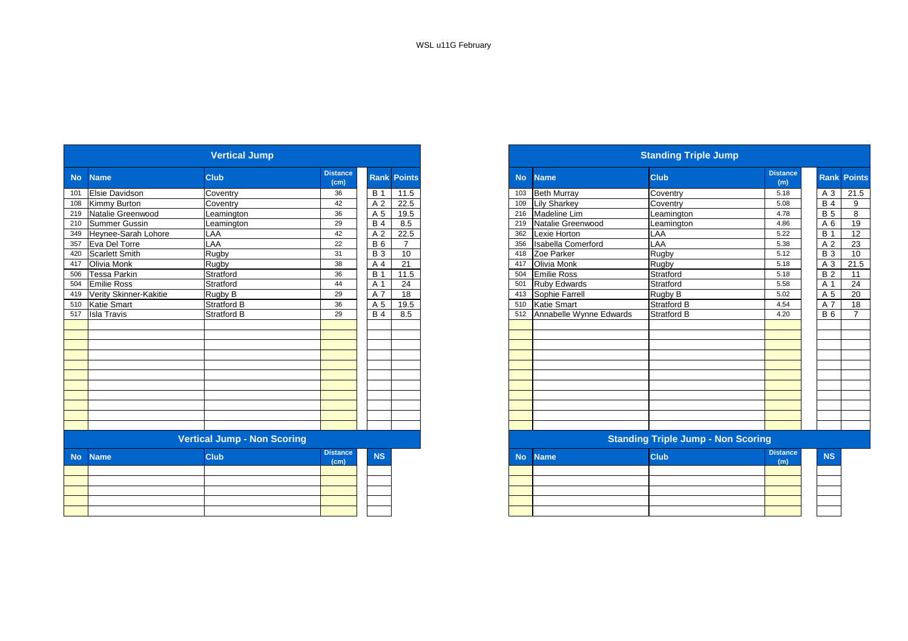|           |                        | <b>Vertical Jump</b>               |                         |                |                    |
|-----------|------------------------|------------------------------------|-------------------------|----------------|--------------------|
| <b>No</b> | <b>Name</b>            | <b>Club</b>                        | <b>Distance</b><br>(cm) |                | <b>Rank Points</b> |
| 101       | Elsie Davidson         | Coventry                           | 36                      | <b>B</b> 1     | 11.5               |
| 108       | Kimmy Burton           | Coventry                           | 42                      | A <sub>2</sub> | 22.5               |
| 219       | Natalie Greenwood      | Leamington                         | 36                      | A 5            | 19.5               |
| 210       | <b>Summer Gussin</b>   | Leamington                         | 29                      | <b>B4</b>      | 8.5                |
| 349       | Heynee-Sarah Lohore    | LAA                                | 42                      | A <sub>2</sub> | 22.5               |
| 357       | Eva Del Torre          | LAA                                | 22                      | <b>B</b> 6     | 7                  |
| 420       | <b>Scarlett Smith</b>  | Rugby                              | 31                      | <b>B3</b>      | 10                 |
| 417       | Olivia Monk            | Rugby                              | 38                      | A 4            | 21                 |
| 506       | Tessa Parkin           | Stratford                          | 36                      | <b>B</b> 1     | 11.5               |
| 504       | <b>Emilie Ross</b>     | Stratford                          | 44                      | A 1            | 24                 |
| 419       | Verity Skinner-Kakitie | Rugby B                            | 29                      | A 7            | 18                 |
| 510       | <b>Katie Smart</b>     | <b>Stratford B</b>                 | 36                      | A 5            | 19.5               |
| 517       | <b>Isla Travis</b>     | <b>Stratford B</b>                 | 29                      | <b>B4</b>      | 8.5                |
|           |                        |                                    |                         |                |                    |
|           |                        |                                    |                         |                |                    |
|           |                        |                                    |                         |                |                    |
|           |                        |                                    |                         |                |                    |
|           |                        |                                    |                         |                |                    |
|           |                        |                                    |                         |                |                    |
|           |                        |                                    |                         |                |                    |
|           |                        |                                    |                         |                |                    |
|           |                        |                                    |                         |                |                    |
|           |                        |                                    |                         |                |                    |
|           |                        |                                    |                         |                |                    |
|           |                        | <b>Vertical Jump - Non Scoring</b> |                         |                |                    |
| <b>No</b> | <b>Name</b>            | <b>Club</b>                        | <b>Distance</b><br>(cm) | <b>NS</b>      |                    |
|           |                        |                                    |                         |                |                    |
|           |                        |                                    |                         |                |                    |
|           |                        |                                    |                         |                |                    |
|           |                        |                                    |                         |                |                    |
|           |                        |                                    |                         |                |                    |

|                            | <b>Vertical Jump</b>               |                         |            |                    |
|----------------------------|------------------------------------|-------------------------|------------|--------------------|
| <b>Name</b>                | <b>Club</b>                        | <b>Distance</b><br>(cm) |            | <b>Rank Points</b> |
| Elsie Davidson             | Coventry                           | 36                      | <b>B</b> 1 | 11.5               |
| <b>Kimmy Burton</b>        | Coventry                           | 42                      | A 2        | 22.5               |
| Natalie Greenwood          | Leamington                         | 36                      | A 5        | 19.5               |
| 210 Summer Gussin          | Leamington                         | 29                      | <b>B</b> 4 | 8.5                |
| 349 Heynee-Sarah Lohore    | LAA                                | 42                      | A 2        | 22.5               |
| 357 Eva Del Torre          | LAA                                | 22                      | <b>B</b> 6 | $\overline{7}$     |
| <b>Scarlett Smith</b>      | Rugby                              | 31                      | <b>B</b> 3 | 10                 |
| Olivia Monk                | Rugby                              | 38                      | A 4        | 21                 |
| <b>Tessa Parkin</b>        | Stratford                          | 36                      | <b>B</b> 1 | 11.5               |
| <b>Emilie Ross</b>         | Stratford                          | 44                      | A 1        | 24                 |
| 419 Verity Skinner-Kakitie | Rugby B                            | 29                      | A 7        | 18                 |
| 510<br><b>Katie Smart</b>  | <b>Stratford B</b>                 | 36                      | A 5        | 19.5               |
| 517 Isla Travis            | <b>Stratford B</b>                 | 29                      | <b>B</b> 4 | 8.5                |
|                            |                                    |                         |            |                    |
|                            |                                    |                         |            |                    |
|                            |                                    |                         |            |                    |
|                            |                                    |                         |            |                    |
|                            |                                    |                         |            |                    |
|                            |                                    |                         |            |                    |
|                            |                                    |                         |            |                    |
|                            |                                    |                         |            |                    |
|                            |                                    |                         |            |                    |
|                            |                                    |                         |            |                    |
|                            |                                    |                         |            |                    |
|                            | <b>Vertical Jump - Non Scoring</b> |                         |            |                    |
| <b>No</b><br><b>Name</b>   | <b>Club</b>                        | <b>Distance</b><br>(cm) | <b>NS</b>  |                    |
|                            |                                    |                         |            |                    |
|                            |                                    |                         |            |                    |
|                            |                                    |                         |            |                    |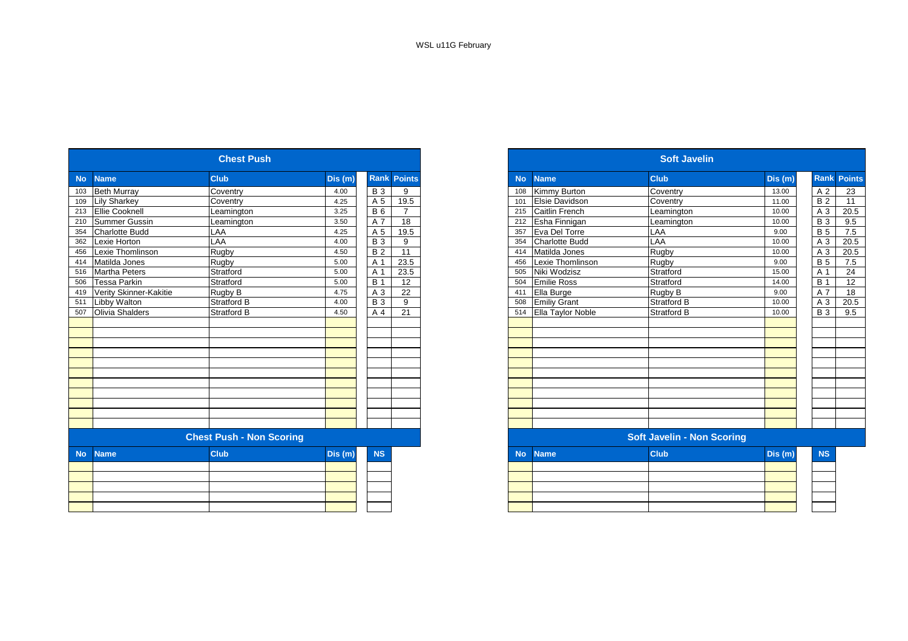| <b>No</b>                       | <b>Name</b>            | <b>Club</b>        | Dis (m) |                  | <b>Rank Points</b> |  |
|---------------------------------|------------------------|--------------------|---------|------------------|--------------------|--|
| 103                             | <b>Beth Murray</b>     | Coventry           | 4.00    | <b>B3</b>        | 9                  |  |
| 109                             | <b>Lily Sharkey</b>    | Coventry           | 4.25    | A 5              | 19.5               |  |
| 213                             | <b>Ellie Cooknell</b>  | Leamington         | 3.25    | $B_6$            | $\overline{7}$     |  |
| 210                             | Summer Gussin          | Leamington         | 3.50    | A 7              | 18                 |  |
| 354                             | <b>Charlotte Budd</b>  | LAA                | 4.25    | A 5              | 19.5               |  |
| 362                             | Lexie Horton           | LAA                | 4.00    | $\overline{B}$ 3 | $\overline{9}$     |  |
| 456                             | Lexie Thomlinson       | Rugby              | 4.50    | <b>B2</b>        | $\overline{11}$    |  |
| 414                             | Matilda Jones          | Rugby              | 5.00    | A 1              | 23.5               |  |
| 516                             | <b>Martha Peters</b>   | Stratford          | 5.00    | A 1              | 23.5               |  |
| 506                             | <b>Tessa Parkin</b>    | Stratford          | 5.00    | <b>B</b> 1       | 12                 |  |
| 419                             | Verity Skinner-Kakitie | Rugby B            | 4.75    | A 3              | $\overline{22}$    |  |
| 511                             | Libby Walton           | <b>Stratford B</b> | 4.00    | <b>B3</b>        | 9                  |  |
| 507                             | Olivia Shalders        | Stratford B        | 4.50    | A 4              | $\overline{21}$    |  |
|                                 |                        |                    |         |                  |                    |  |
| <b>Chest Push - Non Scoring</b> |                        |                    |         |                  |                    |  |
| <b>No</b>                       | <b>Name</b>            | <b>Club</b>        | Dis (m) | <b>NS</b>        |                    |  |
|                                 |                        |                    |         |                  |                    |  |
|                                 |                        |                    |         |                  |                    |  |
|                                 |                        |                    |         |                  |                    |  |
|                                 |                        |                    |         |                  |                    |  |
|                                 |                        |                    |         |                  |                    |  |

| <b>Chest Push</b>      |                                 |         |                  |                    |  |  |
|------------------------|---------------------------------|---------|------------------|--------------------|--|--|
| <b>Name</b>            | <b>Club</b>                     | Dis (m) |                  | <b>Rank Points</b> |  |  |
| <b>Beth Murray</b>     | Coventry                        | 4.00    | <b>B</b> 3       | 9                  |  |  |
| <b>Lily Sharkey</b>    | Coventry                        | 4.25    | A 5              | 19.5               |  |  |
| 213 Ellie Cooknell     | Leamington                      | 3.25    | <b>B</b> 6       | $\overline{7}$     |  |  |
| Summer Gussin          | Leamington                      | 3.50    | A 7              | 18                 |  |  |
| <b>Charlotte Budd</b>  | LAA                             | 4.25    | A 5              | 19.5               |  |  |
| Lexie Horton           | LAA                             | 4.00    | <b>B</b> 3       | 9                  |  |  |
| Lexie Thomlinson       | Rugby                           | 4.50    | <b>B2</b>        | $\overline{11}$    |  |  |
| Matilda Jones          | Rugby                           | 5.00    | A 1              | 23.5               |  |  |
| <b>Martha Peters</b>   | Stratford                       | 5.00    | A 1              | 23.5               |  |  |
| Tessa Parkin           | Stratford                       | 5.00    | $\overline{B}$ 1 | 12                 |  |  |
| Verity Skinner-Kakitie | Rugby B                         | 4.75    | A 3              | 22                 |  |  |
| Libby Walton           | <b>Stratford B</b>              | 4.00    | <b>B</b> 3       | 9                  |  |  |
| Olivia Shalders        | Stratford B                     | 4.50    | A 4              | 21                 |  |  |
|                        |                                 |         |                  |                    |  |  |
|                        |                                 |         |                  |                    |  |  |
|                        |                                 |         |                  |                    |  |  |
|                        |                                 |         |                  |                    |  |  |
|                        |                                 |         |                  |                    |  |  |
|                        |                                 |         |                  |                    |  |  |
|                        |                                 |         |                  |                    |  |  |
|                        |                                 |         |                  |                    |  |  |
|                        |                                 |         |                  |                    |  |  |
|                        |                                 |         |                  |                    |  |  |
|                        |                                 |         |                  |                    |  |  |
|                        | <b>Chest Push - Non Scoring</b> |         |                  |                    |  |  |
| <b>Name</b>            | <b>Club</b>                     | Dis(m)  | <b>NS</b>        |                    |  |  |
|                        |                                 |         |                  |                    |  |  |
|                        |                                 |         |                  |                    |  |  |
|                        |                                 |         |                  |                    |  |  |
|                        |                                 |         |                  |                    |  |  |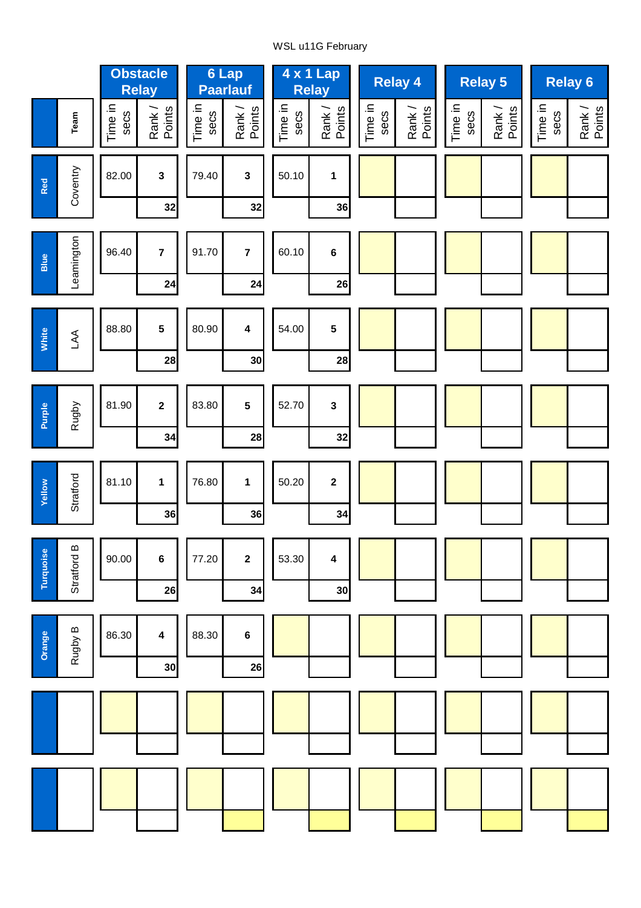# WSL u11G February

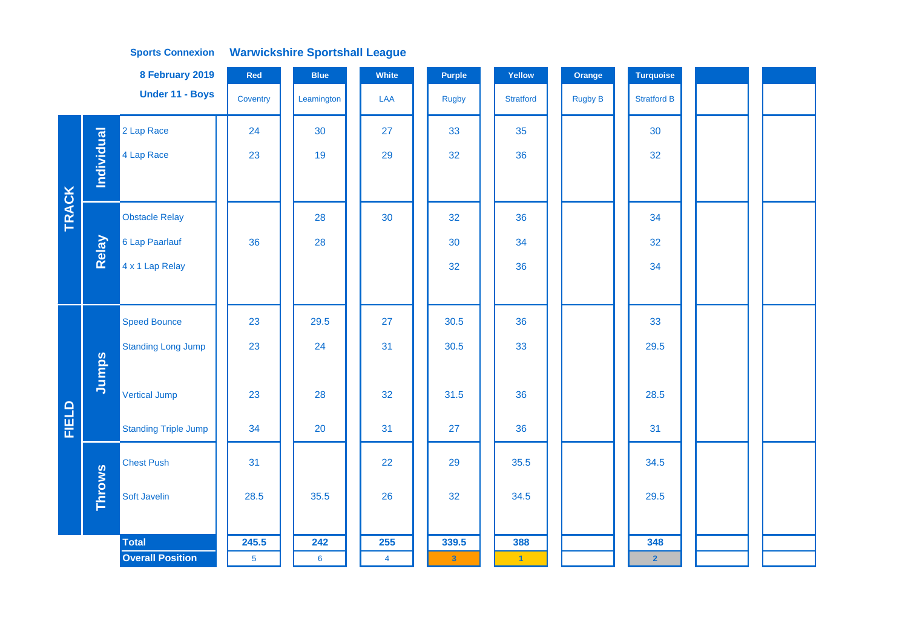|              |               | 8 February 2019             | Red            | <b>Blue</b>    | White          | <b>Purple</b> | Yellow               | Orange         | <b>Turquoise</b>   |  |  |
|--------------|---------------|-----------------------------|----------------|----------------|----------------|---------------|----------------------|----------------|--------------------|--|--|
|              |               | Under 11 - Boys             | Coventry       | Leamington     | LAA            | <b>Rugby</b>  | <b>Stratford</b>     | <b>Rugby B</b> | <b>Stratford B</b> |  |  |
|              |               | 2 Lap Race                  | 24             | 30             | 27             | 33            | 35                   |                | 30                 |  |  |
|              | Individual    | 4 Lap Race                  | 23             | 19             | 29             | 32            | 36                   |                | 32                 |  |  |
|              |               |                             |                |                |                |               |                      |                |                    |  |  |
| <b>TRACK</b> |               | <b>Obstacle Relay</b>       |                | 28             | 30             | 32            | 36                   |                | 34                 |  |  |
|              | Relay         | 6 Lap Paarlauf              | 36             | 28             |                | 30            | 34                   |                | 32                 |  |  |
|              |               | 4 x 1 Lap Relay             |                |                |                | 32            | 36                   |                | 34                 |  |  |
|              |               |                             |                |                |                |               |                      |                |                    |  |  |
|              |               | <b>Speed Bounce</b>         | 23             | 29.5           | 27             | 30.5          | 36                   |                | 33                 |  |  |
|              |               | <b>Standing Long Jump</b>   | 23             | 24             | 31             | 30.5          | 33                   |                | 29.5               |  |  |
|              | Jumps         |                             |                |                |                |               |                      |                |                    |  |  |
|              |               | <b>Vertical Jump</b>        | 23             | 28             | 32             | 31.5          | 36                   |                | 28.5               |  |  |
| FIELD        |               | <b>Standing Triple Jump</b> | 34             | 20             | 31             | 27            | 36                   |                | 31                 |  |  |
|              |               | <b>Chest Push</b>           | 31             |                | 22             | 29            | 35.5                 |                | 34.5               |  |  |
|              | <b>Throws</b> | Soft Javelin                | 28.5           | 35.5           | 26             | 32            | 34.5                 |                | 29.5               |  |  |
|              |               |                             |                |                |                |               |                      |                |                    |  |  |
|              |               | <b>Total</b>                | 245.5          | 242            | 255            | 339.5         | 388                  |                | 348                |  |  |
|              |               | <b>Overall Position</b>     | 5 <sup>5</sup> | $6\phantom{a}$ | $\overline{4}$ | $\mathbf{3}$  | $\blacktriangleleft$ |                | $\overline{2}$     |  |  |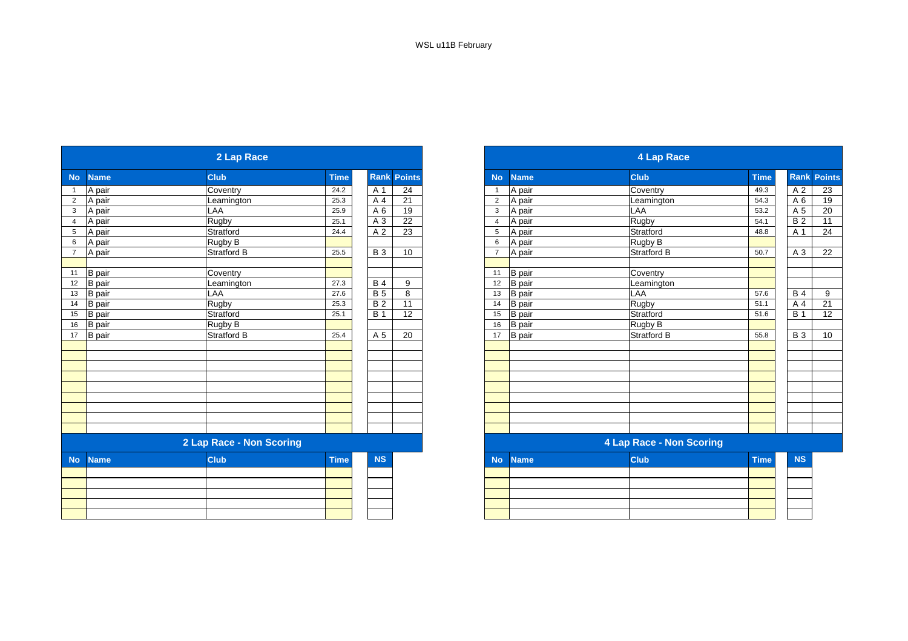|                |               | 2 Lap Race               |              |                              |                    |                |               | <b>4 Lap Race</b>        |              |
|----------------|---------------|--------------------------|--------------|------------------------------|--------------------|----------------|---------------|--------------------------|--------------|
| <b>No</b>      | <b>Name</b>   | <b>Club</b>              | <b>Time</b>  |                              | <b>Rank Points</b> | <b>No</b>      | <b>Name</b>   | <b>Club</b>              | <b>Time</b>  |
| $\mathbf{1}$   | A pair        | Coventry                 | 24.2         | A 1                          | 24                 | -1             | A pair        | Coventry                 | 49.3         |
| $\overline{2}$ | A pair        | Leamington               | 25.3         | A 4                          | 21                 | 2              | A pair        | Leamington               | 54.3         |
| $\mathbf{3}$   | A pair        | LAA                      | 25.9         | A 6                          | 19                 | 3              | A pair        | LAA                      | 53.2         |
| $\overline{4}$ | A pair        | Rugby                    | 25.1         | A 3                          | $\overline{22}$    | $\overline{4}$ | A pair        | Rugby                    | 54.1         |
| 5              | A pair        | Stratford                | 24.4         | A 2                          | $\overline{23}$    | 5              | A pair        | Stratford                | 48.8         |
| 6              | A pair        | Rugby B                  |              |                              |                    | 6              | A pair        | Rugby B                  |              |
| $\overline{7}$ | A pair        | <b>Stratford B</b>       | 25.5         | <b>B3</b>                    | 10                 | $\overline{7}$ | A pair        | <b>Stratford B</b>       | 50.7         |
|                |               |                          |              |                              |                    |                |               |                          |              |
| 11<br>12       | <b>B</b> pair | Coventry                 | 27.3         |                              | 9                  | 11<br>12       | <b>B</b> pair | Coventry                 |              |
|                | <b>B</b> pair | Leamington               |              | <b>B4</b><br><b>B</b> 5      |                    |                | <b>B</b> pair | Leamington               |              |
| 13             | <b>B</b> pair | LAA                      | 27.6         |                              | 8                  | 13             | <b>B</b> pair | LAA                      | 57.6         |
| 14<br>15       | <b>B</b> pair | Rugby                    | 25.3<br>25.1 | $\overline{B}$<br><b>B</b> 1 | 11                 | 14<br>15       | <b>B</b> pair | <b>Rugby</b>             | 51.1<br>51.6 |
|                | <b>B</b> pair | Stratford                |              |                              | 12                 |                | <b>B</b> pair | Stratford                |              |
| 16             | <b>B</b> pair | Rugby B                  |              |                              |                    | 16             | <b>B</b> pair | Rugby B                  |              |
| 17             | B pair        | Stratford B              | 25.4         | A 5                          | 20                 | 17             | B pair        | <b>Stratford B</b>       | 55.8         |
|                |               |                          |              |                              |                    |                |               |                          |              |
|                |               |                          |              |                              |                    |                |               |                          |              |
|                |               |                          |              |                              |                    |                |               |                          |              |
|                |               |                          |              |                              |                    |                |               |                          |              |
|                |               |                          |              |                              |                    |                |               |                          |              |
|                |               |                          |              |                              |                    |                |               |                          |              |
|                |               |                          |              |                              |                    |                |               |                          |              |
|                |               |                          |              |                              |                    |                |               |                          |              |
|                |               | 2 Lap Race - Non Scoring |              |                              |                    |                |               | 4 Lap Race - Non Scoring |              |
| <b>No</b>      | <b>Name</b>   | <b>Club</b>              | <b>Time</b>  | <b>NS</b>                    |                    | <b>No</b>      | <b>Name</b>   | <b>Club</b>              | <b>Time</b>  |
|                |               |                          |              |                              |                    |                |               |                          |              |
|                |               |                          |              |                              |                    |                |               |                          |              |
|                |               |                          |              |                              |                    |                |               |                          |              |
|                |               |                          |              |                              |                    |                |               |                          |              |
|                |               |                          |              |                              |                    |                |               |                          |              |

|                |               | 2 Lap Race               |             |                 |               |                |                      | 4 Lap Race               |              |                 |                 |
|----------------|---------------|--------------------------|-------------|-----------------|---------------|----------------|----------------------|--------------------------|--------------|-----------------|-----------------|
| <b>No</b>      | <b>Name</b>   | <b>Club</b>              | <b>Time</b> | <b>Rank</b>     | <b>Points</b> | <b>No</b>      | <b>Name</b>          | <b>Club</b>              | <b>Time</b>  | Rank            | <b>Points</b>   |
|                | A pair        | Coventry                 | 24.2        | A 1             | 24            |                | A pair               | Coventry                 | 49.3         | A 2             | 23              |
| $\overline{2}$ | A pair        | Leamington               | 25.3        | A 4             | 21            | $\overline{2}$ | A pair               | Leamington               | 54.3         | A 6             | 19              |
| $\mathbf{3}$   | A pair        | LAA                      | 25.9        | A 6             | 19            | 3              | A pair               | LAA                      | 53.2         | A 5             | 20              |
| $\overline{4}$ | A pair        | Rugby                    | 25.1        | A 3             | 22            | $\overline{4}$ | A pair               | Rugby                    | 54.1         | $\overline{B2}$ | 11              |
| 5              | A pair        | Stratford                | 24.4        | A 2             | 23            | 5              | A pair               | Stratford                | 48.8         | A 1             | 24              |
| 6              | A pair        | Rugby B                  |             |                 |               | 6              | A pair               | Rugby B                  |              |                 |                 |
| $\overline{7}$ | A pair        | Stratford B              | 25.5        | <b>B</b> 3      | 10            |                | A pair               | <b>Stratford B</b>       | 50.7         | A 3             | 22              |
|                |               |                          |             |                 |               |                |                      |                          |              |                 |                 |
| 11             | B pair        | Coventry                 |             |                 |               | 11             | <b>B</b> pair        | Coventry                 |              |                 |                 |
| 12             | <b>B</b> pair | Leamington               | 27.3        | <b>B</b> 4      | 9             | 12             | <b>B</b> pair        | Leamington               |              |                 |                 |
| 13             | <b>B</b> pair | LAA                      | 27.6        | <b>B</b> 5      | 8             | 13             | <b>B</b> pair        | LAA                      | 57.6         | <b>B4</b>       | 9               |
| 14             | <b>B</b> pair | Rugby                    | 25.3        | $\overline{B2}$ | 11            | 14             | <b>B</b> pair        | <b>Rugby</b>             | 51.1         | A 4             | $\overline{21}$ |
| 15             | <b>B</b> pair | Stratford                | 25.1        | <b>B</b> 1      | 12            | 15             | <b>B</b> pair        | Stratford                | 51.6         | <b>B</b> 1      | 12              |
| 16             | <b>B</b> pair | Rugby B                  |             |                 |               | 16             | <b>B</b> pair        | Rugby B                  |              |                 |                 |
| 17             | B pair        | <b>Stratford B</b>       | 25.4        | A 5             | 20            | 17             | <b>B</b> pair        | Stratford B              | 55.8         | <b>B3</b>       | 10              |
|                |               |                          |             |                 |               |                |                      |                          |              |                 |                 |
|                |               |                          |             |                 |               |                |                      |                          |              |                 |                 |
|                |               |                          |             |                 |               |                |                      |                          |              |                 |                 |
|                |               |                          |             |                 |               |                |                      |                          |              |                 |                 |
|                |               |                          |             |                 |               |                |                      |                          |              |                 |                 |
|                |               |                          |             |                 |               |                |                      |                          |              |                 |                 |
|                |               |                          |             |                 |               |                |                      |                          |              |                 |                 |
|                |               |                          |             |                 |               |                |                      |                          |              |                 |                 |
|                |               |                          |             |                 |               |                |                      |                          |              |                 |                 |
|                |               | 2 Lap Race - Non Scoring |             |                 |               |                |                      | 4 Lap Race - Non Scoring |              |                 |                 |
|                | March Marchan | <b>CILLE</b>             | <b>Time</b> | <b>MO</b>       |               |                | <b>Allen Alemany</b> | O(1.16)                  | <b>Times</b> | <b>MO</b>       |                 |

| <b>NS</b> |  | No Name | <b>Club</b> | <b>Time</b> | <b>NS</b> |
|-----------|--|---------|-------------|-------------|-----------|
|           |  |         |             |             |           |
|           |  |         |             |             |           |
|           |  |         |             |             |           |
|           |  |         |             |             |           |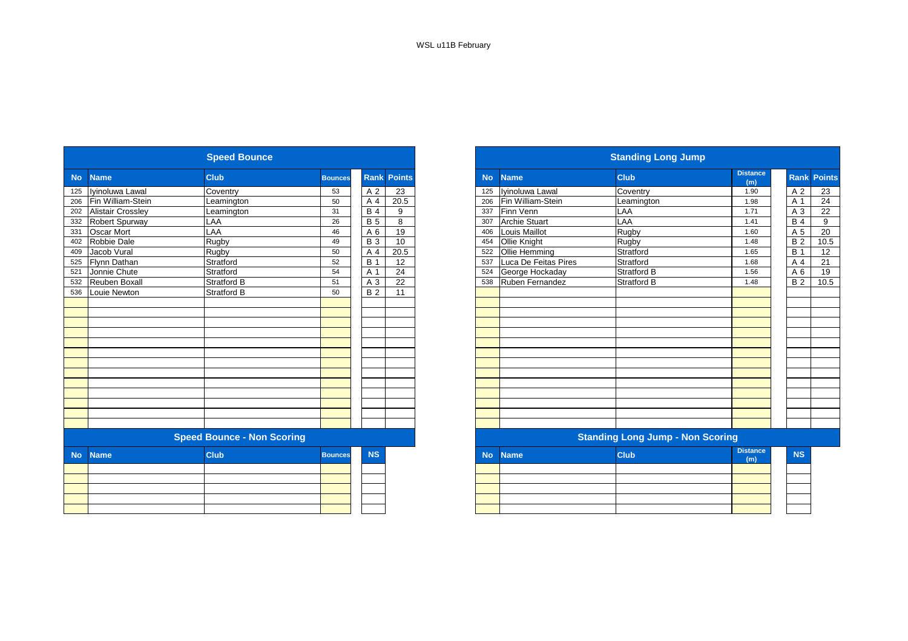|           |                          | <b>Speed Bounce</b>               |                |            |                    |           |                      | <b>Standing Long Jump</b>               |                        |
|-----------|--------------------------|-----------------------------------|----------------|------------|--------------------|-----------|----------------------|-----------------------------------------|------------------------|
| <b>No</b> | <b>Name</b>              | <b>Club</b>                       | <b>Bounces</b> |            | <b>Rank Points</b> | <b>No</b> | <b>Name</b>          | <b>Club</b>                             | <b>Distance</b><br>(m) |
| 125       | Iyinoluwa Lawal          | Coventry                          | 53             | A 2        | 23                 | 125       | Ivinoluwa Lawal      | Coventry                                | 1.90                   |
| 206       | Fin William-Stein        | Leamington                        | 50             | A 4        | 20.5               | 206       | Fin William-Stein    | Leamington                              | 1.98                   |
| 202       | <b>Alistair Crossley</b> | Leamington                        | 31             | <b>B4</b>  | 9                  | 337       | Finn Venn            | LAA                                     | 1.71                   |
| 332       | Robert Spurway           | LAA                               | 26             | <b>B</b> 5 | 8                  | 307       | <b>Archie Stuart</b> | LAA                                     | 1.41                   |
| 331       | <b>Oscar Mort</b>        | LAA                               | 46             | A 6        | 19                 | 406       | Louis Maillot        | Rugby                                   | 1.60                   |
| 402       | Robbie Dale              | Rugby                             | 49             | <b>B</b> 3 | 10                 | 454       | Ollie Knight         | Rugby                                   | 1.48                   |
| 409       | Jacob Vural              | Rugby                             | 50             | A 4        | 20.5               | 522       | Ollie Hemming        | Stratford                               | 1.65                   |
| 525       | Flynn Dathan             | Stratford                         | 52             | <b>B</b> 1 | 12                 | 537       | Luca De Feitas Pires | Stratford                               | 1.68                   |
| 521       | Jonnie Chute             | Stratford                         | 54             | A 1        | 24                 | 524       | George Hockaday      | Stratford B                             | 1.56                   |
| 532       | Reuben Boxall            | <b>Stratford B</b>                | 51             | A 3        | 22                 | 538       | Ruben Fernandez      | <b>Stratford B</b>                      | 1.48                   |
| 536       | Louie Newton             | <b>Stratford B</b>                | 50             | <b>B2</b>  | 11                 |           |                      |                                         |                        |
|           |                          |                                   |                |            |                    |           |                      |                                         |                        |
|           |                          |                                   |                |            |                    |           |                      |                                         |                        |
|           |                          |                                   |                |            |                    |           |                      |                                         |                        |
|           |                          |                                   |                |            |                    |           |                      |                                         |                        |
|           |                          |                                   |                |            |                    |           |                      |                                         |                        |
|           |                          |                                   |                |            |                    |           |                      |                                         |                        |
|           |                          |                                   |                |            |                    |           |                      |                                         |                        |
|           |                          |                                   |                |            |                    |           |                      |                                         |                        |
|           |                          |                                   |                |            |                    |           |                      |                                         |                        |
|           |                          |                                   |                |            |                    |           |                      |                                         |                        |
|           |                          |                                   |                |            |                    |           |                      |                                         |                        |
|           |                          |                                   |                |            |                    |           |                      |                                         |                        |
|           |                          |                                   |                |            |                    |           |                      |                                         |                        |
|           |                          | <b>Speed Bounce - Non Scoring</b> |                |            |                    |           |                      | <b>Standing Long Jump - Non Scoring</b> |                        |
| <b>No</b> | <b>Name</b>              | <b>Club</b>                       | <b>Bounces</b> | <b>NS</b>  |                    | <b>No</b> | <b>Name</b>          | <b>Club</b>                             | <b>Distance</b><br>(m) |
|           |                          |                                   |                |            |                    |           |                      |                                         |                        |
|           |                          |                                   |                |            |                    |           |                      |                                         |                        |
|           |                          |                                   |                |            |                    |           |                      |                                         |                        |
|           |                          |                                   |                |            |                    |           |                      |                                         |                        |
|           |                          |                                   |                |            |                    |           |                      |                                         |                        |

|                 |                          | <b>Speed Bounce</b>               |                |                |                    |
|-----------------|--------------------------|-----------------------------------|----------------|----------------|--------------------|
| <b>No</b>       | <b>Name</b>              | <b>Club</b>                       | <b>Bounces</b> |                | <b>Rank Points</b> |
|                 | Ivinoluwa Lawal          | Coventry                          | 53             | A 2            | 23                 |
| 206             | Fin William-Stein        | Leamington                        | 50             | A 4            | 20.5               |
| 202             | <b>Alistair Crossley</b> | Leamington                        | 31             | <b>B4</b>      | 9                  |
| $\frac{1}{332}$ | <b>Robert Spurway</b>    | LAA                               | 26             | <b>B</b> 5     | 8                  |
|                 | <b>Oscar Mort</b>        | LAA                               | 46             | A 6            | 19                 |
| 402             | Robbie Dale              | Rugby                             | 49             | <b>B</b> 3     | 10                 |
|                 | Jacob Vural              | Rugby                             | 50             | A <sub>4</sub> | 20.5               |
| 525             | Flynn Dathan             | Stratford                         | 52             | <b>B</b> 1     | 12                 |
| 521             | Jonnie Chute             | Stratford                         | 54             | A 1            | 24                 |
| 532             | <b>Reuben Boxall</b>     | <b>Stratford B</b>                | 51             | A 3            | 22                 |
| 536             | Louie Newton             | <b>Stratford B</b>                | 50             | <b>B2</b>      | $\overline{11}$    |
|                 |                          |                                   |                |                |                    |
|                 |                          |                                   |                |                |                    |
|                 |                          |                                   |                |                |                    |
|                 |                          |                                   |                |                |                    |
|                 |                          |                                   |                |                |                    |
|                 |                          |                                   |                |                |                    |
|                 |                          |                                   |                |                |                    |
|                 |                          |                                   |                |                |                    |
|                 |                          |                                   |                |                |                    |
|                 |                          |                                   |                |                |                    |
|                 |                          |                                   |                |                |                    |
|                 |                          |                                   |                |                |                    |
|                 |                          |                                   |                |                |                    |
|                 |                          | <b>Speed Bounce - Non Scoring</b> |                |                |                    |
| <b>No</b>       | <b>Name</b>              | <b>Club</b>                       | <b>Bounces</b> | <b>NS</b>      |                    |
|                 |                          |                                   |                |                |                    |
|                 |                          |                                   |                |                |                    |
|                 |                          |                                   |                |                |                    |
|                 |                          |                                   |                |                |                    |
|                 |                          |                                   |                |                |                    |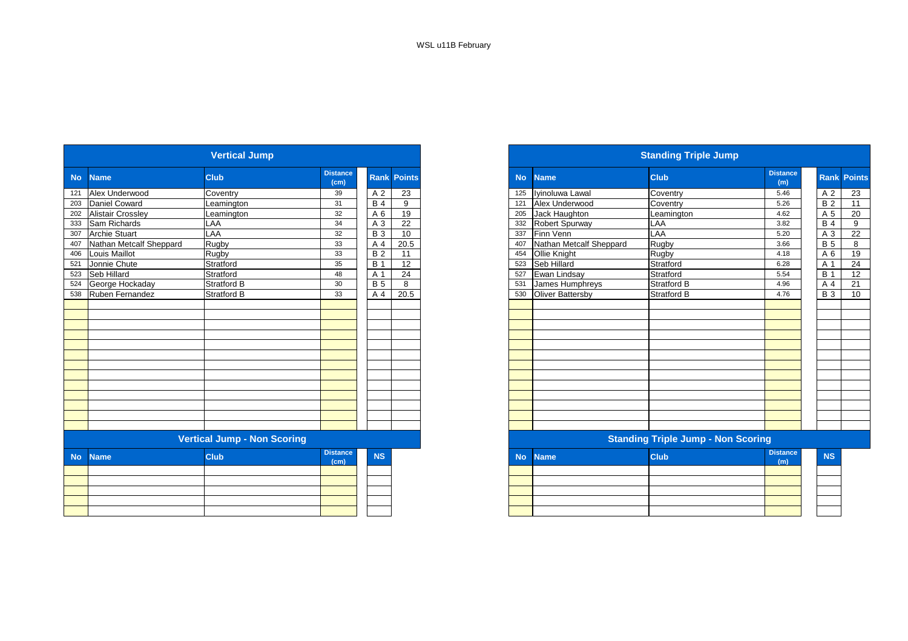|           |                          | <b>Vertical Jump</b>               |                         |            |                    |
|-----------|--------------------------|------------------------------------|-------------------------|------------|--------------------|
| <b>No</b> | <b>Name</b>              | <b>Club</b>                        | <b>Distance</b><br>(cm) |            | <b>Rank Points</b> |
| 121       | Alex Underwood           | Coventry                           | 39                      | A 2        | 23                 |
| 203       | Daniel Coward            | Leamington                         | 31                      | <b>B4</b>  | 9                  |
| 202       | <b>Alistair Crossley</b> | Leamington                         | 32                      | A 6        | 19                 |
| 333       | Sam Richards             | LAA                                | 34                      | A 3        | 22                 |
| 307       | <b>Archie Stuart</b>     | LAA                                | 32                      | <b>B</b> 3 | 10                 |
| 407       | Nathan Metcalf Sheppard  | Rugby                              | 33                      | A 4        | 20.5               |
| 406       | Louis Maillot            | Rugby                              | 33                      | <b>B2</b>  | 11                 |
| 521       | Jonnie Chute             | Stratford                          | 35                      | <b>B</b> 1 | 12                 |
| 523       | Seb Hillard              | Stratford                          | 48                      | A 1        | 24                 |
| 524       | George Hockaday          | <b>Stratford B</b>                 | 30                      | <b>B</b> 5 | 8                  |
| 538       | Ruben Fernandez          | Stratford B                        | 33                      | A 4        | 20.5               |
|           |                          |                                    |                         |            |                    |
|           |                          |                                    |                         |            |                    |
|           |                          |                                    |                         |            |                    |
|           |                          |                                    |                         |            |                    |
|           |                          |                                    |                         |            |                    |
|           |                          |                                    |                         |            |                    |
|           |                          |                                    |                         |            |                    |
|           |                          |                                    |                         |            |                    |
|           |                          |                                    |                         |            |                    |
|           |                          |                                    |                         |            |                    |
|           |                          |                                    |                         |            |                    |
|           |                          |                                    |                         |            |                    |
|           |                          |                                    |                         |            |                    |
|           |                          | <b>Vertical Jump - Non Scoring</b> |                         |            |                    |
|           |                          |                                    | <b>Distance</b>         |            |                    |
| <b>No</b> | <b>Name</b>              | Club                               | (cm)                    | <b>NS</b>  |                    |
|           |                          |                                    |                         |            |                    |
|           |                          |                                    |                         |            |                    |
|           |                          |                                    |                         |            |                    |
|           |                          |                                    |                         |            |                    |
|           |                          |                                    |                         |            |                    |

|           |                         | <b>Vertical Jump</b>               |                         |            |                    |
|-----------|-------------------------|------------------------------------|-------------------------|------------|--------------------|
|           | <b>Name</b>             | <b>Club</b>                        | <b>Distance</b><br>(cm) |            | <b>Rank Points</b> |
|           | 121 Alex Underwood      | Coventry                           | 39                      | A 2        | 23                 |
|           | 203 Daniel Coward       | Leamington                         | 31                      | <b>B</b> 4 | 9                  |
|           | 202 Alistair Crossley   | Leamington                         | 32                      | A 6        | 19                 |
|           | 333 Sam Richards        | LAA                                | 34                      | A 3        | 22                 |
|           | <b>Archie Stuart</b>    | LAA                                | 32                      | <b>B</b> 3 | 10                 |
|           | Nathan Metcalf Sheppard | Rugby                              | 33                      | A 4        | 20.5               |
|           | Louis Maillot           | Rugby                              | 33                      | <b>B2</b>  | 11                 |
|           | Jonnie Chute            | Stratford                          | 35                      | <b>B</b> 1 | $\overline{12}$    |
| 523       | Seb Hillard             | Stratford                          | 48                      | A 1        | 24                 |
| 524       | George Hockaday         | <b>Stratford B</b>                 | 30                      | <b>B</b> 5 | 8                  |
|           | 538 Ruben Fernandez     | <b>Stratford B</b>                 | 33                      | A 4        | 20.5               |
|           |                         |                                    |                         |            |                    |
|           |                         | <b>Vertical Jump - Non Scoring</b> |                         |            |                    |
| <b>No</b> | <b>Name</b>             | <b>Club</b>                        | <b>Distance</b><br>(cm) | <b>NS</b>  |                    |
|           |                         |                                    |                         |            |                    |
|           |                         |                                    |                         |            |                    |
|           |                         |                                    |                         |            |                    |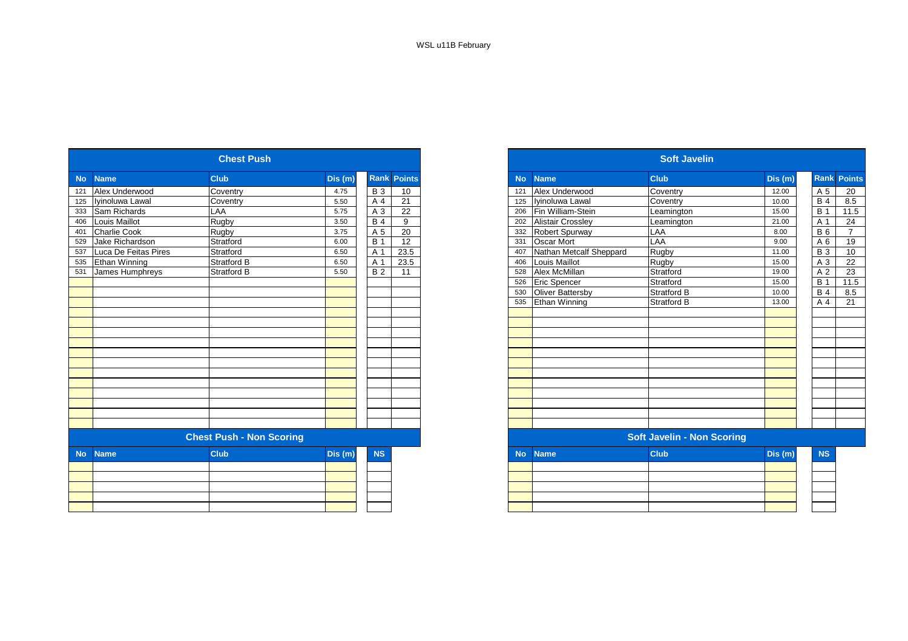|           |                      | <b>Chest Push</b>               |         |                  |                    |
|-----------|----------------------|---------------------------------|---------|------------------|--------------------|
| <b>No</b> | <b>Name</b>          | <b>Club</b>                     | Dis (m) |                  | <b>Rank Points</b> |
| 121       | Alex Underwood       | Coventry                        | 4.75    | <b>B</b> 3       | 10                 |
| 125       | Iyinoluwa Lawal      | Coventry                        | 5.50    | A 4              | $\overline{21}$    |
| 333       | Sam Richards         | LAA                             | 5.75    | A 3              | 22                 |
| 406       | Louis Maillot        | Rugby                           | 3.50    | <b>B</b> 4       | 9                  |
| 401       | <b>Charlie Cook</b>  | Rugby                           | 3.75    | A 5              | 20                 |
| 529       | Jake Richardson      | Stratford                       | 6.00    | $\overline{B}$ 1 | 12                 |
| 537       | Luca De Feitas Pires | Stratford                       | 6.50    | A 1              | 23.5               |
| 535       | Ethan Winning        | <b>Stratford B</b>              | 6.50    | A 1              | 23.5               |
| 531       | James Humphreys      | <b>Stratford B</b>              | 5.50    | <b>B2</b>        | 11                 |
|           |                      |                                 |         |                  |                    |
|           |                      |                                 |         |                  |                    |
|           |                      |                                 |         |                  |                    |
|           |                      |                                 |         |                  |                    |
|           |                      |                                 |         |                  |                    |
|           |                      |                                 |         |                  |                    |
|           |                      |                                 |         |                  |                    |
|           |                      |                                 |         |                  |                    |
|           |                      |                                 |         |                  |                    |
|           |                      |                                 |         |                  |                    |
|           |                      |                                 |         |                  |                    |
|           |                      |                                 |         |                  |                    |
|           |                      |                                 |         |                  |                    |
|           |                      |                                 |         |                  |                    |
|           |                      |                                 |         |                  |                    |
|           |                      |                                 |         |                  |                    |
|           |                      | <b>Chest Push - Non Scoring</b> |         |                  |                    |
| <b>No</b> | <b>Name</b>          | <b>Club</b>                     | Dis (m) | <b>NS</b>        |                    |
|           |                      |                                 |         |                  |                    |
|           |                      |                                 |         |                  |                    |
|           |                      |                                 |         |                  |                    |
|           |                      |                                 |         |                  |                    |
|           |                      |                                 |         |                  |                    |
|           |                      |                                 |         |                  |                    |

|           |                      | <b>Chest Push</b>               |         |            |                    |
|-----------|----------------------|---------------------------------|---------|------------|--------------------|
| <b>No</b> | <b>Name</b>          | <b>Club</b>                     | Dis (m) |            | <b>Rank Points</b> |
| 121       | Alex Underwood       | Coventry                        | 4.75    | <b>B</b> 3 | 10                 |
| 125       | Iyinoluwa Lawal      | Coventry                        | 5.50    | A 4        | 21                 |
| 333       | Sam Richards         | LAA                             | 5.75    | A 3        | 22                 |
| 406       | Louis Maillot        | <b>Rugby</b>                    | 3.50    | <b>B</b> 4 | 9                  |
| 401       | <b>Charlie Cook</b>  | Rugby                           | 3.75    | A 5        | 20                 |
| 529       | Jake Richardson      | Stratford                       | 6.00    | <b>B</b> 1 | 12                 |
| 537       | Luca De Feitas Pires | Stratford                       | 6.50    | A 1        | 23.5               |
| 535       | Ethan Winning        | <b>Stratford B</b>              | 6.50    | A 1        | 23.5               |
| 531       | James Humphreys      | <b>Stratford B</b>              | 5.50    | <b>B2</b>  | 11                 |
|           |                      |                                 |         |            |                    |
|           |                      |                                 |         |            |                    |
|           |                      |                                 |         |            |                    |
|           |                      |                                 |         |            |                    |
|           |                      |                                 |         |            |                    |
|           |                      |                                 |         |            |                    |
|           |                      |                                 |         |            |                    |
|           |                      |                                 |         |            |                    |
|           |                      |                                 |         |            |                    |
|           |                      |                                 |         |            |                    |
|           |                      |                                 |         |            |                    |
|           |                      |                                 |         |            |                    |
|           |                      |                                 |         |            |                    |
|           |                      |                                 |         |            |                    |
|           |                      |                                 |         |            |                    |
|           |                      | <b>Chest Push - Non Scoring</b> |         |            |                    |
| <b>No</b> | <b>Name</b>          | <b>Club</b>                     | Dis(m)  | <b>NS</b>  |                    |
|           |                      |                                 |         |            |                    |
|           |                      |                                 |         |            |                    |
|           |                      |                                 |         |            |                    |
|           |                      |                                 |         |            |                    |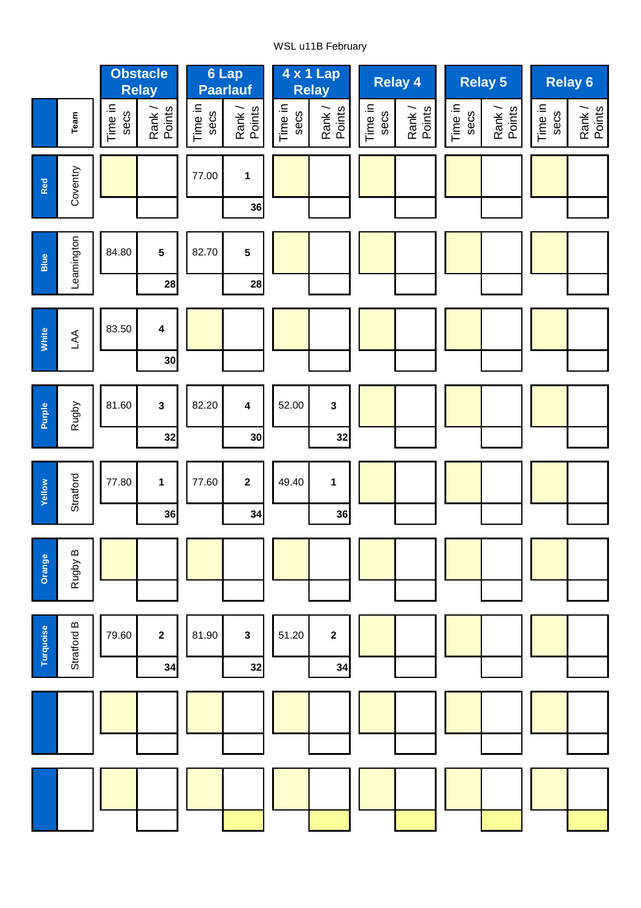# WSL u11B February

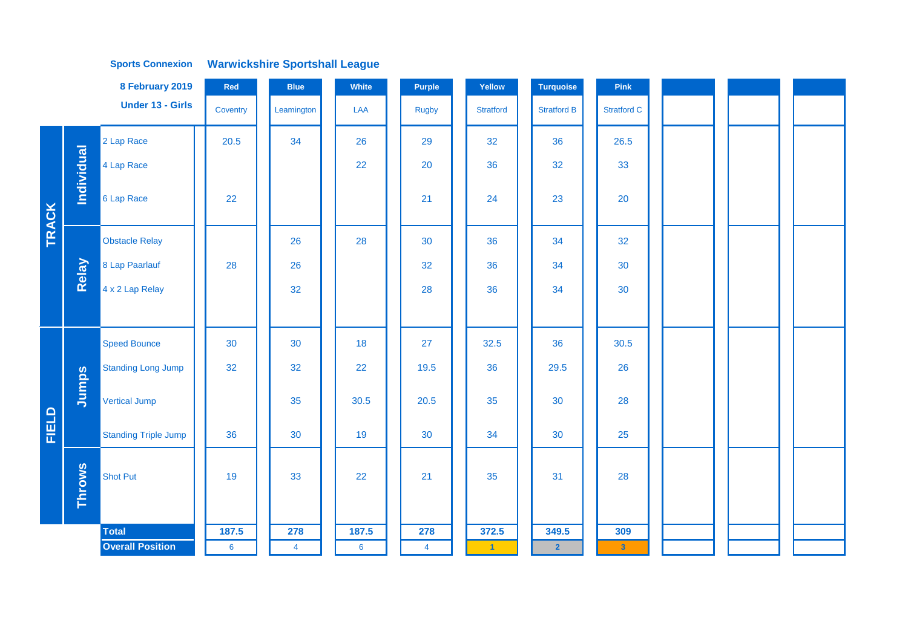|              |               | 8 February 2019             | Red             | <b>Blue</b>    | White | Purple         | Yellow            | <b>Turquoise</b>   | Pink               |  |  |
|--------------|---------------|-----------------------------|-----------------|----------------|-------|----------------|-------------------|--------------------|--------------------|--|--|
|              |               | <b>Under 13 - Girls</b>     | Coventry        | Leamington     | LAA   | <b>Rugby</b>   | <b>Stratford</b>  | <b>Stratford B</b> | <b>Stratford C</b> |  |  |
|              |               | 2 Lap Race                  | 20.5            | 34             | 26    | 29             | 32                | 36                 | 26.5               |  |  |
|              | Individual    | 4 Lap Race                  |                 |                | 22    | 20             | 36                | 32                 | 33                 |  |  |
| <b>TRACK</b> |               | 6 Lap Race                  | 22              |                |       | 21             | 24                | 23                 | 20                 |  |  |
|              |               | <b>Obstacle Relay</b>       |                 | 26             | 28    | 30             | 36                | 34                 | 32                 |  |  |
|              | Relay         | 8 Lap Paarlauf              | 28              | 26             |       | 32             | 36                | 34                 | 30                 |  |  |
|              |               | 4 x 2 Lap Relay             |                 | 32             |       | 28             | 36                | 34                 | 30                 |  |  |
|              |               |                             |                 |                |       |                |                   |                    |                    |  |  |
|              |               | <b>Speed Bounce</b>         | 30              | 30             | 18    | 27             | 32.5              | 36                 | 30.5               |  |  |
|              |               | <b>Standing Long Jump</b>   | 32              | 32             | 22    | 19.5           | 36                | 29.5               | 26                 |  |  |
|              | Jumps         | <b>Vertical Jump</b>        |                 | 35             | 30.5  | 20.5           | 35                | 30                 | 28                 |  |  |
| FIELD        |               | <b>Standing Triple Jump</b> | 36              | 30             | 19    | 30             | 34                | 30                 | 25                 |  |  |
|              | <b>Throws</b> | Shot Put                    | 19              | 33             | 22    | 21             | 35                | 31                 | 28                 |  |  |
|              |               | <b>Total</b>                | 187.5           | 278            | 187.5 | 278            | 372.5             | 349.5              | 309                |  |  |
|              |               | <b>Overall Position</b>     | $6\phantom{1}6$ | $\overline{4}$ | 6     | $\overline{4}$ | $\vert 1 \rangle$ | $\overline{2}$     | $\mathbf{3}$       |  |  |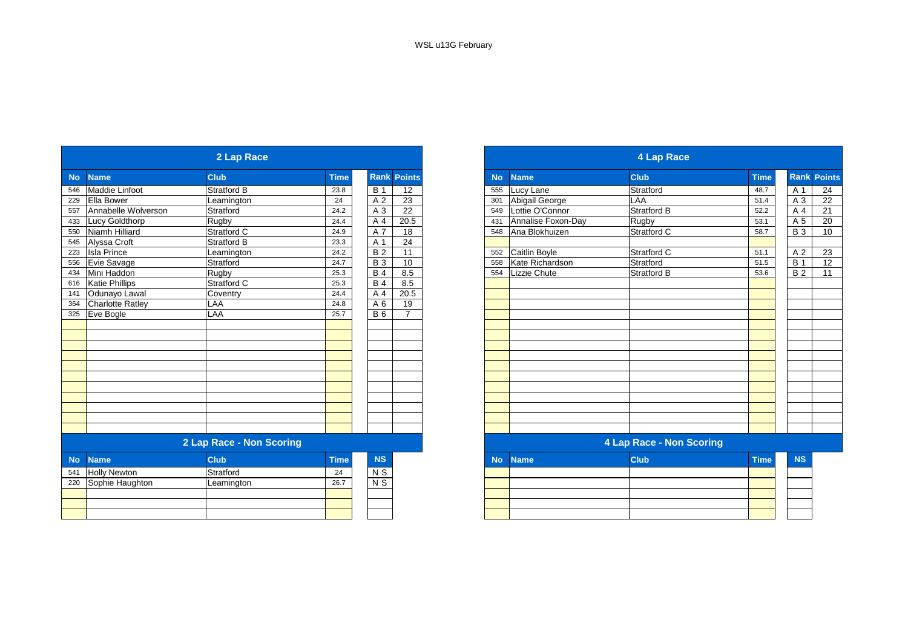|           |                         | 2 Lap Race               |             |                |                    |
|-----------|-------------------------|--------------------------|-------------|----------------|--------------------|
| <b>No</b> | <b>Name</b>             | <b>Club</b>              | <b>Time</b> |                | <b>Rank Points</b> |
| 546       | <b>Maddie Linfoot</b>   | Stratford B              | 23.8        | <b>B</b> 1     | 12                 |
| 229       | <b>Ella Bower</b>       | Leamington               | 24          | A <sub>2</sub> | $\overline{23}$    |
| 557       | Annabelle Wolverson     | Stratford                | 24.2        | A 3            | 22                 |
| 433       | Lucy Goldthorp          | Rugby                    | 24.4        | A 4            | $\overline{20.5}$  |
| 550       | Niamh Hilliard          | Stratford C              | 24.9        | A 7            | 18                 |
| 545       | Alyssa Croft            | Stratford B              | 23.3        | A 1            | 24                 |
| 223       | <b>Isla Prince</b>      | Leamington               | 24.2        | B <sub>2</sub> | 11                 |
| 556       | Evie Savage             | Stratford                | 24.7        | <b>B3</b>      | 10                 |
| 434       | Mini Haddon             | Rugby                    | 25.3        | <b>B4</b>      | 8.5                |
| 616       | <b>Katie Phillips</b>   | Stratford C              | 25.3        | <b>B4</b>      | 8.5                |
| 141       | Odunayo Lawal           | Coventry                 | 24.4        | A 4            | 20.5               |
| 364       | <b>Charlotte Ratley</b> | LAA                      | 24.8        | A 6            | 19                 |
| 325       | Eve Bogle               | LAA                      | 25.7        | <b>B6</b>      | $\overline{7}$     |
|           |                         |                          |             |                |                    |
|           |                         |                          |             |                |                    |
|           |                         |                          |             |                |                    |
|           |                         |                          |             |                |                    |
|           |                         |                          |             |                |                    |
|           |                         |                          |             |                |                    |
|           |                         |                          |             |                |                    |
|           |                         |                          |             |                |                    |
|           |                         |                          |             |                |                    |
|           |                         |                          |             |                |                    |
|           |                         |                          |             |                |                    |
|           |                         | 2 Lap Race - Non Scoring |             |                |                    |
| <b>No</b> | <b>Name</b>             | <b>Club</b>              | <b>Time</b> | <b>NS</b>      |                    |
| 541       | <b>Holly Newton</b>     | Stratford                | 24          | N S            |                    |
| 220       | Sophie Haughton         | Leamington               | 26.7        | $N$ S          |                    |
|           |                         |                          |             |                |                    |
|           |                         |                          |             |                |                    |
|           |                         |                          |             |                |                    |
|           |                         |                          |             |                |                    |

|           |                         | 2 Lap Race               |             |                 |                |
|-----------|-------------------------|--------------------------|-------------|-----------------|----------------|
|           | <b>Name</b>             | <b>Club</b>              | <b>Time</b> | Rank            | <b>Points</b>  |
|           | Maddie Linfoot          | <b>Stratford B</b>       | 23.8        | <b>B</b> 1      | 12             |
|           | Ella Bower              | Leamington               | 24          | A 2             | 23             |
|           | Annabelle Wolverson     | Stratford                | 24.2        | A 3             | 22             |
| 433       | <b>Lucy Goldthorp</b>   | Rugby                    | 24.4        | A 4             | 20.5           |
|           | Niamh Hilliard          | Stratford C              | 24.9        | A 7             | 18             |
| 545       | Alyssa Croft            | <b>Stratford B</b>       | 23.3        | A 1             | 24             |
| 223       | <b>Isla Prince</b>      | Leamington               | 24.2        | $\overline{B2}$ | 11             |
| 556       | Evie Savage             | Stratford                | 24.7        | <b>B3</b>       | 10             |
| 434       | Mini Haddon             | Rugby                    | 25.3        | <b>B4</b>       | 8.5            |
| 616       | <b>Katie Phillips</b>   | Stratford C              | 25.3        | $\overline{B4}$ | 8.5            |
| 141       | Odunayo Lawal           | Coventry                 | 24.4        | A 4             | 20.5           |
| 364       | <b>Charlotte Ratley</b> | LAA                      | 24.8        | A 6             | 19             |
| 325       | Eve Bogle               | LAA                      | 25.7        | <b>B</b> 6      | $\overline{7}$ |
|           |                         |                          |             |                 |                |
|           |                         |                          |             |                 |                |
|           |                         |                          |             |                 |                |
|           |                         |                          |             |                 |                |
|           |                         |                          |             |                 |                |
|           |                         |                          |             |                 |                |
|           |                         |                          |             |                 |                |
|           |                         |                          |             |                 |                |
|           |                         |                          |             |                 |                |
|           |                         |                          |             |                 |                |
|           |                         |                          |             |                 |                |
|           |                         | 2 Lap Race - Non Scoring |             |                 |                |
| <b>No</b> | <b>Name</b>             | <b>Club</b>              | <b>Time</b> | <b>NS</b>       |                |
| 541       | <b>Holly Newton</b>     | Stratford                | 24          | N S             |                |
| 220       | Sophie Haughton         | Leamington               | 26.7        | $N$ S           |                |
|           |                         |                          |             |                 |                |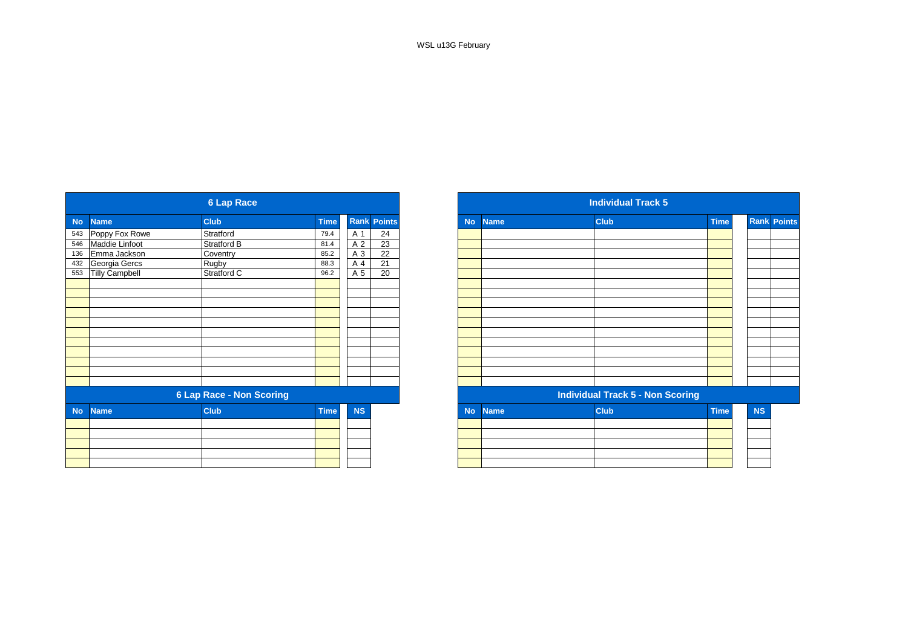WSL u13G February

|           |                       | <b>6 Lap Race</b>               |             |                |                    |
|-----------|-----------------------|---------------------------------|-------------|----------------|--------------------|
| <b>No</b> | <b>Name</b>           | <b>Club</b>                     | <b>Time</b> |                | <b>Rank Points</b> |
|           | 543 Poppy Fox Rowe    | Stratford                       | 79.4        | A 1            | 24                 |
|           | 546 Maddie Linfoot    | <b>Stratford B</b>              | 81.4        | A 2            | $\overline{23}$    |
| 136       | Emma Jackson          | Coventry                        | 85.2        | A 3            | $\overline{22}$    |
|           | 432 Georgia Gercs     | <b>Rugby</b>                    | 88.3        | A 4            | 21                 |
| 553       | <b>Tilly Campbell</b> | Stratford C                     | 96.2        | A <sub>5</sub> | $\overline{20}$    |
|           |                       |                                 |             |                |                    |
|           |                       |                                 |             |                |                    |
|           |                       |                                 |             |                |                    |
|           |                       |                                 |             |                |                    |
|           |                       |                                 |             |                |                    |
|           |                       |                                 |             |                |                    |
|           |                       |                                 |             |                |                    |
|           |                       |                                 |             |                |                    |
|           |                       |                                 |             |                |                    |
|           |                       |                                 |             |                |                    |
|           |                       |                                 |             |                |                    |
|           |                       | <b>6 Lap Race - Non Scoring</b> |             |                |                    |
| <b>No</b> | <b>Name</b>           | <b>Club</b>                     | <b>Time</b> | <b>NS</b>      |                    |
|           |                       |                                 |             |                |                    |
|           |                       |                                 |             |                |                    |
|           |                       |                                 |             |                |                    |
|           |                       |                                 |             |                |                    |
|           |                       |                                 |             |                |                    |

|            |                                                              | <b>6 Lap Race</b>               |             |           |                    |
|------------|--------------------------------------------------------------|---------------------------------|-------------|-----------|--------------------|
|            | <b>Name</b>                                                  | <b>Club</b>                     | <b>Time</b> |           | <b>Rank Points</b> |
|            | 543 Poppy Fox Rowe<br>546 Maddie Linfoot<br>136 Emma Jackson | Stratford                       | 79.4        | A 1       | 24                 |
|            |                                                              | Stratford B                     | 81.4        | A 2       | 23                 |
|            |                                                              | Coventry                        | 85.2        | A 3       | 22                 |
|            | Georgia Gercs                                                | Rugby                           | 88.3        | A 4       | 21                 |
| 432<br>553 | <b>Tilly Campbell</b>                                        | Stratford C                     | 96.2        | A 5       | 20                 |
|            |                                                              |                                 |             |           |                    |
|            |                                                              |                                 |             |           |                    |
|            |                                                              |                                 |             |           |                    |
|            |                                                              |                                 |             |           |                    |
|            |                                                              |                                 |             |           |                    |
|            |                                                              |                                 |             |           |                    |
|            |                                                              |                                 |             |           |                    |
|            |                                                              |                                 |             |           |                    |
|            |                                                              |                                 |             |           |                    |
|            |                                                              |                                 |             |           |                    |
|            |                                                              |                                 |             |           |                    |
|            |                                                              | <b>6 Lap Race - Non Scoring</b> |             |           |                    |
| <b>No</b>  | <b>Name</b>                                                  | <b>Club</b>                     | <b>Time</b> | <b>NS</b> |                    |
|            |                                                              |                                 |             |           |                    |
|            |                                                              |                                 |             |           |                    |
|            |                                                              |                                 |             |           |                    |
|            |                                                              |                                 |             |           |                    |
|            |                                                              |                                 |             |           |                    |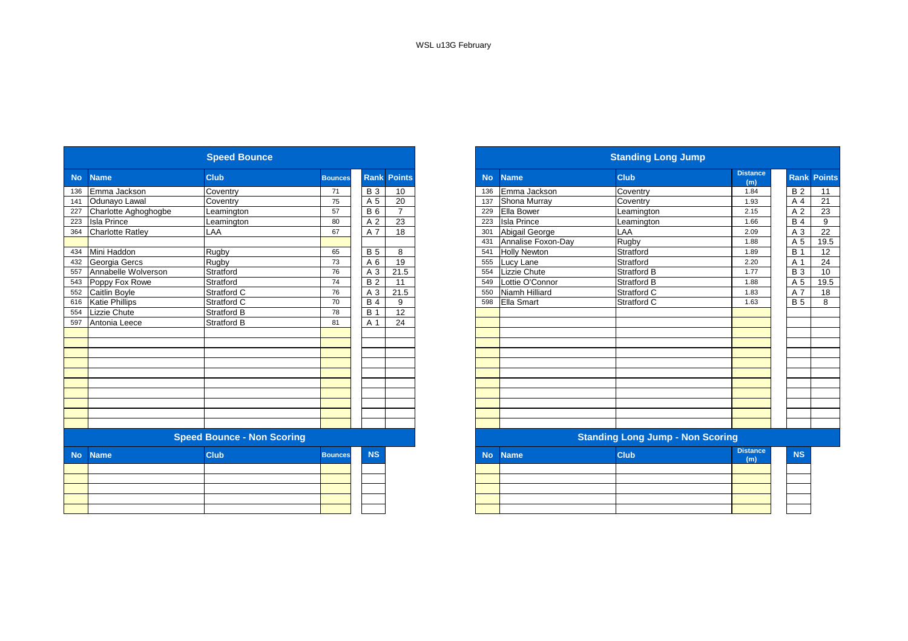|           |                         | <b>Speed Bounce</b>               |                |                |                    |           |                     | <b>Standing Long Jump</b>               |                        |
|-----------|-------------------------|-----------------------------------|----------------|----------------|--------------------|-----------|---------------------|-----------------------------------------|------------------------|
| <b>No</b> | <b>Name</b>             | <b>Club</b>                       | <b>Bounces</b> |                | <b>Rank Points</b> | <b>No</b> | <b>Name</b>         | <b>Club</b>                             | <b>Distance</b><br>(m) |
| 136       | Emma Jackson            | Coventry                          | 71             | <b>B</b> 3     | 10                 | 136       | Emma Jackson        | Coventry                                | 1.84                   |
| 141       | Odunayo Lawal           | Coventry                          | 75             | A 5            | 20                 | 137       | Shona Murray        | Coventry                                | 1.93                   |
| 227       | Charlotte Aghoghogbe    | Leamington                        | 57             | <b>B6</b>      | $\overline{7}$     | 229       | Ella Bower          | Leamington                              | 2.15                   |
| 223       | <b>Isla Prince</b>      | Leamington                        | 80             | A <sub>2</sub> | 23                 | 223       | <b>Isla Prince</b>  | Leamington                              | 1.66                   |
| 364       | <b>Charlotte Ratley</b> | LAA                               | 67             | A 7            | 18                 | 301       | Abigail George      | LAA                                     | 2.09                   |
|           |                         |                                   |                |                |                    | 431       | Annalise Foxon-Day  | Rugby                                   | 1.88                   |
| 434       | Mini Haddon             | Rugby                             | 65             | <b>B</b> 5     | 8                  | 541       | <b>Holly Newton</b> | Stratford                               | 1.89                   |
| 432       | Georgia Gercs           | Rugby                             | 73             | A 6            | 19                 | 555       | Lucy Lane           | Stratford                               | 2.20                   |
| 557       | Annabelle Wolverson     | Stratford                         | 76             | A 3            | 21.5               | 554       | Lizzie Chute        | <b>Stratford B</b>                      | 1.77                   |
| 543       | Poppy Fox Rowe          | Stratford                         | 74             | <b>B2</b>      | 11                 | 549       | Lottie O'Connor     | <b>Stratford B</b>                      | 1.88                   |
| 552       | Caitlin Boyle           | Stratford C                       | 76             | A 3            | 21.5               | 550       | Niamh Hilliard      | Stratford C                             | 1.83                   |
| 616       | <b>Katie Phillips</b>   | Stratford C                       | 70             | <b>B4</b>      | 9                  | 598       | Ella Smart          | Stratford C                             | 1.63                   |
| 554       | Lizzie Chute            | <b>Stratford B</b>                | 78             | <b>B</b> 1     | 12                 |           |                     |                                         |                        |
| 597       | Antonia Leece           | <b>Stratford B</b>                | 81             | A 1            | 24                 |           |                     |                                         |                        |
|           |                         |                                   |                |                |                    |           |                     |                                         |                        |
|           |                         |                                   |                |                |                    |           |                     |                                         |                        |
|           |                         |                                   |                |                |                    |           |                     |                                         |                        |
|           |                         |                                   |                |                |                    |           |                     |                                         |                        |
|           |                         |                                   |                |                |                    |           |                     |                                         |                        |
|           |                         |                                   |                |                |                    |           |                     |                                         |                        |
|           |                         |                                   |                |                |                    |           |                     |                                         |                        |
|           |                         |                                   |                |                |                    |           |                     |                                         |                        |
|           |                         |                                   |                |                |                    |           |                     |                                         |                        |
|           |                         |                                   |                |                |                    |           |                     |                                         |                        |
|           |                         | <b>Speed Bounce - Non Scoring</b> |                |                |                    |           |                     | <b>Standing Long Jump - Non Scoring</b> |                        |
| <b>No</b> | <b>Name</b>             | <b>Club</b>                       | <b>Bounces</b> | <b>NS</b>      |                    | <b>No</b> | <b>Name</b>         | <b>Club</b>                             | <b>Distance</b><br>(m) |
|           |                         |                                   |                |                |                    |           |                     |                                         |                        |
|           |                         |                                   |                |                |                    |           |                     |                                         |                        |
|           |                         |                                   |                |                |                    |           |                     |                                         |                        |
|           |                         |                                   |                |                |                    |           |                     |                                         |                        |
|           |                         |                                   |                |                |                    |           |                     |                                         |                        |

|           |                         | <b>Speed Bounce</b>               |                |            |                    |
|-----------|-------------------------|-----------------------------------|----------------|------------|--------------------|
|           | <b>Name</b>             | <b>Club</b>                       | <b>Bounces</b> |            | <b>Rank Points</b> |
|           | Emma Jackson            | Coventry                          | 71             | <b>B</b> 3 | 10                 |
|           | Odunayo Lawal           | Coventry                          | 75             | A 5        | 20                 |
|           | Charlotte Aghoghogbe    | Leamington                        | 57             | <b>B6</b>  | $\overline{7}$     |
|           | <b>Isla Prince</b>      | Leamington                        | 80             | A 2        | 23                 |
|           | <b>Charlotte Ratley</b> | LAA                               | 67             | A 7        | 18                 |
|           |                         |                                   |                |            |                    |
|           | Mini Haddon             | Rugby                             | 65             | <b>B</b> 5 | 8                  |
|           | Georgia Gercs           | Rugby                             | 73             | A 6        | 19                 |
|           | Annabelle Wolverson     | Stratford                         | 76             | A 3        | 21.5               |
| 543       | Poppy Fox Rowe          | Stratford                         | 74             | <b>B2</b>  | 11                 |
| 552       | <b>Caitlin Boyle</b>    | Stratford C                       | 76             | A 3        | 21.5               |
| 616       | <b>Katie Phillips</b>   | Stratford C                       | 70             | <b>B4</b>  | 9                  |
|           | Lizzie Chute            | <b>Stratford B</b>                | 78             | <b>B</b> 1 | 12                 |
|           | Antonia Leece           | Stratford B                       | 81             | A 1        | 24                 |
|           |                         |                                   |                |            |                    |
|           |                         |                                   |                |            |                    |
|           |                         |                                   |                |            |                    |
|           |                         |                                   |                |            |                    |
|           |                         |                                   |                |            |                    |
|           |                         |                                   |                |            |                    |
|           |                         |                                   |                |            |                    |
|           |                         |                                   |                |            |                    |
|           |                         |                                   |                |            |                    |
|           |                         |                                   |                |            |                    |
|           |                         | <b>Speed Bounce - Non Scoring</b> |                |            |                    |
| <b>No</b> | <b>Name</b>             | <b>Club</b>                       | <b>Bounces</b> | <b>NS</b>  |                    |
|           |                         |                                   |                |            |                    |
|           |                         |                                   |                |            |                    |
|           |                         |                                   |                |            |                    |
|           |                         |                                   |                |            |                    |
|           |                         |                                   |                |            |                    |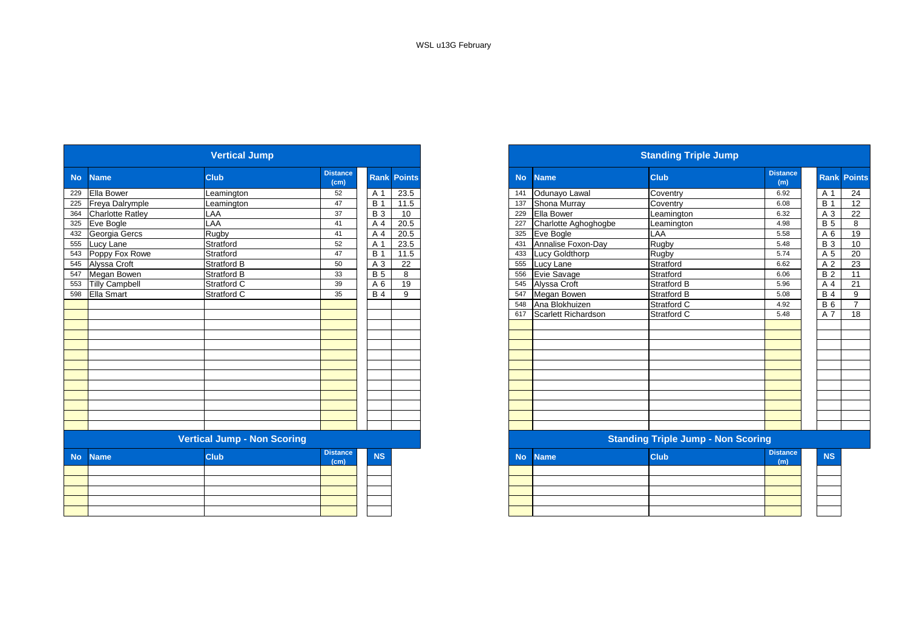|           |                       | <b>Vertical Jump</b>               |                         |            |                    |
|-----------|-----------------------|------------------------------------|-------------------------|------------|--------------------|
| <b>No</b> | <b>Name</b>           | Club                               | <b>Distance</b><br>(cm) |            | <b>Rank Points</b> |
| 229       | Ella Bower            | Leamington                         | 52                      | A 1        | 23.5               |
| 225       | Freya Dalrymple       | Leamington                         | 47                      | <b>B</b> 1 | 11.5               |
| 364       | Charlotte Ratley      | LAA                                | 37                      | <b>B</b> 3 | 10 <sup>°</sup>    |
| 325       | Eve Bogle             | LAA                                | 41                      | A 4        | 20.5               |
| 432       | Georgia Gercs         | Rugby                              | 41                      | A 4        | 20.5               |
| 555       | Lucy Lane             | Stratford                          | 52                      | A 1        | 23.5               |
| 543       | Poppy Fox Rowe        | Stratford                          | 47                      | <b>B</b> 1 | 11.5               |
| 545       | Alyssa Croft          | <b>Stratford B</b>                 | 50                      | A 3        | 22                 |
| 547       | Megan Bowen           | <b>Stratford B</b>                 | 33                      | <b>B</b> 5 | 8                  |
| 553       | <b>Tilly Campbell</b> | Stratford C                        | 39                      | A 6        | 19                 |
| 598       | Ella Smart            | Stratford C                        | 35                      | <b>B4</b>  | 9                  |
|           |                       |                                    |                         |            |                    |
|           |                       |                                    |                         |            |                    |
|           |                       |                                    |                         |            |                    |
|           |                       |                                    |                         |            |                    |
|           |                       |                                    |                         |            |                    |
|           |                       |                                    |                         |            |                    |
|           |                       |                                    |                         |            |                    |
|           |                       |                                    |                         |            |                    |
|           |                       |                                    |                         |            |                    |
|           |                       |                                    |                         |            |                    |
|           |                       |                                    |                         |            |                    |
|           |                       |                                    |                         |            |                    |
|           |                       |                                    |                         |            |                    |
|           |                       | <b>Vertical Jump - Non Scoring</b> |                         |            |                    |
| <b>No</b> | <b>Name</b>           | <b>Club</b>                        | <b>Distance</b><br>(cm) | <b>NS</b>  |                    |
|           |                       |                                    |                         |            |                    |
|           |                       |                                    |                         |            |                    |
|           |                       |                                    |                         |            |                    |
|           |                       |                                    |                         |            |                    |
|           |                       |                                    |                         |            |                    |
|           |                       |                                    |                         |            |                    |

|                         | <b>Vertical Jump</b>               |                         |            |                    |
|-------------------------|------------------------------------|-------------------------|------------|--------------------|
| <b>Name</b>             | <b>Club</b>                        | <b>Distance</b><br>(cm) |            | <b>Rank Points</b> |
| Ella Bower              | Leamington                         | 52                      | A 1        | 23.5               |
| Freya Dalrymple         | Leamington                         | 47                      | B          | 11.5               |
| <b>Charlotte Ratley</b> | LAA                                | 37                      | <b>B</b> 3 | 10                 |
| 325 Eve Bogle           | LAA                                | 41                      | A 4        | 20.5               |
| 432 Georgia Gercs       | Rugby                              | 41                      | A 4        | 20.5               |
| Lucy Lane               | Stratford                          | 52                      | A 1        | 23.5               |
| Poppy Fox Rowe          | Stratford                          | 47                      | <b>B</b> 1 | 11.5               |
| Alyssa Croft            | <b>Stratford B</b>                 | 50                      | A 3        | 22                 |
| Megan Bowen             | <b>Stratford B</b>                 | 33                      | <b>B</b> 5 | 8                  |
| <b>Tilly Campbell</b>   | Stratford C                        | 39                      | A 6        | 19                 |
| 598 Ella Smart          | Stratford C                        | 35                      | <b>B</b> 4 | 9                  |
|                         |                                    |                         |            |                    |
|                         |                                    |                         |            |                    |
|                         |                                    |                         |            |                    |
|                         |                                    |                         |            |                    |
|                         |                                    |                         |            |                    |
|                         |                                    |                         |            |                    |
|                         |                                    |                         |            |                    |
|                         |                                    |                         |            |                    |
|                         |                                    |                         |            |                    |
|                         |                                    |                         |            |                    |
|                         |                                    |                         |            |                    |
|                         |                                    |                         |            |                    |
|                         |                                    |                         |            |                    |
|                         | <b>Vertical Jump - Non Scoring</b> |                         |            |                    |
| <b>Name</b>             | <b>Club</b>                        | <b>Distance</b><br>(cm) | <b>NS</b>  |                    |
|                         |                                    |                         |            |                    |
|                         |                                    |                         |            |                    |
|                         |                                    |                         |            |                    |
|                         |                                    |                         |            |                    |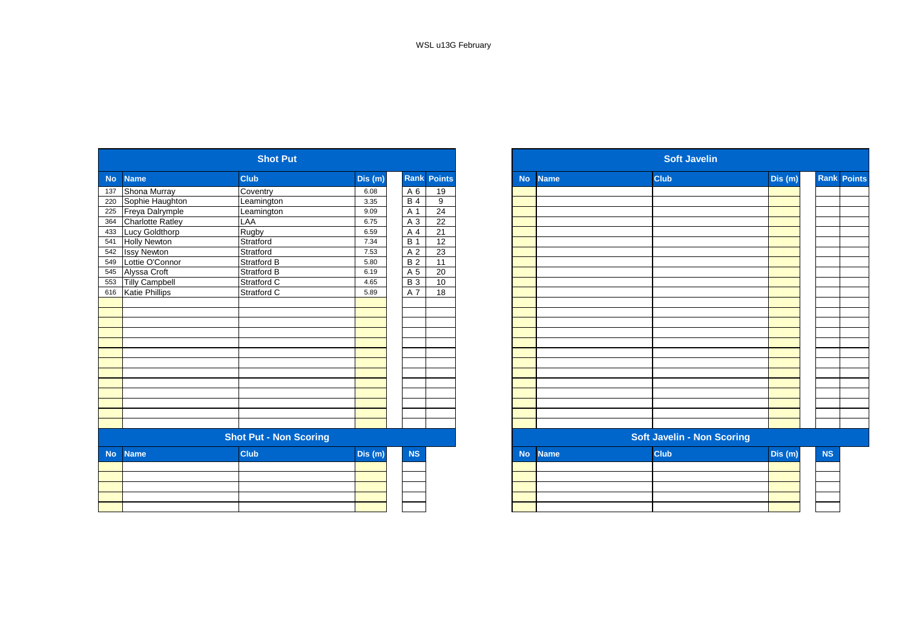|           |                         | <b>Shot Put</b>               |         |                  |                    |
|-----------|-------------------------|-------------------------------|---------|------------------|--------------------|
| <b>No</b> | <b>Name</b>             | <b>Club</b>                   | Dis (m) |                  | <b>Rank Points</b> |
| 137       | Shona Murray            | Coventry                      | 6.08    | A 6              | 19                 |
| 220       | Sophie Haughton         | Leamington                    | 3.35    | <b>B4</b>        | 9                  |
| 225       | Freya Dalrymple         | Leamington                    | 9.09    | A 1              | 24                 |
| 364       | <b>Charlotte Ratley</b> | LAA                           | 6.75    | A 3              | 22                 |
| 433       | Lucy Goldthorp          | Rugby                         | 6.59    | A 4              | $\overline{21}$    |
| 541       | <b>Holly Newton</b>     | Stratford                     | 7.34    | <b>B</b> 1       | 12                 |
| 542       | <b>Issy Newton</b>      | Stratford                     | 7.53    | A 2              | $\overline{23}$    |
| 549       | Lottie O'Connor         | Stratford B                   | 5.80    | B <sub>2</sub>   | $\overline{11}$    |
| 545       | Alyssa Croft            | Stratford B                   | 6.19    | A 5              | 20                 |
| 553       | <b>Tilly Campbell</b>   | Stratford C                   | 4.65    | $\overline{B}3$  | 10                 |
| 616       | Katie Phillips          | Stratford C                   | 5.89    | $\overline{A}$ 7 | $\overline{18}$    |
|           |                         |                               |         |                  |                    |
|           |                         |                               |         |                  |                    |
|           |                         |                               |         |                  |                    |
|           |                         |                               |         |                  |                    |
|           |                         |                               |         |                  |                    |
|           |                         |                               |         |                  |                    |
|           |                         |                               |         |                  |                    |
|           |                         |                               |         |                  |                    |
|           |                         |                               |         |                  |                    |
|           |                         |                               |         |                  |                    |
|           |                         |                               |         |                  |                    |
|           |                         |                               |         |                  |                    |
|           |                         |                               |         |                  |                    |
|           |                         | <b>Shot Put - Non Scoring</b> |         |                  |                    |
| <b>No</b> | <b>Name</b>             | <b>Club</b>                   | Dis (m) | <b>NS</b>        |                    |
|           |                         |                               |         |                  |                    |
|           |                         |                               |         |                  |                    |
|           |                         |                               |         |                  |                    |
|           |                         |                               |         |                  |                    |
|           |                         |                               |         |                  |                    |
|           |                         |                               |         |                  |                    |

|                   |                         | <b>Shot Put</b>               |        |                 |                    |
|-------------------|-------------------------|-------------------------------|--------|-----------------|--------------------|
| <b>No</b>         | <b>Name</b>             | <b>Club</b>                   | Dis(m) |                 | <b>Rank Points</b> |
| 137               | Shona Murray            | Coventry                      | 6.08   | A 6             | 19                 |
| 220<br>225        | Sophie Haughton         | Leamington                    | 3.35   | <b>B4</b>       | 9                  |
|                   | Freya Dalrymple         | Leamington                    | 9.09   | A 1             | 24                 |
| 364               | <b>Charlotte Ratley</b> | LAA                           | 6.75   | A 3             | 22                 |
| 433               | Lucy Goldthorp          | Rugby                         | 6.59   | A 4             | $\overline{21}$    |
| 541               | <b>Holly Newton</b>     | Stratford                     | 7.34   | <b>B</b> 1      | 12                 |
| 542               | <b>Issy Newton</b>      | Stratford                     | 7.53   | A 2             | 23                 |
| 549               | Lottie O'Connor         | Stratford B                   | 5.80   | <b>B2</b>       | 11                 |
|                   | Alyssa Croft            | <b>Stratford B</b>            | 6.19   | A 5             | 20                 |
| 545<br>553<br>616 | <b>Tilly Campbell</b>   | Stratford C                   | 4.65   | $\overline{B}3$ | 10 <sup>1</sup>    |
|                   | <b>Katie Phillips</b>   | Stratford C                   | 5.89   | A 7             | 18                 |
|                   |                         |                               |        |                 |                    |
|                   |                         |                               |        |                 |                    |
|                   |                         |                               |        |                 |                    |
|                   |                         |                               |        |                 |                    |
|                   |                         |                               |        |                 |                    |
|                   |                         |                               |        |                 |                    |
|                   |                         |                               |        |                 |                    |
|                   |                         |                               |        |                 |                    |
|                   |                         |                               |        |                 |                    |
|                   |                         |                               |        |                 |                    |
|                   |                         |                               |        |                 |                    |
|                   |                         |                               |        |                 |                    |
|                   |                         |                               |        |                 |                    |
|                   |                         | <b>Shot Put - Non Scoring</b> |        |                 |                    |
| <b>No</b>         | <b>Name</b>             | <b>Club</b>                   | Dis(m) | NS              |                    |
|                   |                         |                               |        |                 |                    |
|                   |                         |                               |        |                 |                    |
|                   |                         |                               |        |                 |                    |
|                   |                         |                               |        |                 |                    |
|                   |                         |                               |        |                 |                    |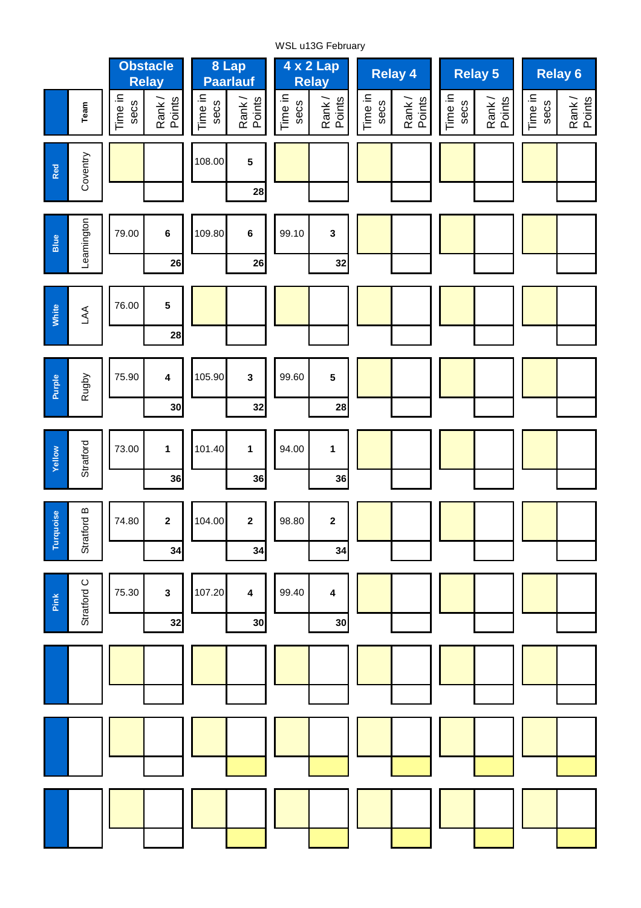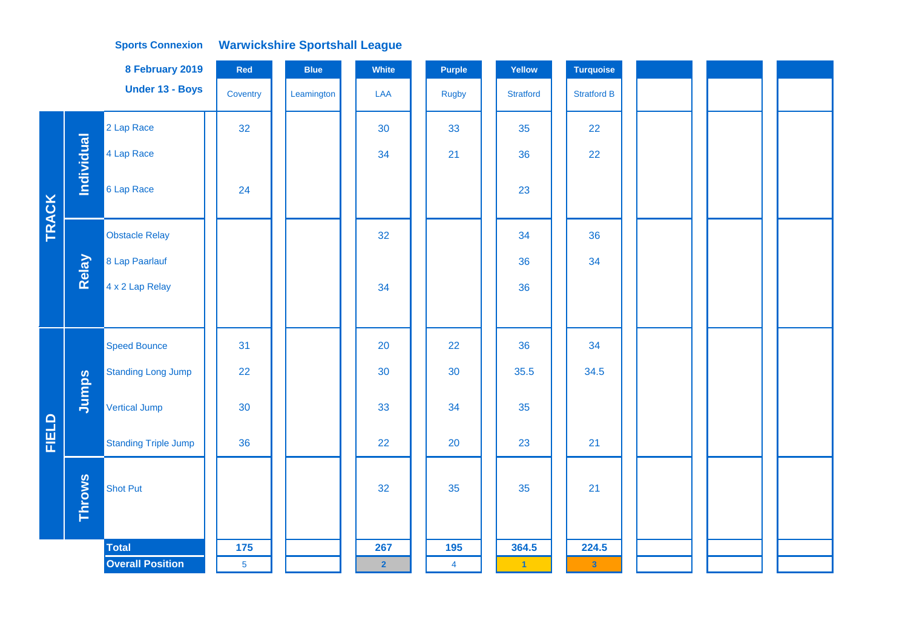## **Warwickshire Sportshall League Sports Connexion**

|       |               | 8 February 2019             | Red            | <b>Blue</b> | White          | Purple         | Yellow           | <b>Turquoise</b>        |  |  |
|-------|---------------|-----------------------------|----------------|-------------|----------------|----------------|------------------|-------------------------|--|--|
|       |               | Under 13 - Boys             | Coventry       | Leamington  | LAA            | <b>Rugby</b>   | <b>Stratford</b> | <b>Stratford B</b>      |  |  |
|       |               | 2 Lap Race                  | 32             |             | 30             | 33             | 35               | 22                      |  |  |
|       | Individual    | 4 Lap Race                  |                |             | 34             | 21             | 36               | 22                      |  |  |
| TRACK |               | 6 Lap Race                  | 24             |             |                |                | 23               |                         |  |  |
|       |               | <b>Obstacle Relay</b>       |                |             | 32             |                | 34               | 36                      |  |  |
|       | Relay         | 8 Lap Paarlauf              |                |             |                |                | 36               | 34                      |  |  |
|       |               | 4 x 2 Lap Relay             |                |             | 34             |                | 36               |                         |  |  |
|       |               |                             |                |             |                |                |                  |                         |  |  |
|       |               | <b>Speed Bounce</b>         | 31             |             | 20             | 22             | 36               | 34                      |  |  |
|       |               | <b>Standing Long Jump</b>   | 22             |             | 30             | 30             | 35.5             | 34.5                    |  |  |
|       | Jumps         | <b>Vertical Jump</b>        | 30             |             | 33             | 34             | 35               |                         |  |  |
| FIELD |               | <b>Standing Triple Jump</b> | 36             |             | 22             | 20             | 23               | 21                      |  |  |
|       | <b>Throws</b> | <b>Shot Put</b>             |                |             | 32             | 35             | 35               | 21                      |  |  |
|       |               | <b>Total</b>                | 175            |             | 267            | 195            | 364.5            | 224.5                   |  |  |
|       |               | <b>Overall Position</b>     | $\overline{5}$ |             | $\overline{2}$ | $\overline{4}$ | $\blacksquare$   | $\overline{\mathbf{3}}$ |  |  |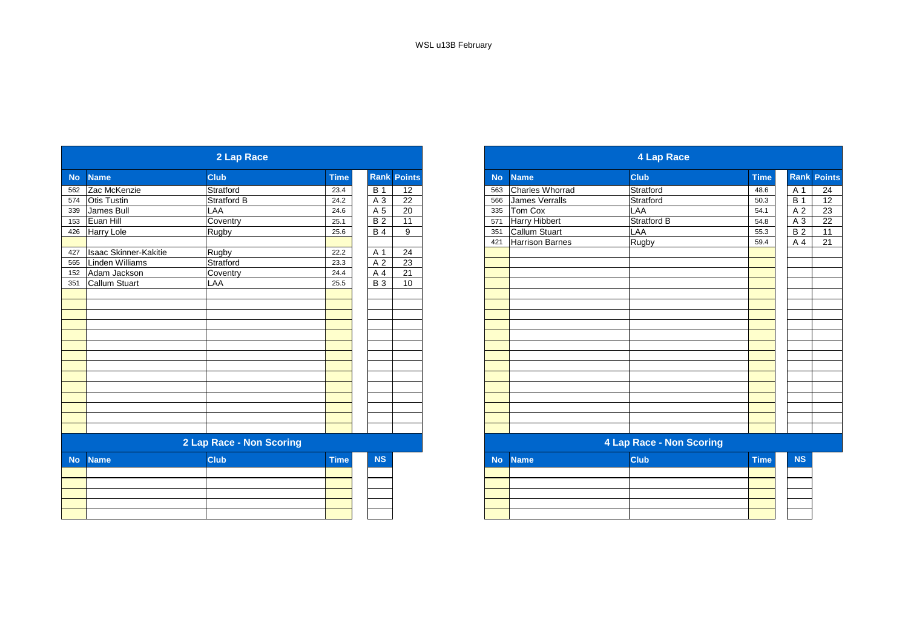|           |                              | 2 Lap Race               |             |                 |                    |           |                       | <b>4 Lap Race</b>        |             |
|-----------|------------------------------|--------------------------|-------------|-----------------|--------------------|-----------|-----------------------|--------------------------|-------------|
| <b>No</b> | <b>Name</b>                  | <b>Club</b>              | <b>Time</b> |                 | <b>Rank Points</b> | <b>No</b> | <b>Name</b>           | <b>Club</b>              | <b>Time</b> |
| 562       | Zac McKenzie                 | Stratford                | 23.4        | <b>B</b> 1      | 12                 | 563       | Charles Whorrad       | Stratford                | 48.6        |
| 574       | <b>Otis Tustin</b>           | Stratford B              | 24.2        | A 3             | 22                 | 566       | <b>James Verralls</b> | Stratford                | 50.3        |
| 339       | James Bull                   | LAA                      | 24.6        | A 5             | 20                 | 335       | Tom Cox               | LAA                      | 54.1        |
| 153       | Euan Hill                    | Coventry                 | 25.1        | $\overline{B2}$ | 11                 | 571       | <b>Harry Hibbert</b>  | <b>Stratford B</b>       | 54.8        |
| 426       | <b>Harry Lole</b>            | Rugby                    | 25.6        | <b>B4</b>       | 9                  | 351       | <b>Callum Stuart</b>  | LAA                      | 55.3        |
|           |                              |                          |             |                 |                    | 421       | Harrison Barnes       | Rugby                    | 59.4        |
| 427       | <b>Isaac Skinner-Kakitie</b> | Rugby                    | 22.2        | A 1             | 24                 |           |                       |                          |             |
| 565       | Linden Williams              | Stratford                | 23.3        | A 2             | 23                 |           |                       |                          |             |
| 152       | Adam Jackson                 | Coventry                 | 24.4        | A 4             | $\overline{21}$    |           |                       |                          |             |
| 351       | <b>Callum Stuart</b>         | LAA                      | 25.5        | <b>B3</b>       | 10                 |           |                       |                          |             |
|           |                              |                          |             |                 |                    |           |                       |                          |             |
|           |                              |                          |             |                 |                    |           |                       |                          |             |
|           |                              |                          |             |                 |                    |           |                       |                          |             |
|           |                              |                          |             |                 |                    |           |                       |                          |             |
|           |                              |                          |             |                 |                    |           |                       |                          |             |
|           |                              |                          |             |                 |                    |           |                       |                          |             |
|           |                              |                          |             |                 |                    |           |                       |                          |             |
|           |                              |                          |             |                 |                    |           |                       |                          |             |
|           |                              |                          |             |                 |                    |           |                       |                          |             |
|           |                              |                          |             |                 |                    |           |                       |                          |             |
|           |                              |                          |             |                 |                    |           |                       |                          |             |
|           |                              |                          |             |                 |                    |           |                       |                          |             |
|           |                              |                          |             |                 |                    |           |                       |                          |             |
|           |                              |                          |             |                 |                    |           |                       |                          |             |
|           |                              | 2 Lap Race - Non Scoring |             |                 |                    |           |                       | 4 Lap Race - Non Scoring |             |
| <b>No</b> | <b>Name</b>                  | <b>Club</b>              | <b>Time</b> | <b>NS</b>       |                    | <b>No</b> | <b>Name</b>           | <b>Club</b>              | <b>Time</b> |
|           |                              |                          |             |                 |                    |           |                       |                          |             |
|           |                              |                          |             |                 |                    |           |                       |                          |             |
|           |                              |                          |             |                 |                    |           |                       |                          |             |
|           |                              |                          |             |                 |                    |           |                       |                          |             |
|           |                              |                          |             |                 |                    |           |                       |                          |             |

|           |                       | 2 Lap Race               |             |                 |                    |           |                        | <b>4 Lap Race</b>        |             |                         |
|-----------|-----------------------|--------------------------|-------------|-----------------|--------------------|-----------|------------------------|--------------------------|-------------|-------------------------|
|           | <b>Name</b>           | <b>Club</b>              | <b>Time</b> |                 | <b>Rank Points</b> | <b>No</b> | <b>Name</b>            | <b>Club</b>              | <b>Time</b> | <b>Rank Points</b>      |
|           | Zac McKenzie          | Stratford                | 23.4        | <b>B</b> 1      | 12                 | 563       | Charles Whorrad        | Stratford                | 48.6        | A 1<br>$\overline{B}$ 1 |
|           | <b>Otis Tustin</b>    | <b>Stratford B</b>       | 24.2        | A 3             | $\overline{22}$    | 566       | <b>James Verralls</b>  | Stratford                | 50.3        |                         |
| 339       | James Bull            | LAA                      | 24.6        | A 5             | 20                 | 335       | Tom Cox                | LAA                      | 54.1        |                         |
| 153       | Euan Hill             | Coventry                 | 25.1        | $\overline{B2}$ | 11                 | 571       | <b>Harry Hibbert</b>   | <b>Stratford B</b>       | 54.8        |                         |
| 426       | <b>Harry Lole</b>     | <b>Rugby</b>             | 25.6        | $\overline{B4}$ | 9                  | 351       | <b>Callum Stuart</b>   | LAA                      | 55.3        |                         |
|           |                       |                          |             |                 |                    | 421       | <b>Harrison Barnes</b> | Rugby                    | 59.4        |                         |
| 427       | Isaac Skinner-Kakitie | Rugby                    | 22.2        | A 1             | 24                 |           |                        |                          |             |                         |
| 565       | Linden Williams       | Stratford                | 23.3        | A 2             | 23                 |           |                        |                          |             |                         |
| 152       | Adam Jackson          | Coventry                 | 24.4        | A 4             | 21                 |           |                        |                          |             |                         |
| 351       | Callum Stuart         | LAA                      | 25.5        | <b>B</b> 3      | 10                 |           |                        |                          |             |                         |
|           |                       |                          |             |                 |                    |           |                        |                          |             |                         |
|           |                       |                          |             |                 |                    |           |                        |                          |             |                         |
|           |                       |                          |             |                 |                    |           |                        |                          |             |                         |
|           |                       |                          |             |                 |                    |           |                        |                          |             |                         |
|           |                       |                          |             |                 |                    |           |                        |                          |             |                         |
|           |                       |                          |             |                 |                    |           |                        |                          |             |                         |
|           |                       |                          |             |                 |                    |           |                        |                          |             |                         |
|           |                       |                          |             |                 |                    |           |                        |                          |             |                         |
|           |                       |                          |             |                 |                    |           |                        |                          |             |                         |
|           |                       |                          |             |                 |                    |           |                        |                          |             |                         |
|           |                       |                          |             |                 |                    |           |                        |                          |             |                         |
|           |                       |                          |             |                 |                    |           |                        |                          |             |                         |
|           |                       |                          |             |                 |                    |           |                        |                          |             |                         |
|           |                       | 2 Lap Race - Non Scoring |             |                 |                    |           |                        | 4 Lap Race - Non Scoring |             |                         |
|           |                       |                          |             |                 |                    |           |                        |                          |             |                         |
| <b>No</b> | <b>Name</b>           | <b>Club</b>              | <b>Time</b> | <b>NS</b>       |                    | <b>No</b> | <b>Name</b>            | <b>Club</b>              | <b>Time</b> |                         |
|           |                       |                          |             |                 |                    |           |                        |                          |             |                         |
|           |                       |                          |             |                 |                    |           |                        |                          |             |                         |
|           |                       |                          |             |                 |                    |           |                        |                          |             |                         |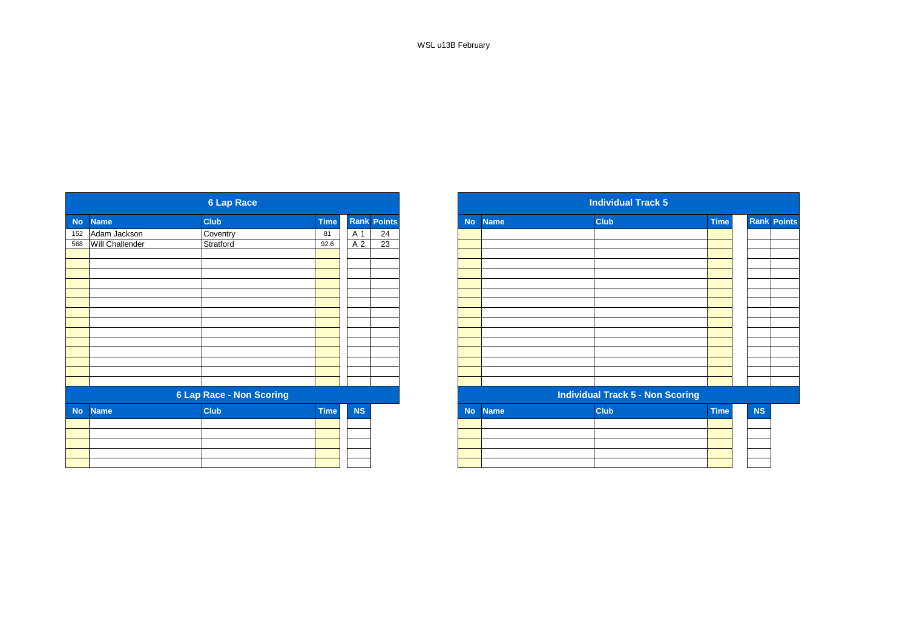WSL u13B February

|           |                  | <b>6 Lap Race</b>               |             |           |                    |
|-----------|------------------|---------------------------------|-------------|-----------|--------------------|
| <b>No</b> | <b>Name</b>      | <b>Club</b>                     | <b>Time</b> |           | <b>Rank Points</b> |
|           | 152 Adam Jackson | Coventry                        | 81          | A 1       | 24                 |
| 568       | Will Challender  | Stratford                       | 92.6        | A 2       | $\overline{23}$    |
|           |                  |                                 |             |           |                    |
|           |                  |                                 |             |           |                    |
|           |                  |                                 |             |           |                    |
|           |                  |                                 |             |           |                    |
|           |                  |                                 |             |           |                    |
|           |                  |                                 |             |           |                    |
|           |                  |                                 |             |           |                    |
|           |                  |                                 |             |           |                    |
|           |                  |                                 |             |           |                    |
|           |                  |                                 |             |           |                    |
|           |                  |                                 |             |           |                    |
|           |                  |                                 |             |           |                    |
|           |                  |                                 |             |           |                    |
|           |                  |                                 |             |           |                    |
|           |                  | <b>6 Lap Race - Non Scoring</b> |             |           |                    |
| <b>No</b> | <b>Name</b>      | Club                            | <b>Time</b> | <b>NS</b> |                    |
|           |                  |                                 |             |           |                    |
|           |                  |                                 |             |           |                    |
|           |                  |                                 |             |           |                    |
|           |                  |                                 |             |           |                    |
|           |                  |                                 |             |           |                    |
|           |                  |                                 |             |           |                    |

|           |                 | <b>6 Lap Race</b>               |             |                |                    |
|-----------|-----------------|---------------------------------|-------------|----------------|--------------------|
|           | <b>Name</b>     | <b>Club</b>                     | <b>Time</b> |                | <b>Rank Points</b> |
|           | Adam Jackson    | Coventry                        | 81          | A 1            | 24                 |
|           | Will Challender | Stratford                       | 92.6        | A <sub>2</sub> | $\overline{23}$    |
|           |                 |                                 |             |                |                    |
|           |                 |                                 |             |                |                    |
|           |                 |                                 |             |                |                    |
|           |                 |                                 |             |                |                    |
|           |                 |                                 |             |                |                    |
|           |                 |                                 |             |                |                    |
|           |                 |                                 |             |                |                    |
|           |                 |                                 |             |                |                    |
|           |                 |                                 |             |                |                    |
|           |                 |                                 |             |                |                    |
|           |                 |                                 |             |                |                    |
|           |                 |                                 |             |                |                    |
|           |                 | <b>6 Lap Race - Non Scoring</b> |             |                |                    |
| <b>No</b> | <b>Name</b>     | <b>Club</b>                     | <b>Time</b> | <b>NS</b>      |                    |
|           |                 |                                 |             |                |                    |
|           |                 |                                 |             |                |                    |
|           |                 |                                 |             |                |                    |
|           |                 |                                 |             |                |                    |
|           |                 |                                 |             |                |                    |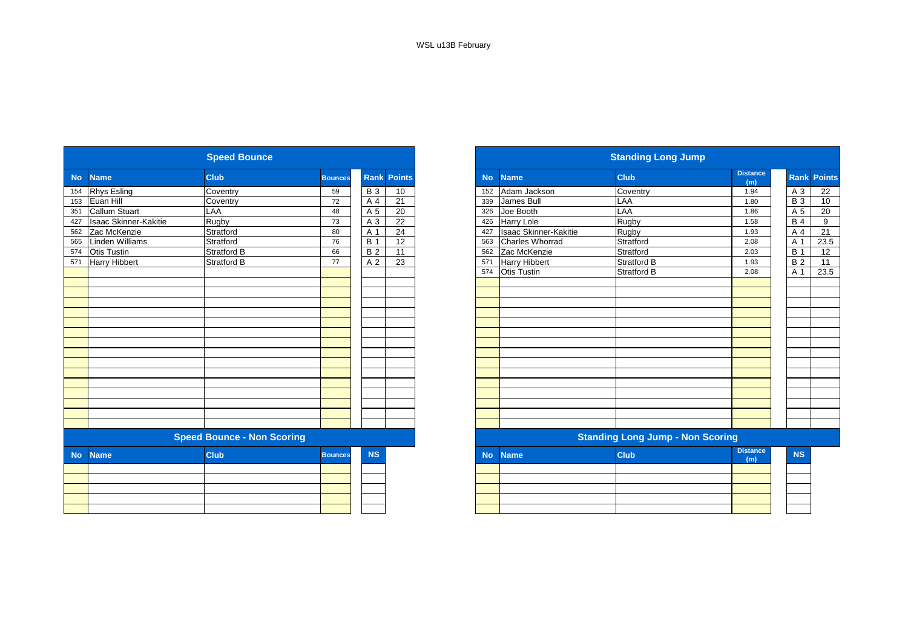|           |                              |                                   |                |            |                    |  | <b>Standing Long Jump</b> |                              |                                         |                        |  |  |  |
|-----------|------------------------------|-----------------------------------|----------------|------------|--------------------|--|---------------------------|------------------------------|-----------------------------------------|------------------------|--|--|--|
| <b>No</b> | <b>Name</b>                  | <b>Club</b>                       | <b>Bounces</b> |            | <b>Rank Points</b> |  | <b>No</b>                 | <b>Name</b>                  | <b>Club</b>                             | <b>Distance</b><br>(m) |  |  |  |
| 154       | <b>Rhys Esling</b>           | Coventry                          | 59             | <b>B</b> 3 | 10                 |  | 152                       | Adam Jackson                 | Coventry                                | 1.94                   |  |  |  |
| 153       | Euan Hill                    | Coventry                          | 72             | A 4        | 21                 |  | 339                       | James Bull                   | LAA                                     | 1.80                   |  |  |  |
| 351       | <b>Callum Stuart</b>         | LAA                               | 48             | A 5        | 20                 |  | 326                       | Joe Booth                    | LAA                                     | 1.86                   |  |  |  |
| 427       | <b>Isaac Skinner-Kakitie</b> | <b>Rugby</b>                      | 73             | A 3        | 22                 |  | 426                       | <b>Harry Lole</b>            | Rugby                                   | 1.58                   |  |  |  |
| 562       | Zac McKenzie                 | Stratford                         | 80             | A 1        | 24                 |  | 427                       | <b>Isaac Skinner-Kakitie</b> | Rugby                                   | 1.93                   |  |  |  |
| 565       | Linden Williams              | Stratford                         | 76             | <b>B</b> 1 | 12                 |  | 563                       | <b>Charles Whorrad</b>       | Stratford                               | 2.08                   |  |  |  |
| 574       | <b>Otis Tustin</b>           | <b>Stratford B</b>                | 66             | <b>B2</b>  | 11                 |  | 562                       | Zac McKenzie                 | Stratford                               | 2.03                   |  |  |  |
| 571       | <b>Harry Hibbert</b>         | <b>Stratford B</b>                | 77             | A 2        | 23                 |  | 571                       | <b>Harry Hibbert</b>         | <b>Stratford B</b>                      | 1.93                   |  |  |  |
|           |                              |                                   |                |            |                    |  | 574                       | <b>Otis Tustin</b>           | Stratford B                             | 2.08                   |  |  |  |
|           |                              |                                   |                |            |                    |  |                           |                              |                                         |                        |  |  |  |
|           |                              |                                   |                |            |                    |  |                           |                              |                                         |                        |  |  |  |
|           |                              |                                   |                |            |                    |  |                           |                              |                                         |                        |  |  |  |
|           |                              |                                   |                |            |                    |  |                           |                              |                                         |                        |  |  |  |
|           |                              |                                   |                |            |                    |  |                           |                              |                                         |                        |  |  |  |
|           |                              |                                   |                |            |                    |  |                           |                              |                                         |                        |  |  |  |
|           |                              |                                   |                |            |                    |  |                           |                              |                                         |                        |  |  |  |
|           |                              |                                   |                |            |                    |  |                           |                              |                                         |                        |  |  |  |
|           |                              |                                   |                |            |                    |  |                           |                              |                                         |                        |  |  |  |
|           |                              |                                   |                |            |                    |  |                           |                              |                                         |                        |  |  |  |
|           |                              |                                   |                |            |                    |  |                           |                              |                                         |                        |  |  |  |
|           |                              |                                   |                |            |                    |  |                           |                              |                                         |                        |  |  |  |
|           |                              |                                   |                |            |                    |  |                           |                              |                                         |                        |  |  |  |
|           |                              |                                   |                |            |                    |  |                           |                              |                                         |                        |  |  |  |
|           |                              |                                   |                |            |                    |  |                           |                              |                                         |                        |  |  |  |
|           |                              | <b>Speed Bounce - Non Scoring</b> |                |            |                    |  |                           |                              | <b>Standing Long Jump - Non Scoring</b> |                        |  |  |  |
| <b>No</b> | <b>Name</b>                  | <b>Club</b>                       | <b>Bounces</b> | <b>NS</b>  |                    |  | <b>No</b>                 | <b>Name</b>                  | <b>Club</b>                             | <b>Distance</b><br>(m) |  |  |  |
|           |                              |                                   |                |            |                    |  |                           |                              |                                         |                        |  |  |  |
|           |                              |                                   |                |            |                    |  |                           |                              |                                         |                        |  |  |  |
|           |                              |                                   |                |            |                    |  |                           |                              |                                         |                        |  |  |  |
|           |                              |                                   |                |            |                    |  |                           |                              |                                         |                        |  |  |  |
|           |                              |                                   |                |            |                    |  |                           |                              |                                         |                        |  |  |  |
|           |                              |                                   |                |            |                    |  |                           |                              |                                         |                        |  |  |  |

|                  |                              | <b>Speed Bounce</b>               |                |                  |                    |                          |                              | <b>Standing Long Jump</b>               |                        |            |                    |
|------------------|------------------------------|-----------------------------------|----------------|------------------|--------------------|--------------------------|------------------------------|-----------------------------------------|------------------------|------------|--------------------|
| <b>No</b>        | <b>Name</b>                  | <b>Club</b>                       | <b>Bounces</b> |                  | <b>Rank Points</b> | <b>No</b>                | <b>Name</b>                  | <b>Club</b>                             | <b>Distance</b><br>(m) |            | <b>Rank Points</b> |
| 154              | <b>Rhys Esling</b>           | Coventry                          | 59             | <b>B</b> 3       | 10                 | 152                      | Adam Jackson                 | Coventry                                | 1.94                   | A 3        | 22                 |
| 153              | Euan Hill                    | Coventry                          | 72             | A 4              | 21                 | 339                      | James Bull                   | LAA                                     | 1.80                   | <b>B3</b>  | 10                 |
| 351              | Callum Stuart                | LAA                               | 48             | A 5              | 20                 | 326                      | Joe Booth                    | LAA                                     | 1.86                   | A 5        | 20                 |
| 427              | <b>Isaac Skinner-Kakitie</b> | Rugby                             | 73             | A 3              | 22                 | 426                      | <b>Harry Lole</b>            | Rugby                                   | 1.58                   | <b>B4</b>  | 9                  |
| 562              | Zac McKenzie                 | Stratford                         | 80             | A 1              | 24                 | 427                      | <b>Isaac Skinner-Kakitie</b> | Rugby                                   | 1.93                   | A 4        | 21                 |
| 565<br>574       | Linden Williams              | Stratford                         | 76             | $\overline{B}$ 1 | 12                 | 563                      | Charles Whorrad              | Stratford                               | 2.08                   | A 1        | 23.5               |
|                  | <b>Otis Tustin</b>           | Stratford B                       | 66             | <b>B2</b>        | 11                 | 562                      | Zac McKenzie                 | Stratford                               | 2.03                   | <b>B</b> 1 | 12                 |
| $\overline{571}$ | <b>Harry Hibbert</b>         | <b>Stratford B</b>                | 77             | A 2              | 23                 | 571                      | <b>Harry Hibbert</b>         | Stratford B                             | 1.93                   | <b>B2</b>  | 11                 |
|                  |                              |                                   |                |                  |                    | 574                      | Otis Tustin                  | Stratford B                             | 2.08                   | A 1        | 23.5               |
|                  |                              |                                   |                |                  |                    |                          |                              |                                         |                        |            |                    |
|                  |                              |                                   |                |                  |                    |                          |                              |                                         |                        |            |                    |
|                  |                              |                                   |                |                  |                    |                          |                              |                                         |                        |            |                    |
|                  |                              |                                   |                |                  |                    |                          |                              |                                         |                        |            |                    |
|                  |                              |                                   |                |                  |                    |                          |                              |                                         |                        |            |                    |
|                  |                              |                                   |                |                  |                    |                          |                              |                                         |                        |            |                    |
|                  |                              |                                   |                |                  |                    |                          |                              |                                         |                        |            |                    |
|                  |                              |                                   |                |                  |                    |                          |                              |                                         |                        |            |                    |
|                  |                              |                                   |                |                  |                    |                          |                              |                                         |                        |            |                    |
|                  |                              |                                   |                |                  |                    |                          |                              |                                         |                        |            |                    |
|                  |                              |                                   |                |                  |                    |                          |                              |                                         |                        |            |                    |
|                  |                              |                                   |                |                  |                    |                          |                              |                                         |                        |            |                    |
|                  |                              |                                   |                |                  |                    |                          |                              |                                         |                        |            |                    |
|                  |                              |                                   |                |                  |                    |                          |                              |                                         |                        |            |                    |
|                  |                              |                                   |                |                  |                    |                          |                              |                                         |                        |            |                    |
|                  |                              | <b>Speed Bounce - Non Scoring</b> |                |                  |                    |                          |                              | <b>Standing Long Jump - Non Scoring</b> |                        |            |                    |
| <b>No</b>        | <b>Name</b>                  | <b>Club</b>                       | <b>Bounces</b> | <b>NS</b>        |                    | <b>No</b><br><b>Name</b> |                              | <b>Club</b>                             | <b>Distance</b><br>(m) | <b>NS</b>  |                    |
|                  |                              |                                   |                |                  |                    |                          |                              |                                         |                        |            |                    |
|                  |                              |                                   |                |                  |                    |                          |                              |                                         |                        |            |                    |
|                  |                              |                                   |                |                  |                    |                          |                              |                                         |                        |            |                    |
|                  |                              |                                   |                |                  |                    |                          |                              |                                         |                        |            |                    |
|                  |                              |                                   |                |                  |                    |                          |                              |                                         |                        |            |                    |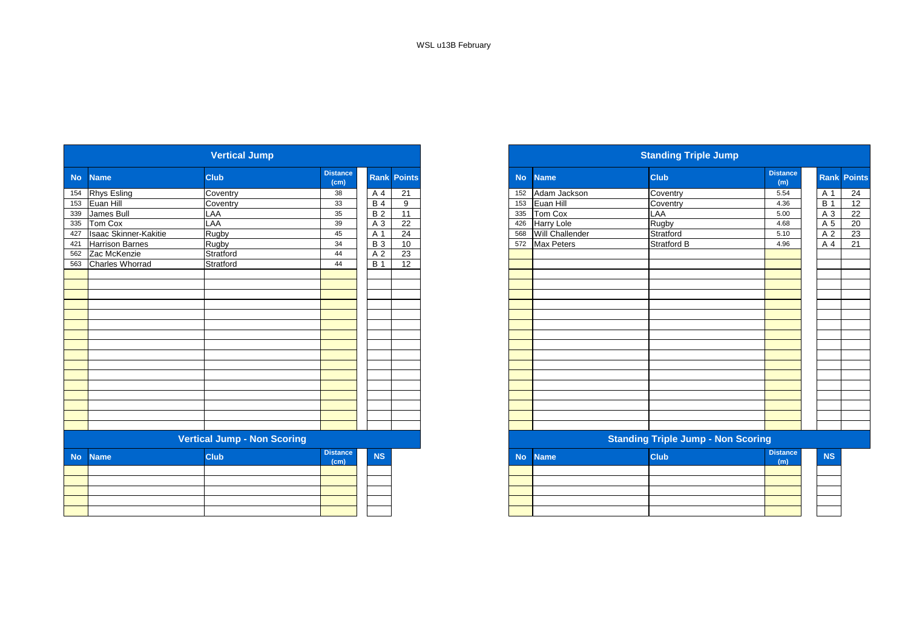|           | <b>Vertical Jump</b>         |                                    |                         |            |                    |  |  |  |  |  |  |  |  |  |
|-----------|------------------------------|------------------------------------|-------------------------|------------|--------------------|--|--|--|--|--|--|--|--|--|
| <b>No</b> | <b>Name</b>                  | <b>Club</b>                        | <b>Distance</b><br>(cm) |            | <b>Rank Points</b> |  |  |  |  |  |  |  |  |  |
| 154       | <b>Rhys Esling</b>           | Coventry                           | 38                      | A 4        | 21                 |  |  |  |  |  |  |  |  |  |
| 153       | Euan Hill                    | Coventry                           | 33                      | <b>B4</b>  | 9                  |  |  |  |  |  |  |  |  |  |
| 339       | James Bull                   | LAA                                | 35                      | <b>B2</b>  | 11                 |  |  |  |  |  |  |  |  |  |
| 335       | Tom Cox                      | LAA                                | 39                      | A 3        | 22                 |  |  |  |  |  |  |  |  |  |
| 427       | <b>Isaac Skinner-Kakitie</b> | Rugby                              | 45                      | A 1        | 24                 |  |  |  |  |  |  |  |  |  |
| 421       | <b>Harrison Barnes</b>       | Rugby                              | 34                      | <b>B3</b>  | 10                 |  |  |  |  |  |  |  |  |  |
| 562       | Zac McKenzie                 | Stratford                          | 44                      | A 2        | 23                 |  |  |  |  |  |  |  |  |  |
| 563       | Charles Whorrad              | Stratford                          | 44                      | <b>B</b> 1 | 12                 |  |  |  |  |  |  |  |  |  |
|           |                              |                                    |                         |            |                    |  |  |  |  |  |  |  |  |  |
|           |                              |                                    |                         |            |                    |  |  |  |  |  |  |  |  |  |
|           |                              |                                    |                         |            |                    |  |  |  |  |  |  |  |  |  |
|           |                              |                                    |                         |            |                    |  |  |  |  |  |  |  |  |  |
|           |                              |                                    |                         |            |                    |  |  |  |  |  |  |  |  |  |
|           |                              |                                    |                         |            |                    |  |  |  |  |  |  |  |  |  |
|           |                              |                                    |                         |            |                    |  |  |  |  |  |  |  |  |  |
|           |                              |                                    |                         |            |                    |  |  |  |  |  |  |  |  |  |
|           |                              |                                    |                         |            |                    |  |  |  |  |  |  |  |  |  |
|           |                              |                                    |                         |            |                    |  |  |  |  |  |  |  |  |  |
|           |                              |                                    |                         |            |                    |  |  |  |  |  |  |  |  |  |
|           |                              |                                    |                         |            |                    |  |  |  |  |  |  |  |  |  |
|           |                              |                                    |                         |            |                    |  |  |  |  |  |  |  |  |  |
|           |                              | <b>Vertical Jump - Non Scoring</b> |                         |            |                    |  |  |  |  |  |  |  |  |  |
| <b>No</b> | <b>Name</b>                  | Club                               | <b>Distance</b>         | <b>NS</b>  |                    |  |  |  |  |  |  |  |  |  |
|           |                              |                                    | (cm)                    |            |                    |  |  |  |  |  |  |  |  |  |
|           |                              |                                    |                         |            |                    |  |  |  |  |  |  |  |  |  |
|           |                              |                                    |                         |            |                    |  |  |  |  |  |  |  |  |  |
|           |                              |                                    |                         |            |                    |  |  |  |  |  |  |  |  |  |
|           |                              |                                    |                         |            |                    |  |  |  |  |  |  |  |  |  |

| <b>Vertical Jump</b> |                              |                                    |                         |            |                    |  |  |
|----------------------|------------------------------|------------------------------------|-------------------------|------------|--------------------|--|--|
|                      | <b>Name</b>                  | <b>Club</b>                        | <b>Distance</b><br>(cm) |            | <b>Rank Points</b> |  |  |
|                      | <b>Rhys Esling</b>           | Coventry                           | 38                      | A 4        | 21                 |  |  |
| 153                  | Euan Hill                    | Coventry                           | 33                      | <b>B</b> 4 | 9                  |  |  |
| 339                  | James Bull                   | LAA                                | 35                      | <b>B2</b>  | 11                 |  |  |
|                      | 335 Tom Cox                  | LAA                                | 39                      | A 3        | $\overline{22}$    |  |  |
| 427                  | <b>Isaac Skinner-Kakitie</b> | Rugby                              | 45                      | A 1        | 24                 |  |  |
| 421                  | <b>Harrison Barnes</b>       | Rugby                              | 34                      | <b>B</b> 3 | 10                 |  |  |
|                      | 562 Zac McKenzie             | Stratford                          | 44                      | A 2        | 23                 |  |  |
|                      | 563 Charles Whorrad          | Stratford                          | 44                      | <b>B</b> 1 | 12                 |  |  |
|                      |                              |                                    |                         |            |                    |  |  |
|                      |                              |                                    |                         |            |                    |  |  |
|                      |                              |                                    |                         |            |                    |  |  |
|                      |                              |                                    |                         |            |                    |  |  |
|                      |                              |                                    |                         |            |                    |  |  |
|                      |                              |                                    |                         |            |                    |  |  |
|                      |                              |                                    |                         |            |                    |  |  |
|                      |                              |                                    |                         |            |                    |  |  |
|                      |                              |                                    |                         |            |                    |  |  |
|                      |                              |                                    |                         |            |                    |  |  |
|                      |                              |                                    |                         |            |                    |  |  |
|                      |                              |                                    |                         |            |                    |  |  |
|                      |                              |                                    |                         |            |                    |  |  |
|                      |                              |                                    |                         |            |                    |  |  |
|                      |                              |                                    |                         |            |                    |  |  |
|                      |                              |                                    |                         |            |                    |  |  |
|                      |                              | <b>Vertical Jump - Non Scoring</b> |                         |            |                    |  |  |
| <b>No</b>            | <b>Name</b>                  | <b>Club</b>                        | <b>Distance</b><br>(cm) | <b>NS</b>  |                    |  |  |
|                      |                              |                                    |                         |            |                    |  |  |
|                      |                              |                                    |                         |            |                    |  |  |
|                      |                              |                                    |                         |            |                    |  |  |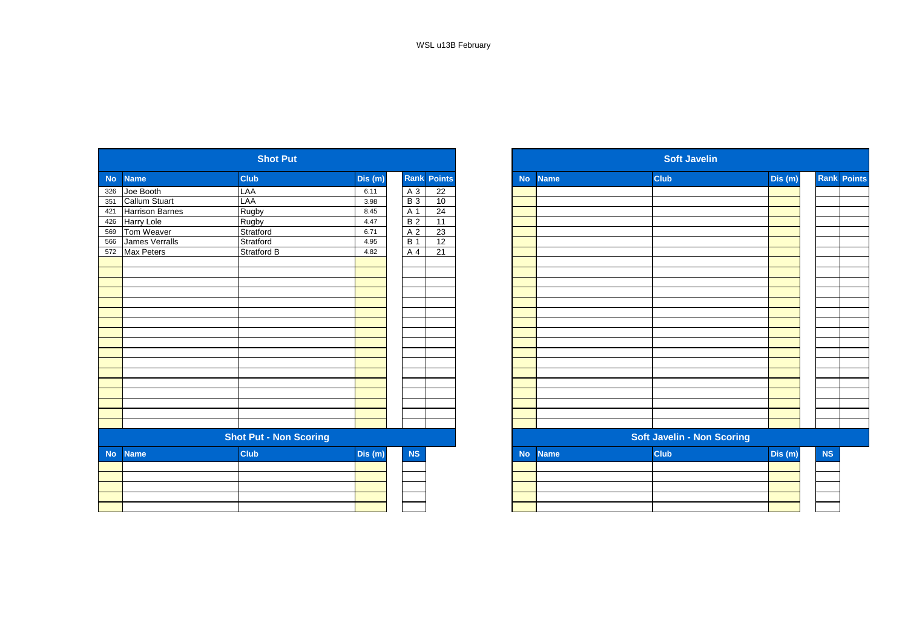| <b>No</b> | <b>Name</b>            | <b>Club</b>                   | Dis (m) |                | <b>Rank Points</b> |
|-----------|------------------------|-------------------------------|---------|----------------|--------------------|
| 326       | Joe Booth              | LAA                           | 6.11    | $A_3$          | 22                 |
| 351       | Callum Stuart          | LAA                           | 3.98    | $B_3$          | 10                 |
| 421       | <b>Harrison Barnes</b> | Rugby                         | 8.45    | A 1            | 24                 |
| 426       | Harry Lole             | Rugby                         | 4.47    | <b>B2</b>      | 11                 |
| 569       | Tom Weaver             | Stratford                     | 6.71    | A <sub>2</sub> | 23                 |
| 566       | James Verralls         | Stratford                     | 4.95    | <b>B</b> 1     | 12                 |
| 572       | Max Peters             | <b>Stratford B</b>            | 4.82    | A              | 21                 |
|           |                        |                               |         |                |                    |
|           |                        |                               |         |                |                    |
|           |                        |                               |         |                |                    |
|           |                        |                               |         |                |                    |
|           |                        |                               |         |                |                    |
|           |                        |                               |         |                |                    |
|           |                        |                               |         |                |                    |
|           |                        |                               |         |                |                    |
|           |                        |                               |         |                |                    |
|           |                        |                               |         |                |                    |
|           |                        |                               |         |                |                    |
|           |                        |                               |         |                |                    |
|           |                        |                               |         |                |                    |
|           |                        |                               |         |                |                    |
|           |                        |                               |         |                |                    |
|           |                        |                               |         |                |                    |
|           |                        |                               |         |                |                    |
|           |                        | <b>Shot Put - Non Scoring</b> |         |                |                    |
| <b>No</b> | <b>Name</b>            | Club                          | Dis (m) | NS             |                    |
|           |                        |                               |         |                |                    |
|           |                        |                               |         |                |                    |
|           |                        |                               |         |                |                    |
|           |                        |                               |         |                |                    |
|           |                        |                               |         |                |                    |
|           |                        |                               |         |                |                    |

|                   |                        | <b>Shot Put</b>               |         |                |                    |  |           | <b>Soft Javelin</b> |                                   |         |           |                    |  |  |
|-------------------|------------------------|-------------------------------|---------|----------------|--------------------|--|-----------|---------------------|-----------------------------------|---------|-----------|--------------------|--|--|
| No.               | <b>Name</b>            | <b>Club</b>                   | Dis(m)  |                | <b>Rank Points</b> |  | <b>No</b> | <b>Name</b>         | <b>Club</b>                       | Dis (m) |           | <b>Rank Points</b> |  |  |
| 326               | Joe Booth              | LAA                           | 6.11    | A 3            | 22                 |  |           |                     |                                   |         |           |                    |  |  |
| 351               | Callum Stuart          | LAA                           | 3.98    | <b>B</b> 3     | 10                 |  |           |                     |                                   |         |           |                    |  |  |
| 421               | <b>Harrison Barnes</b> | Rugby                         | 8.45    | A 1            | 24                 |  |           |                     |                                   |         |           |                    |  |  |
| 426               | Harry Lole             | Rugby                         | 4.47    | <b>B</b> 2     | 11                 |  |           |                     |                                   |         |           |                    |  |  |
|                   | Tom Weaver             | Stratford                     | 6.71    | A <sub>2</sub> | 23                 |  |           |                     |                                   |         |           |                    |  |  |
| 569<br>566<br>572 | James Verralls         | Stratford                     | 4.95    | <b>B</b> 1     | 12                 |  |           |                     |                                   |         |           |                    |  |  |
|                   | Max Peters             | Stratford B                   | 4.82    | A 4            | 21                 |  |           |                     |                                   |         |           |                    |  |  |
|                   |                        |                               |         |                |                    |  |           |                     |                                   |         |           |                    |  |  |
|                   |                        |                               |         |                |                    |  |           |                     |                                   |         |           |                    |  |  |
|                   |                        |                               |         |                |                    |  |           |                     |                                   |         |           |                    |  |  |
|                   |                        |                               |         |                |                    |  |           |                     |                                   |         |           |                    |  |  |
|                   |                        |                               |         |                |                    |  |           |                     |                                   |         |           |                    |  |  |
|                   |                        |                               |         |                |                    |  |           |                     |                                   |         |           |                    |  |  |
|                   |                        |                               |         |                |                    |  |           |                     |                                   |         |           |                    |  |  |
|                   |                        |                               |         |                |                    |  |           |                     |                                   |         |           |                    |  |  |
|                   |                        |                               |         |                |                    |  |           |                     |                                   |         |           |                    |  |  |
|                   |                        |                               |         |                |                    |  |           |                     |                                   |         |           |                    |  |  |
|                   |                        |                               |         |                |                    |  |           |                     |                                   |         |           |                    |  |  |
|                   |                        |                               |         |                |                    |  |           |                     |                                   |         |           |                    |  |  |
|                   |                        |                               |         |                |                    |  |           |                     |                                   |         |           |                    |  |  |
|                   |                        |                               |         |                |                    |  |           |                     |                                   |         |           |                    |  |  |
|                   |                        |                               |         |                |                    |  |           |                     |                                   |         |           |                    |  |  |
|                   |                        |                               |         |                |                    |  |           |                     |                                   |         |           |                    |  |  |
|                   |                        |                               |         |                |                    |  |           |                     |                                   |         |           |                    |  |  |
|                   |                        | <b>Shot Put - Non Scoring</b> |         |                |                    |  |           |                     | <b>Soft Javelin - Non Scoring</b> |         |           |                    |  |  |
| <b>No</b>         | <b>Name</b>            | <b>Club</b>                   | Dis (m) | NS             |                    |  | <b>No</b> | <b>Name</b>         | <b>Club</b>                       | Dis (m) | <b>NS</b> |                    |  |  |
|                   |                        |                               |         |                |                    |  |           |                     |                                   |         |           |                    |  |  |
|                   |                        |                               |         |                |                    |  |           |                     |                                   |         |           |                    |  |  |
|                   |                        |                               |         |                |                    |  |           |                     |                                   |         |           |                    |  |  |
|                   |                        |                               |         |                |                    |  |           |                     |                                   |         |           |                    |  |  |
|                   |                        |                               |         |                |                    |  |           |                     |                                   |         |           |                    |  |  |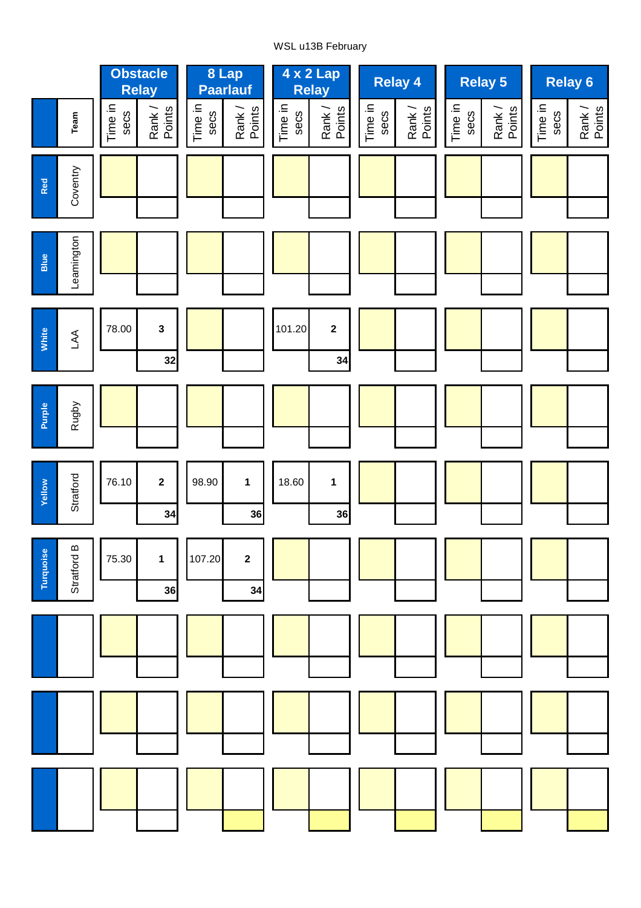# WSL u13B February

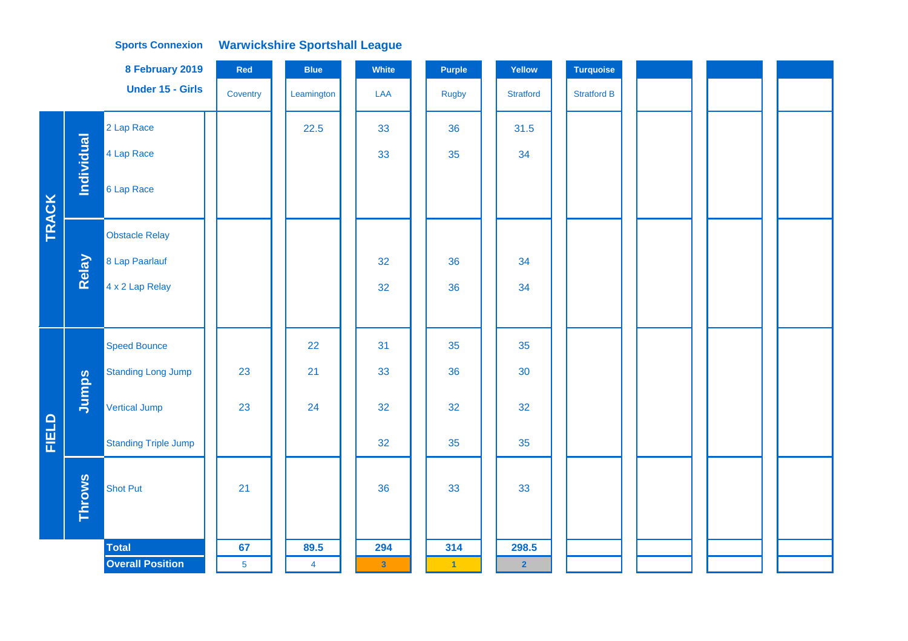|              |                   | 8 February 2019             | Red            | <b>Blue</b>    | White                   | Purple       | Yellow           | <b>Turquoise</b>   |  |  |
|--------------|-------------------|-----------------------------|----------------|----------------|-------------------------|--------------|------------------|--------------------|--|--|
|              |                   | Under 15 - Girls            | Coventry       | Leamington     | LAA                     | <b>Rugby</b> | <b>Stratford</b> | <b>Stratford B</b> |  |  |
|              |                   | 2 Lap Race                  |                | 22.5           | 33                      | 36           | 31.5             |                    |  |  |
|              | <b>Individual</b> | 4 Lap Race                  |                |                | 33                      | 35           | 34               |                    |  |  |
| <b>TRACK</b> |                   | 6 Lap Race                  |                |                |                         |              |                  |                    |  |  |
|              |                   | <b>Obstacle Relay</b>       |                |                |                         |              |                  |                    |  |  |
|              | Relay             | 8 Lap Paarlauf              |                |                | 32                      | 36           | 34               |                    |  |  |
|              |                   | 4 x 2 Lap Relay             |                |                | 32                      | 36           | 34               |                    |  |  |
|              |                   |                             |                |                |                         |              |                  |                    |  |  |
|              |                   | <b>Speed Bounce</b>         |                | 22             | 31                      | 35           | 35               |                    |  |  |
|              |                   | <b>Standing Long Jump</b>   | 23             | 21             | 33                      | 36           | 30               |                    |  |  |
|              | Jumps             | <b>Vertical Jump</b>        | 23             | 24             | 32                      | 32           | 32               |                    |  |  |
| FIELD        |                   | <b>Standing Triple Jump</b> |                |                | 32                      | 35           | 35               |                    |  |  |
|              | <b>Throws</b>     | <b>Shot Put</b>             | 21             |                | 36                      | 33           | 33               |                    |  |  |
|              |                   | <b>Total</b>                | 67             | 89.5           | 294                     | 314          | 298.5            |                    |  |  |
|              |                   | <b>Overall Position</b>     | $\overline{5}$ | $\overline{4}$ | $\overline{\mathbf{3}}$ | $\mathbf{1}$ | $\overline{2}$   |                    |  |  |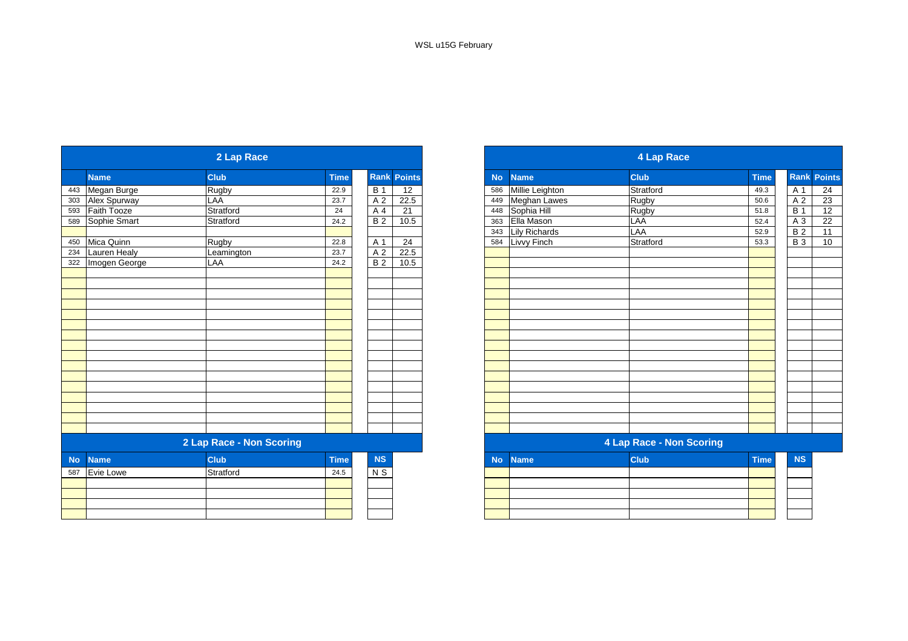|           |               | 2 Lap Race               |             |                |                    | 4 Lap Race |                     |                          |             |  |
|-----------|---------------|--------------------------|-------------|----------------|--------------------|------------|---------------------|--------------------------|-------------|--|
|           | <b>Name</b>   | <b>Club</b>              | <b>Time</b> |                | <b>Rank Points</b> | <b>No</b>  | <b>Name</b>         | <b>Club</b>              | <b>Time</b> |  |
| 443       | Megan Burge   | Rugby                    | 22.9        | <b>B</b> 1     | 12                 | 586        | Millie Leighton     | Stratford                | 49.3        |  |
| 303       | Alex Spurway  | LAA                      | 23.7        | A <sub>2</sub> | 22.5               | 449        | <b>Meghan Lawes</b> | Rugby                    | 50.6        |  |
| 593       | Faith Tooze   | Stratford                | 24          | A 4            | 21                 | 448        | Sophia Hill         | Rugby                    | 51.8        |  |
| 589       | Sophie Smart  | Stratford                | 24.2        | <b>B</b> 2     | 10.5               | 363        | Ella Mason          | <b>LAA</b>               | 52.4        |  |
|           |               |                          |             |                |                    | 343        | Lily Richards       | LAA                      | 52.9        |  |
| 450       | Mica Quinn    | <b>Rugby</b>             | 22.8        | A 1            | $\overline{24}$    | 584        | Livvy Finch         | Stratford                | 53.3        |  |
| 234       | Lauren Healy  | Leamington               | 23.7        | A <sub>2</sub> | 22.5               |            |                     |                          |             |  |
| 322       | Imogen George | LAA                      | 24.2        | <b>B2</b>      | 10.5               |            |                     |                          |             |  |
|           |               |                          |             |                |                    |            |                     |                          |             |  |
|           |               |                          |             |                |                    |            |                     |                          |             |  |
|           |               |                          |             |                |                    |            |                     |                          |             |  |
|           |               |                          |             |                |                    |            |                     |                          |             |  |
|           |               |                          |             |                |                    |            |                     |                          |             |  |
|           |               |                          |             |                |                    |            |                     |                          |             |  |
|           |               |                          |             |                |                    |            |                     |                          |             |  |
|           |               |                          |             |                |                    |            |                     |                          |             |  |
|           |               |                          |             |                |                    |            |                     |                          |             |  |
|           |               |                          |             |                |                    |            |                     |                          |             |  |
|           |               |                          |             |                |                    |            |                     |                          |             |  |
|           |               |                          |             |                |                    |            |                     |                          |             |  |
|           |               |                          |             |                |                    |            |                     |                          |             |  |
|           |               |                          |             |                |                    |            |                     |                          |             |  |
|           |               |                          |             |                |                    |            |                     |                          |             |  |
|           |               |                          |             |                |                    |            |                     |                          |             |  |
|           |               | 2 Lap Race - Non Scoring |             |                |                    |            |                     | 4 Lap Race - Non Scoring |             |  |
| <b>No</b> | <b>Name</b>   | <b>Club</b>              | <b>Time</b> | <b>NS</b>      |                    | <b>No</b>  | <b>Name</b>         | <b>Club</b>              | <b>Time</b> |  |
| 587       | Evie Lowe     | Stratford                | 24.5        | $N$ S          |                    |            |                     |                          |             |  |
|           |               |                          |             |                |                    |            |                     |                          |             |  |
|           |               |                          |             |                |                    |            |                     |                          |             |  |
|           |               |                          |             |                |                    |            |                     |                          |             |  |
|           |               |                          |             |                |                    |            |                     |                          |             |  |

|               | 2 Lap Race               |             |                |               |  |           | 4 Lap Race           |                                 |             |                 |               |
|---------------|--------------------------|-------------|----------------|---------------|--|-----------|----------------------|---------------------------------|-------------|-----------------|---------------|
| <b>Name</b>   | <b>Club</b>              | <b>Time</b> | <b>Rank</b>    | <b>Points</b> |  | <b>No</b> | <b>Name</b>          | <b>Club</b>                     | <b>Time</b> | Rank            | <b>Points</b> |
| Megan Burge   | Rugby                    | 22.9        | <b>B</b> 1     | 12            |  | 586       | Millie Leighton      | Stratford                       | 49.3        | A 1             | 24            |
| Alex Spurway  | LAA                      | 23.7        | A 2            | 22.5          |  | 449       | <b>Meghan Lawes</b>  | Rugby                           | 50.6        | A 2             | 23            |
| Faith Tooze   | Stratford                | 24          | A 4            | 21            |  | 448       | Sophia Hill          | Rugby                           | 51.8        | <b>B</b> 1      | 12            |
| Sophie Smart  | Stratford                | 24.2        | B <sub>2</sub> | 10.5          |  | 363       | Ella Mason           | LAA                             | 52.4        | A 3             | 22            |
|               |                          |             |                |               |  | 343       | <b>Lily Richards</b> | LAA                             | 52.9        | $\overline{B2}$ | 11            |
| Mica Quinn    | Rugby                    | 22.8        | A 1            | 24            |  | 584       | Livvy Finch          | Stratford                       | 53.3        | <b>B3</b>       | 10            |
| Lauren Healy  | Leamington               | 23.7        | A 2            | 22.5          |  |           |                      |                                 |             |                 |               |
| Imogen George | LAA                      | 24.2        | <b>B2</b>      | 10.5          |  |           |                      |                                 |             |                 |               |
|               |                          |             |                |               |  |           |                      |                                 |             |                 |               |
|               |                          |             |                |               |  |           |                      |                                 |             |                 |               |
|               |                          |             |                |               |  |           |                      |                                 |             |                 |               |
|               |                          |             |                |               |  |           |                      |                                 |             |                 |               |
|               |                          |             |                |               |  |           |                      |                                 |             |                 |               |
|               |                          |             |                |               |  |           |                      |                                 |             |                 |               |
|               |                          |             |                |               |  |           |                      |                                 |             |                 |               |
|               |                          |             |                |               |  |           |                      |                                 |             |                 |               |
|               |                          |             |                |               |  |           |                      |                                 |             |                 |               |
|               |                          |             |                |               |  |           |                      |                                 |             |                 |               |
|               |                          |             |                |               |  |           |                      |                                 |             |                 |               |
|               |                          |             |                |               |  |           |                      |                                 |             |                 |               |
|               |                          |             |                |               |  |           |                      |                                 |             |                 |               |
|               |                          |             |                |               |  |           |                      |                                 |             |                 |               |
|               |                          |             |                |               |  |           |                      |                                 |             |                 |               |
|               |                          |             |                |               |  |           |                      |                                 |             |                 |               |
|               | 2 Lap Race - Non Scoring |             |                |               |  |           |                      | <b>4 Lap Race - Non Scoring</b> |             |                 |               |
| <b>Name</b>   | <b>Club</b>              | <b>Time</b> | <b>NS</b>      |               |  | <b>No</b> | <b>Name</b>          | <b>Club</b>                     | <b>Time</b> | <b>NS</b>       |               |
| Evie Lowe     | Stratford                | 24.5        | N S            |               |  |           |                      |                                 |             |                 |               |
|               |                          |             |                |               |  |           |                      |                                 |             |                 |               |
|               |                          |             |                |               |  |           |                      |                                 |             |                 |               |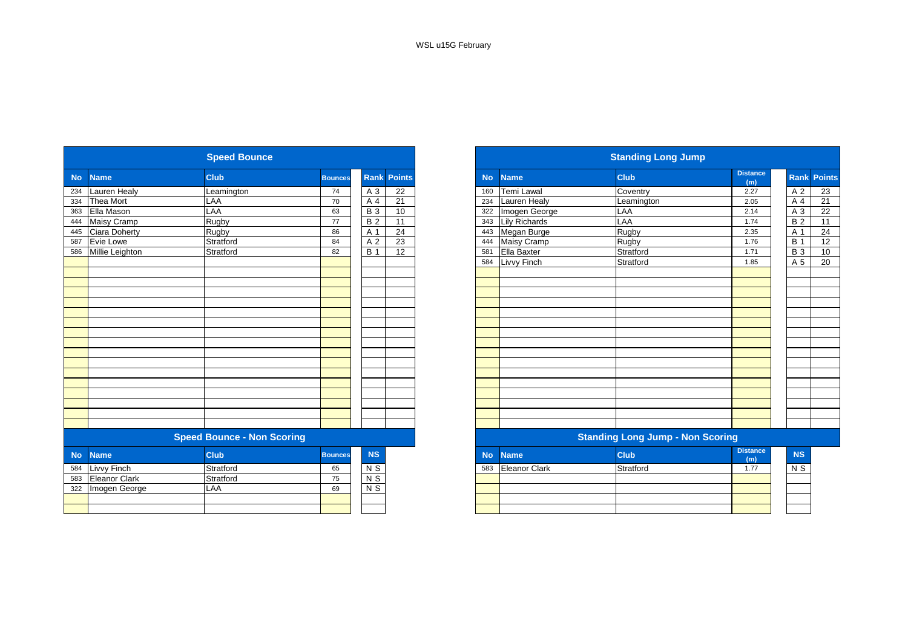|           |                      |                                   |                |                 |                    | <b>Standing Long Jump</b> |                      |                                         |                        |  |  |  |
|-----------|----------------------|-----------------------------------|----------------|-----------------|--------------------|---------------------------|----------------------|-----------------------------------------|------------------------|--|--|--|
| <b>No</b> | <b>Name</b>          | <b>Club</b>                       | <b>Bounces</b> |                 | <b>Rank Points</b> | <b>No</b>                 | <b>Name</b>          | <b>Club</b>                             | <b>Distance</b><br>(m) |  |  |  |
| 234       | Lauren Healy         | Leamington                        | 74             | A 3             | 22                 | 160                       | Temi Lawal           | Coventry                                | 2.27                   |  |  |  |
| 334       | Thea Mort            | LAA                               | 70             | A 4             | 21                 | 234                       | <b>Lauren Healy</b>  | Leamington                              | 2.05                   |  |  |  |
| 363       | Ella Mason           | LAA                               | 63             | <b>B3</b>       | 10                 | 322                       | Imogen George        | LAA                                     | 2.14                   |  |  |  |
| 444       | <b>Maisy Cramp</b>   | Rugby                             | 77             | <b>B2</b>       | 11                 | 343                       | Lily Richards        | LAA                                     | 1.74                   |  |  |  |
| 445       | <b>Ciara Doherty</b> | Rugby                             | 86             | A 1             | 24                 | 443                       | Megan Burge          | Rugby                                   | 2.35                   |  |  |  |
| 587       | <b>Evie Lowe</b>     | Stratford                         | 84             | A 2             | 23                 | 444                       | Maisy Cramp          | Rugby                                   | 1.76                   |  |  |  |
| 586       | Millie Leighton      | Stratford                         | 82             | <b>B</b> 1      | $\overline{12}$    | 581                       | Ella Baxter          | Stratford                               | 1.71                   |  |  |  |
|           |                      |                                   |                |                 |                    | 584                       | Livvy Finch          | Stratford                               | 1.85                   |  |  |  |
|           |                      |                                   |                |                 |                    |                           |                      |                                         |                        |  |  |  |
|           |                      |                                   |                |                 |                    |                           |                      |                                         |                        |  |  |  |
|           |                      |                                   |                |                 |                    |                           |                      |                                         |                        |  |  |  |
|           |                      |                                   |                |                 |                    |                           |                      |                                         |                        |  |  |  |
|           |                      |                                   |                |                 |                    |                           |                      |                                         |                        |  |  |  |
|           |                      |                                   |                |                 |                    |                           |                      |                                         |                        |  |  |  |
|           |                      |                                   |                |                 |                    |                           |                      |                                         |                        |  |  |  |
|           |                      |                                   |                |                 |                    |                           |                      |                                         |                        |  |  |  |
|           |                      |                                   |                |                 |                    |                           |                      |                                         |                        |  |  |  |
|           |                      |                                   |                |                 |                    |                           |                      |                                         |                        |  |  |  |
|           |                      |                                   |                |                 |                    |                           |                      |                                         |                        |  |  |  |
|           |                      |                                   |                |                 |                    |                           |                      |                                         |                        |  |  |  |
|           |                      |                                   |                |                 |                    |                           |                      |                                         |                        |  |  |  |
|           |                      |                                   |                |                 |                    |                           |                      |                                         |                        |  |  |  |
|           |                      |                                   |                |                 |                    |                           |                      |                                         |                        |  |  |  |
|           |                      |                                   |                |                 |                    |                           |                      |                                         |                        |  |  |  |
|           |                      | <b>Speed Bounce - Non Scoring</b> |                |                 |                    |                           |                      | <b>Standing Long Jump - Non Scoring</b> |                        |  |  |  |
| <b>No</b> | <b>Name</b>          | <b>Club</b>                       | <b>Bounces</b> | <b>NS</b>       |                    | <b>No</b>                 | <b>Name</b>          | <b>Club</b>                             | <b>Distance</b><br>(m) |  |  |  |
| 584       | Livvy Finch          | Stratford                         | 65             | N <sub>S</sub>  |                    | 583                       | <b>Eleanor Clark</b> | Stratford                               | 1.77                   |  |  |  |
| 583       | <b>Eleanor Clark</b> | Stratford                         | 75             | $\overline{NS}$ |                    |                           |                      |                                         |                        |  |  |  |
| 322       | Imogen George        | LAA                               | 69             | $\overline{NS}$ |                    |                           |                      |                                         |                        |  |  |  |
|           |                      |                                   |                |                 |                    |                           |                      |                                         |                        |  |  |  |
|           |                      |                                   |                |                 |                    |                           |                      |                                         |                        |  |  |  |
|           |                      |                                   |                |                 |                    |                           |                      |                                         |                        |  |  |  |

|           |                      | <b>Speed Bounce</b>               |                |                |                    | <b>Standing Long Jump</b> |                      |                                         |                        |            |                    |
|-----------|----------------------|-----------------------------------|----------------|----------------|--------------------|---------------------------|----------------------|-----------------------------------------|------------------------|------------|--------------------|
| <b>No</b> | <b>Name</b>          | <b>Club</b>                       | <b>Bounces</b> |                | <b>Rank Points</b> | <b>No</b>                 | <b>Name</b>          | <b>Club</b>                             | <b>Distance</b><br>(m) |            | <b>Rank Points</b> |
| 234       | <b>Lauren Healy</b>  | Leamington                        | 74             | A 3            | 22                 | 160                       | <b>Temi Lawal</b>    | Coventry                                | 2.27                   | A 2        | 23                 |
| 334       | Thea Mort            | LAA                               | 70             | A 4            | 21                 | 234                       | Lauren Healy         | Leamington                              | 2.05                   | A 4        | 21                 |
| 363       | Ella Mason           | LAA                               | 63             | <b>B3</b>      | 10                 | 322                       | Imogen George        | LAA                                     | 2.14                   | A 3        | 22                 |
| 444       | Maisy Cramp          | Rugby                             | 77             | <b>B2</b>      | 11                 | 343                       | Lily Richards        | LAA                                     | 1.74                   | <b>B2</b>  | 11                 |
| 445       | <b>Ciara Doherty</b> | Rugby                             | 86             | A 1            | 24                 | 443                       | Megan Burge          | Rugby                                   | 2.35                   | A 1        | 24                 |
| 587       | <b>Evie Lowe</b>     | Stratford                         | 84             | A <sub>2</sub> | 23                 | 444                       | Maisy Cramp          | Rugby                                   | 1.76                   | <b>B</b> 1 | 12                 |
| 586       | Millie Leighton      | Stratford                         | 82             | <b>B</b> 1     | 12                 | 581                       | Ella Baxter          | Stratford                               | 1.71                   | <b>B</b> 3 | 10                 |
|           |                      |                                   |                |                |                    | 584                       | Livvy Finch          | Stratford                               | 1.85                   | A 5        | 20                 |
|           |                      |                                   |                |                |                    |                           |                      |                                         |                        |            |                    |
|           |                      |                                   |                |                |                    |                           |                      |                                         |                        |            |                    |
|           |                      |                                   |                |                |                    |                           |                      |                                         |                        |            |                    |
|           |                      |                                   |                |                |                    |                           |                      |                                         |                        |            |                    |
|           |                      |                                   |                |                |                    |                           |                      |                                         |                        |            |                    |
|           |                      |                                   |                |                |                    |                           |                      |                                         |                        |            |                    |
|           |                      |                                   |                |                |                    |                           |                      |                                         |                        |            |                    |
|           |                      |                                   |                |                |                    |                           |                      |                                         |                        |            |                    |
|           |                      |                                   |                |                |                    |                           |                      |                                         |                        |            |                    |
|           |                      |                                   |                |                |                    |                           |                      |                                         |                        |            |                    |
|           |                      |                                   |                |                |                    |                           |                      |                                         |                        |            |                    |
|           |                      |                                   |                |                |                    |                           |                      |                                         |                        |            |                    |
|           |                      |                                   |                |                |                    |                           |                      |                                         |                        |            |                    |
|           |                      |                                   |                |                |                    |                           |                      |                                         |                        |            |                    |
|           |                      |                                   |                |                |                    |                           |                      |                                         |                        |            |                    |
|           |                      |                                   |                |                |                    |                           |                      |                                         |                        |            |                    |
|           |                      | <b>Speed Bounce - Non Scoring</b> |                |                |                    |                           |                      | <b>Standing Long Jump - Non Scoring</b> |                        |            |                    |
| <b>No</b> | <b>Name</b>          | <b>Club</b>                       | <b>Bounces</b> | <b>NS</b>      |                    | <b>No</b>                 | <b>Name</b>          | <b>Club</b>                             | <b>Distance</b><br>(m) | <b>NS</b>  |                    |
| 584       | Livvy Finch          | Stratford                         | 65             | N S            |                    | 583                       | <b>Eleanor Clark</b> | Stratford                               | 1.77                   | N S        |                    |
| 583       | <b>Eleanor Clark</b> | Stratford                         | 75             | $\overline{N}$ |                    |                           |                      |                                         |                        |            |                    |
| 322       | Imogen George        | LAA                               | 69             | $N$ S          |                    |                           |                      |                                         |                        |            |                    |
|           |                      |                                   |                |                |                    |                           |                      |                                         |                        |            |                    |
|           |                      |                                   |                |                |                    |                           |                      |                                         |                        |            |                    |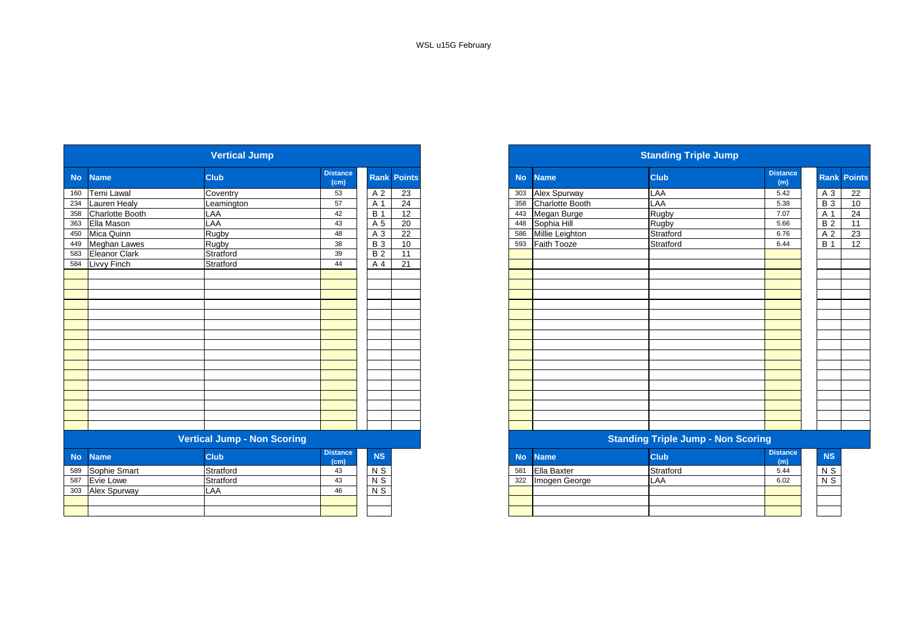|           |                     | <b>Vertical Jump</b>               |                         |                  |                    |           |                        | <b>Standing Triple Jump</b>               |                        |                  |  |
|-----------|---------------------|------------------------------------|-------------------------|------------------|--------------------|-----------|------------------------|-------------------------------------------|------------------------|------------------|--|
| <b>No</b> | <b>Name</b>         | <b>Club</b>                        | <b>Distance</b><br>(cm) |                  | <b>Rank Points</b> | <b>No</b> | <b>Name</b>            | <b>Club</b>                               | <b>Distance</b><br>(m) | Rank Po          |  |
| 160       | Temi Lawal          | Coventry                           | 53                      | A 2              | 23                 | 303       | <b>Alex Spurway</b>    | LAA                                       | 5.42                   | $A_3$            |  |
| 234       | Lauren Healy        | Leamington                         | 57                      | A 1              | $\overline{24}$    | 358       | <b>Charlotte Booth</b> | LAA                                       | 5.38                   | $B_3$            |  |
| 358       | Charlotte Booth     | LAA                                | 42                      | <b>B</b> 1       | 12                 | 443       | Megan Burge            | Rugby                                     | 7.07                   | A 1              |  |
| 363       | Ella Mason          | LAA                                | 43                      | A 5              | 20                 | 448       | Sophia Hill            | Rugby                                     | 5.66                   | B <sub>2</sub>   |  |
| 450       | Mica Quinn          | Rugby                              | 48                      | A 3              | 22                 | 586       | Millie Leighton        | Stratford                                 | 6.76                   | A <sub>2</sub>   |  |
| 449       | <b>Meghan Lawes</b> | Rugby                              | 38                      | $\overline{B}$ 3 | 10                 | 593       | Faith Tooze            | Stratford                                 | 6.44                   | $\overline{B}$ 1 |  |
| 583       | Eleanor Clark       | Stratford                          | 39                      | <b>B2</b>        | 11                 |           |                        |                                           |                        |                  |  |
| 584       | Livvy Finch         | Stratford                          | 44                      | A 4              | 21                 |           |                        |                                           |                        |                  |  |
|           |                     |                                    |                         |                  |                    |           |                        |                                           |                        |                  |  |
|           |                     |                                    |                         |                  |                    |           |                        |                                           |                        |                  |  |
|           |                     |                                    |                         |                  |                    |           |                        |                                           |                        |                  |  |
|           |                     |                                    |                         |                  |                    |           |                        |                                           |                        |                  |  |
|           |                     |                                    |                         |                  |                    |           |                        |                                           |                        |                  |  |
|           |                     |                                    |                         |                  |                    |           |                        |                                           |                        |                  |  |
|           |                     |                                    |                         |                  |                    |           |                        |                                           |                        |                  |  |
|           |                     |                                    |                         |                  |                    |           |                        |                                           |                        |                  |  |
|           |                     |                                    |                         |                  |                    |           |                        |                                           |                        |                  |  |
|           |                     |                                    |                         |                  |                    |           |                        |                                           |                        |                  |  |
|           |                     |                                    |                         |                  |                    |           |                        |                                           |                        |                  |  |
|           |                     |                                    |                         |                  |                    |           |                        |                                           |                        |                  |  |
|           |                     |                                    |                         |                  |                    |           |                        |                                           |                        |                  |  |
|           |                     |                                    |                         |                  |                    |           |                        |                                           |                        |                  |  |
|           |                     |                                    |                         |                  |                    |           |                        |                                           |                        |                  |  |
|           |                     |                                    |                         |                  |                    |           |                        |                                           |                        |                  |  |
|           |                     | <b>Vertical Jump - Non Scoring</b> |                         |                  |                    |           |                        | <b>Standing Triple Jump - Non Scoring</b> |                        |                  |  |
| <b>No</b> | <b>Name</b>         | <b>Club</b>                        | <b>Distance</b><br>(cm) | <b>NS</b>        |                    | <b>No</b> | <b>Name</b>            | <b>Club</b>                               | <b>Distance</b><br>(m) | NS               |  |
| 589       | Sophie Smart        | Stratford                          | 43                      | $N$ S            |                    | 581       | Ella Baxter            | Stratford                                 | 5.44                   | $N$ S            |  |
| 587       | Evie Lowe           | Stratford                          | 43                      | $N$ S            |                    | 322       | Imogen George          | LAA                                       | 6.02                   | $N$ S            |  |
| 303       | Alex Spurway        | LAA                                | 46                      | $N$ S            |                    |           |                        |                                           |                        |                  |  |
|           |                     |                                    |                         |                  |                    |           |                        |                                           |                        |                  |  |
|           |                     |                                    |                         |                  |                    |           |                        |                                           |                        |                  |  |

|                      | <b>Vertical Jump</b> |                         |            |                    |
|----------------------|----------------------|-------------------------|------------|--------------------|
| <b>Name</b>          | <b>Club</b>          | <b>Distance</b><br>(cm) |            | <b>Rank Points</b> |
| Temi Lawal           | Coventry             | 53                      | A 2        | 23                 |
| <b>Lauren Healy</b>  | Leamington           | 57                      | A 1        | 24                 |
| Charlotte Booth      | LAA                  | 42                      | <b>B</b> 1 | 12                 |
| Ella Mason           | LAA                  | 43                      | A 5        | 20                 |
| 450 Mica Quinn       | Rugby                | 48                      | A 3        | 22                 |
| 449 Meghan Lawes     | Rugby                | 38                      | <b>B</b> 3 | 10                 |
| <b>Eleanor Clark</b> | Stratford            | 39                      | <b>B2</b>  | 11                 |
| Livvy Finch          | Stratford            | 44                      | A 4        | 21                 |
|                      |                      |                         |            |                    |
|                      |                      |                         |            |                    |
|                      |                      |                         |            |                    |
|                      |                      |                         |            |                    |
|                      |                      |                         |            |                    |
|                      |                      |                         |            |                    |
|                      |                      |                         |            |                    |
|                      |                      |                         |            |                    |
|                      |                      |                         |            |                    |
|                      |                      |                         |            |                    |
|                      |                      |                         |            |                    |
|                      |                      |                         |            |                    |
|                      |                      |                         |            |                    |
|                      |                      |                         |            |                    |
|                      |                      |                         |            |                    |
|                      |                      |                         |            |                    |

#### **Vertical Jump - Non Scoring Standing Triple Jump - Non Scoring**

| <b>stance</b><br>(cm) | <b>NS</b> | <b>No</b> | <b>Name</b>   | <b>Club</b> | <b>Distance</b><br>(m) |  |
|-----------------------|-----------|-----------|---------------|-------------|------------------------|--|
| 43                    | N S       | 581       | Ella Baxter   | Stratford   | 5.44                   |  |
| 43                    | N S       | 322       | Imogen George | LAA         | 6.02                   |  |
| 46                    | N S       |           |               |             |                        |  |
|                       |           |           |               |             |                        |  |
|                       |           |           |               |             |                        |  |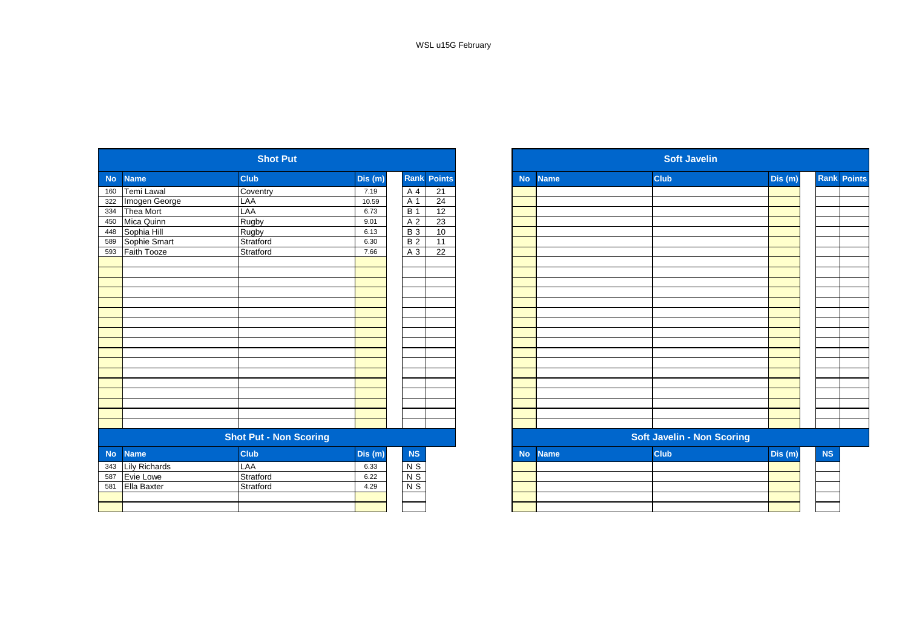|           |                      | <b>Shot Put</b>               |        |                |                    |           |             | <b>Soft Javelin</b>               |         |
|-----------|----------------------|-------------------------------|--------|----------------|--------------------|-----------|-------------|-----------------------------------|---------|
| <b>No</b> | <b>Name</b>          | <b>Club</b>                   | Dis(m) |                | <b>Rank Points</b> | <b>No</b> | <b>Name</b> | <b>Club</b>                       | Dis (m) |
| 160       | Temi Lawal           | Coventry                      | 7.19   | A 4            | 21                 |           |             |                                   |         |
| 322       | Imogen George        | LAA                           | 10.59  | A 1            | 24                 |           |             |                                   |         |
| 334       | Thea Mort            | LAA                           | 6.73   | <b>B</b> 1     | 12                 |           |             |                                   |         |
| 450       | Mica Quinn           | Rugby                         | 9.01   | A 2            | 23                 |           |             |                                   |         |
| 448       | Sophia Hill          | Rugby                         | 6.13   | <b>B3</b>      | 10                 |           |             |                                   |         |
| 589       | Sophie Smart         | Stratford                     | 6.30   | <b>B2</b>      | 11                 |           |             |                                   |         |
| 593       | Faith Tooze          | Stratford                     | 7.66   | A 3            | $\overline{22}$    |           |             |                                   |         |
|           |                      |                               |        |                |                    |           |             |                                   |         |
|           |                      |                               |        |                |                    |           |             |                                   |         |
|           |                      |                               |        |                |                    |           |             |                                   |         |
|           |                      |                               |        |                |                    |           |             |                                   |         |
|           |                      |                               |        |                |                    |           |             |                                   |         |
|           |                      |                               |        |                |                    |           |             |                                   |         |
|           |                      |                               |        |                |                    |           |             |                                   |         |
|           |                      |                               |        |                |                    |           |             |                                   |         |
|           |                      |                               |        |                |                    |           |             |                                   |         |
|           |                      |                               |        |                |                    |           |             |                                   |         |
|           |                      |                               |        |                |                    |           |             |                                   |         |
|           |                      |                               |        |                |                    |           |             |                                   |         |
|           |                      |                               |        |                |                    |           |             |                                   |         |
|           |                      |                               |        |                |                    |           |             |                                   |         |
|           |                      |                               |        |                |                    |           |             |                                   |         |
|           |                      |                               |        |                |                    |           |             |                                   |         |
|           |                      |                               |        |                |                    |           |             |                                   |         |
|           |                      | <b>Shot Put - Non Scoring</b> |        |                |                    |           |             | <b>Soft Javelin - Non Scoring</b> |         |
| <b>No</b> | <b>Name</b>          | <b>Club</b>                   | Dis(m) | NS             |                    | <b>No</b> | <b>Name</b> | <b>Club</b>                       | Dis (m) |
| 343       | <b>Lily Richards</b> | <b>LAA</b>                    | 6.33   | $N$ S          |                    |           |             |                                   |         |
| 587       | Evie Lowe            | Stratford                     | 6.22   | $N$ S          |                    |           |             |                                   |         |
| 581       | Ella Baxter          | Stratford                     | 4.29   | N <sub>S</sub> |                    |           |             |                                   |         |
|           |                      |                               |        |                |                    |           |             |                                   |         |
|           |                      |                               |        |                |                    |           |             |                                   |         |

|            |                      | <b>Shot Put</b>               |        |                 |                    |           |             | <b>Soft Javelin</b>               |         |    |                    |  |
|------------|----------------------|-------------------------------|--------|-----------------|--------------------|-----------|-------------|-----------------------------------|---------|----|--------------------|--|
| <b>No</b>  | <b>Name</b>          | <b>Club</b>                   | Dis(m) |                 | <b>Rank Points</b> | <b>No</b> | <b>Name</b> | <b>Club</b>                       | Dis (m) |    | <b>Rank Points</b> |  |
| 160        | Temi Lawal           | Coventry                      | 7.19   | A 4             | 21                 |           |             |                                   |         |    |                    |  |
| 322<br>334 | Imogen George        | LAA                           | 10.59  | A 1             | 24                 |           |             |                                   |         |    |                    |  |
|            | Thea Mort            | LAA                           | 6.73   | <b>B</b> 1      | 12                 |           |             |                                   |         |    |                    |  |
| 450        | Mica Quinn           | Rugby                         | 9.01   | A 2             | 23                 |           |             |                                   |         |    |                    |  |
| 448        | Sophia Hill          | Rugby                         | 6.13   | <b>B</b> 3      | 10                 |           |             |                                   |         |    |                    |  |
| 589        | Sophie Smart         | Stratford                     | 6.30   | B <sub>2</sub>  | 11                 |           |             |                                   |         |    |                    |  |
| 593        | Faith Tooze          | Stratford                     | 7.66   | A 3             | 22                 |           |             |                                   |         |    |                    |  |
|            |                      |                               |        |                 |                    |           |             |                                   |         |    |                    |  |
|            |                      |                               |        |                 |                    |           |             |                                   |         |    |                    |  |
|            |                      |                               |        |                 |                    |           |             |                                   |         |    |                    |  |
|            |                      |                               |        |                 |                    |           |             |                                   |         |    |                    |  |
|            |                      |                               |        |                 |                    |           |             |                                   |         |    |                    |  |
|            |                      |                               |        |                 |                    |           |             |                                   |         |    |                    |  |
|            |                      |                               |        |                 |                    |           |             |                                   |         |    |                    |  |
|            |                      |                               |        |                 |                    |           |             |                                   |         |    |                    |  |
|            |                      |                               |        |                 |                    |           |             |                                   |         |    |                    |  |
|            |                      |                               |        |                 |                    |           |             |                                   |         |    |                    |  |
|            |                      |                               |        |                 |                    |           |             |                                   |         |    |                    |  |
|            |                      |                               |        |                 |                    |           |             |                                   |         |    |                    |  |
|            |                      |                               |        |                 |                    |           |             |                                   |         |    |                    |  |
|            |                      |                               |        |                 |                    |           |             |                                   |         |    |                    |  |
|            |                      |                               |        |                 |                    |           |             |                                   |         |    |                    |  |
|            |                      |                               |        |                 |                    |           |             |                                   |         |    |                    |  |
|            |                      |                               |        |                 |                    |           |             |                                   |         |    |                    |  |
|            |                      | <b>Shot Put - Non Scoring</b> |        |                 |                    |           |             | <b>Soft Javelin - Non Scoring</b> |         |    |                    |  |
| No         | <b>Name</b>          | <b>Club</b>                   | Dis(m) | NS              |                    | <b>No</b> | <b>Name</b> | <b>Club</b>                       | Dis(m)  | NS |                    |  |
|            | <b>Lily Richards</b> | LAA                           | 6.33   |                 |                    |           |             |                                   |         |    |                    |  |
| 343<br>587 | Evie Lowe            | Stratford                     | 6.22   | $\frac{NS}{NS}$ |                    |           |             |                                   |         |    |                    |  |
| 581        | <b>Ella Baxter</b>   | Stratford                     | 4.29   | $N$ S           |                    |           |             |                                   |         |    |                    |  |
|            |                      |                               |        |                 |                    |           |             |                                   |         |    |                    |  |
|            |                      |                               |        |                 |                    |           |             |                                   |         |    |                    |  |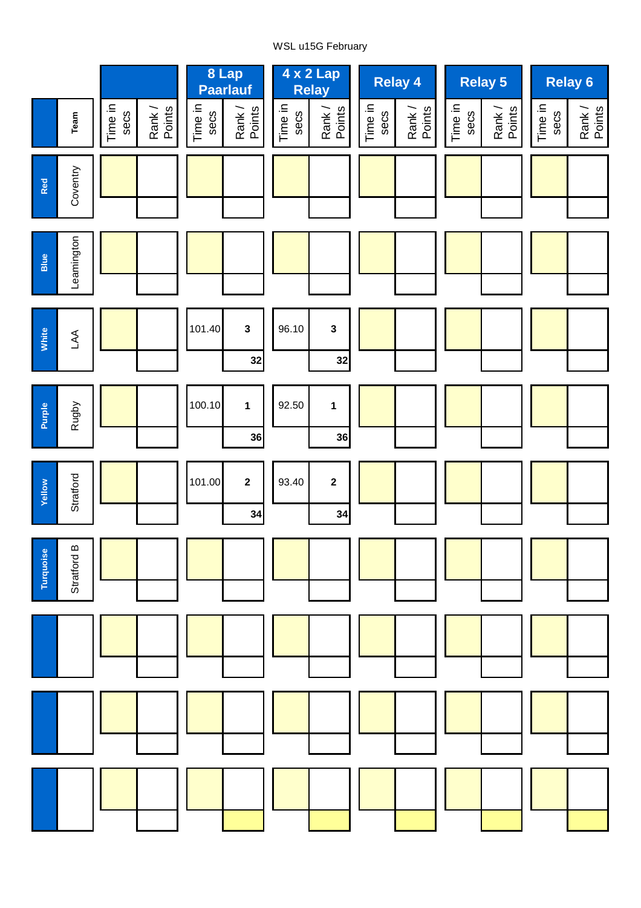# WSL u15G February

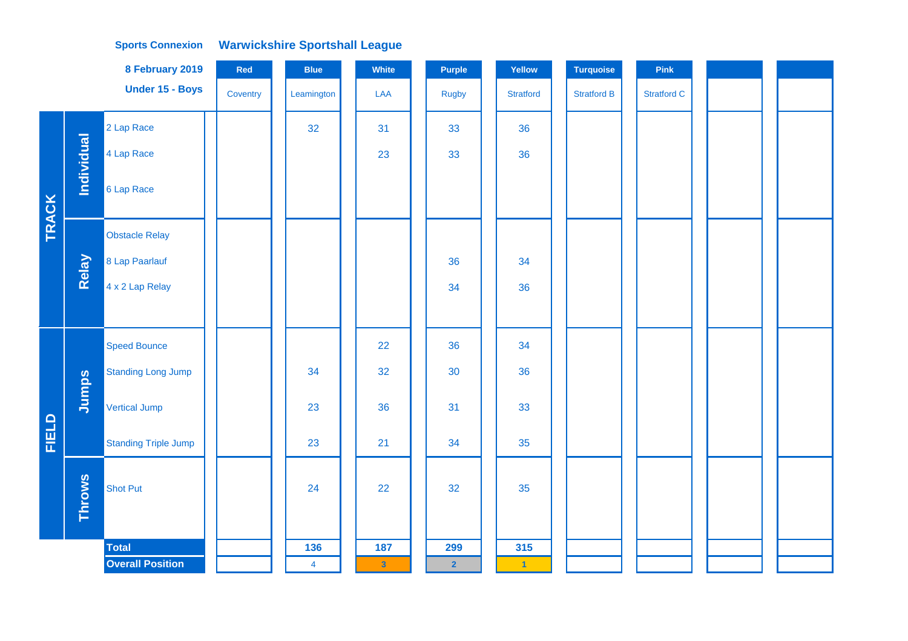## **Warwickshire Sportshall League Sports Connexion**

|              |                   | 8 February 2019             | Red      | <b>Blue</b>    | White                   | Purple         | Yellow               | <b>Turquoise</b>   | Pink               |  |
|--------------|-------------------|-----------------------------|----------|----------------|-------------------------|----------------|----------------------|--------------------|--------------------|--|
|              |                   | Under 15 - Boys             | Coventry | Leamington     | LAA                     | <b>Rugby</b>   | <b>Stratford</b>     | <b>Stratford B</b> | <b>Stratford C</b> |  |
|              |                   | 2 Lap Race                  |          | 32             | 31                      | 33             | 36                   |                    |                    |  |
|              | <b>Individual</b> | 4 Lap Race                  |          |                | 23                      | 33             | 36                   |                    |                    |  |
| <b>TRACK</b> |                   | 6 Lap Race                  |          |                |                         |                |                      |                    |                    |  |
|              |                   | <b>Obstacle Relay</b>       |          |                |                         |                |                      |                    |                    |  |
|              | Relay             | 8 Lap Paarlauf              |          |                |                         | 36             | 34                   |                    |                    |  |
|              |                   | 4 x 2 Lap Relay             |          |                |                         | 34             | 36                   |                    |                    |  |
|              |                   |                             |          |                |                         |                |                      |                    |                    |  |
|              |                   | <b>Speed Bounce</b>         |          |                | 22                      | 36             | 34                   |                    |                    |  |
|              |                   | <b>Standing Long Jump</b>   |          | 34             | 32                      | 30             | 36                   |                    |                    |  |
|              | Jumps             | Vertical Jump               |          | 23             | 36                      | 31             | 33                   |                    |                    |  |
| FIELD        |                   | <b>Standing Triple Jump</b> |          | 23             | 21                      | 34             | 35                   |                    |                    |  |
|              | <b>Throws</b>     | <b>Shot Put</b>             |          | 24             | 22                      | 32             | 35                   |                    |                    |  |
|              |                   | <b>Total</b>                |          | 136            | 187                     | 299            | 315                  |                    |                    |  |
|              |                   | <b>Overall Position</b>     |          | $\overline{4}$ | $\overline{\mathbf{3}}$ | $\overline{2}$ | $\blacktriangleleft$ |                    |                    |  |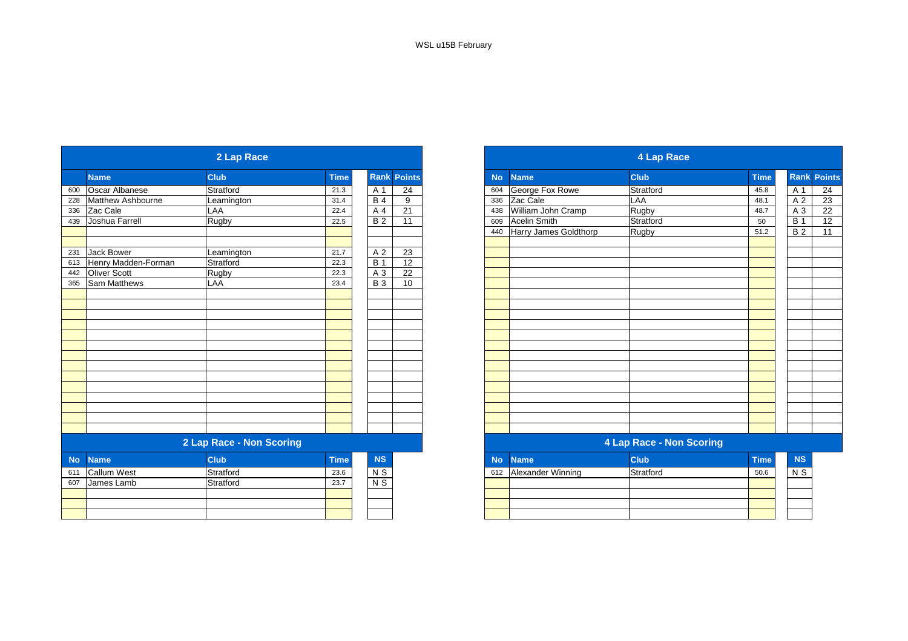|           |                       | 2 Lap Race               |             |                 |                    |
|-----------|-----------------------|--------------------------|-------------|-----------------|--------------------|
|           | <b>Name</b>           | <b>Club</b>              | <b>Time</b> |                 | <b>Rank Points</b> |
| 600       | <b>Oscar Albanese</b> | Stratford                | 21.3        | A 1             | $\overline{24}$    |
| 228       | Matthew Ashbourne     | Leamington               | 31.4        | <b>B</b> 4      | 9                  |
| 336       | Zac Cale              | LAA                      | 22.4        | A 4             | 21                 |
| 439       | Joshua Farrell        | Rugby                    | 22.5        | $\overline{B2}$ | 11                 |
|           |                       |                          |             |                 |                    |
| 231       | <b>Jack Bower</b>     | Leamington               | 21.7        | A 2             | 23                 |
| 613       | Henry Madden-Forman   | Stratford                | 22.3        | <b>B</b> 1      | 12                 |
| 442       | Oliver Scott          | Rugby                    | 22.3        | A 3             | 22                 |
| 365       | Sam Matthews          | LAA                      | 23.4        | <b>B</b> 3      | 10                 |
|           |                       |                          |             |                 |                    |
|           |                       |                          |             |                 |                    |
|           |                       |                          |             |                 |                    |
|           |                       |                          |             |                 |                    |
|           |                       |                          |             |                 |                    |
|           |                       |                          |             |                 |                    |
|           |                       |                          |             |                 |                    |
|           |                       |                          |             |                 |                    |
|           |                       |                          |             |                 |                    |
|           |                       |                          |             |                 |                    |
|           |                       |                          |             |                 |                    |
|           |                       |                          |             |                 |                    |
|           |                       |                          |             |                 |                    |
|           |                       |                          |             |                 |                    |
|           |                       | 2 Lap Race - Non Scoring |             |                 |                    |
| <b>No</b> | <b>Name</b>           | <b>Club</b>              | <b>Time</b> | NS              |                    |
| 611       | <b>Callum West</b>    | Stratford                | 23.6        | N <sub>S</sub>  |                    |
| 607       | James Lamb            | Stratford                | 23.7        | $N$ S           |                    |
|           |                       |                          |             |                 |                    |
|           |                       |                          |             |                 |                    |
|           |                       |                          |             |                 |                    |

|                     | 2 Lap Race               |             |                |                    |
|---------------------|--------------------------|-------------|----------------|--------------------|
| <b>Name</b>         | <b>Club</b>              | <b>Time</b> |                | <b>Rank Points</b> |
| Oscar Albanese      | Stratford                | 21.3        | A 1            | 24                 |
| Matthew Ashbourne   | Leamington               | 31.4        | <b>B4</b>      | 9                  |
| Zac Cale            | LAA                      | 22.4        | A 4            | 21                 |
| Joshua Farrell      | Rugby                    | 22.5        | B <sub>2</sub> | $\overline{11}$    |
|                     |                          |             |                |                    |
| Jack Bower          | Leamington               | 21.7        | A 2            | 23                 |
| Henry Madden-Forman | Stratford                | 22.3        | <b>B</b> 1     | 12                 |
| Oliver Scott        | Rugby                    | 22.3        | A 3            | 22                 |
| Sam Matthews        | LAA                      | 23.4        | <b>B</b> 3     | 10                 |
|                     |                          |             |                |                    |
|                     |                          |             |                |                    |
|                     |                          |             |                |                    |
|                     |                          |             |                |                    |
|                     |                          |             |                |                    |
|                     |                          |             |                |                    |
|                     |                          |             |                |                    |
|                     |                          |             |                |                    |
|                     |                          |             |                |                    |
|                     |                          |             |                |                    |
|                     |                          |             |                |                    |
|                     |                          |             |                |                    |
|                     |                          |             |                |                    |
|                     |                          |             |                |                    |
|                     | 2 Lap Race - Non Scoring |             |                |                    |
| <b>Nilainna</b>     | O(1.16)                  | <b>Time</b> | <b>AIC</b>     |                    |

| <b>NS</b>  |     | No Name           | <b>Club</b> | <b>Time</b> | <b>NS</b> |
|------------|-----|-------------------|-------------|-------------|-----------|
| $\sqrt{S}$ | 612 | Alexander Winning | Stratford   | 50.6        | N S       |
| V S        |     |                   |             |             |           |
|            |     |                   |             |             |           |
|            |     |                   |             |             |           |
|            |     |                   |             |             |           |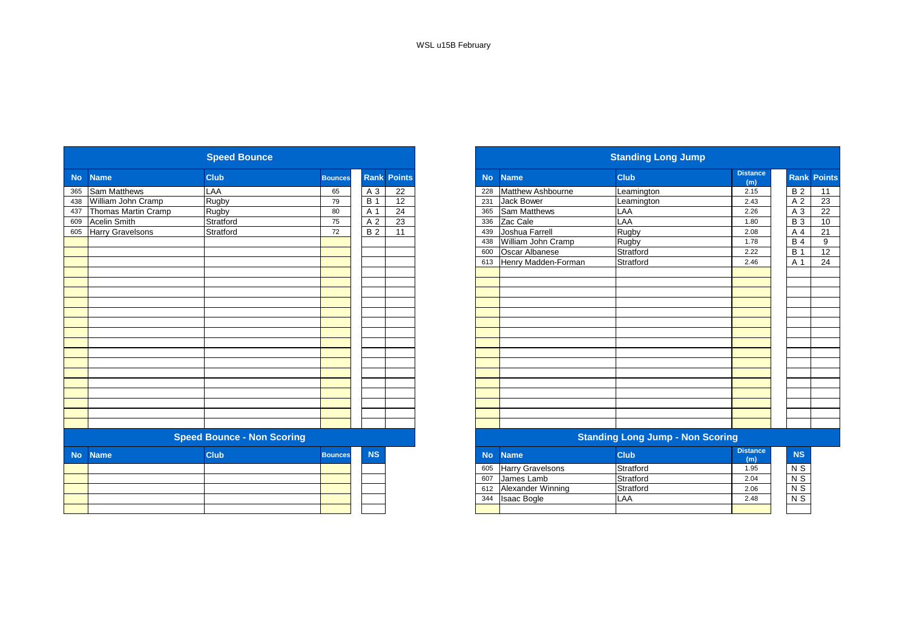|           |                         | <b>Speed Bounce</b>               |                |                |                    |           |                          | <b>Standing Long Jump</b>               |                        |
|-----------|-------------------------|-----------------------------------|----------------|----------------|--------------------|-----------|--------------------------|-----------------------------------------|------------------------|
| <b>No</b> | <b>Name</b>             | <b>Club</b>                       | <b>Bounces</b> |                | <b>Rank Points</b> | <b>No</b> | <b>Name</b>              | <b>Club</b>                             | <b>Distance</b><br>(m) |
| 365       | <b>Sam Matthews</b>     | LAA                               | 65             | A 3            | 22                 | 228       | <b>Matthew Ashbourne</b> | Leamington                              | 2.15                   |
| 438       | William John Cramp      | Rugby                             | 79             | <b>B</b> 1     | 12                 | 231       | Jack Bower               | Leamington                              | 2.43                   |
| 437       | Thomas Martin Cramp     | Rugby                             | 80             | A 1            | 24                 | 365       | <b>Sam Matthews</b>      | LAA                                     | 2.26                   |
| 609       | <b>Acelin Smith</b>     | Stratford                         | 75             | A <sub>2</sub> | 23                 | 336       | Zac Cale                 | LAA                                     | 1.80                   |
| 605       | <b>Harry Gravelsons</b> | Stratford                         | 72             | <b>B2</b>      | 11                 | 439       | Joshua Farrell           | Rugby                                   | 2.08                   |
|           |                         |                                   |                |                |                    | 438       | William John Cramp       | Rugby                                   | 1.78                   |
|           |                         |                                   |                |                |                    | 600       | Oscar Albanese           | Stratford                               | 2.22                   |
|           |                         |                                   |                |                |                    |           | 613 Henry Madden-Forman  | Stratford                               | 2.46                   |
|           |                         |                                   |                |                |                    |           |                          |                                         |                        |
|           |                         |                                   |                |                |                    |           |                          |                                         |                        |
|           |                         |                                   |                |                |                    |           |                          |                                         |                        |
|           |                         |                                   |                |                |                    |           |                          |                                         |                        |
|           |                         |                                   |                |                |                    |           |                          |                                         |                        |
|           |                         |                                   |                |                |                    |           |                          |                                         |                        |
|           |                         |                                   |                |                |                    |           |                          |                                         |                        |
|           |                         |                                   |                |                |                    |           |                          |                                         |                        |
|           |                         |                                   |                |                |                    |           |                          |                                         |                        |
|           |                         |                                   |                |                |                    |           |                          |                                         |                        |
|           |                         |                                   |                |                |                    |           |                          |                                         |                        |
|           |                         |                                   |                |                |                    |           |                          |                                         |                        |
|           |                         |                                   |                |                |                    |           |                          |                                         |                        |
|           |                         |                                   |                |                |                    |           |                          |                                         |                        |
|           |                         |                                   |                |                |                    |           |                          |                                         |                        |
|           |                         |                                   |                |                |                    |           |                          |                                         |                        |
|           |                         | <b>Speed Bounce - Non Scoring</b> |                |                |                    |           |                          | <b>Standing Long Jump - Non Scoring</b> |                        |
| <b>No</b> | <b>Name</b>             | <b>Club</b>                       | <b>Bounces</b> | <b>NS</b>      |                    | <b>No</b> | <b>Name</b>              | <b>Club</b>                             | <b>Distance</b><br>(m) |
|           |                         |                                   |                |                |                    | 605       | <b>Harry Gravelsons</b>  | Stratford                               | 1.95                   |
|           |                         |                                   |                |                |                    | 607       | James Lamb               | Stratford                               | 2.04                   |
|           |                         |                                   |                |                |                    | 612       | <b>Alexander Winning</b> | Stratford                               | 2.06                   |
|           |                         |                                   |                |                |                    | 344       | <b>Isaac Bogle</b>       | LAA                                     | 2.48                   |
|           |                         |                                   |                |                |                    |           |                          |                                         |                        |
|           |                         |                                   |                |                |                    |           |                          |                                         |                        |

| <b>Speed Bounce</b><br><b>Standing Long Jump</b>                                                |                        |
|-------------------------------------------------------------------------------------------------|------------------------|
| <b>Club</b><br><b>Rank Points</b><br><b>Club</b><br><b>No</b><br><b>Name</b><br><b>Bounces</b>  | <b>Distance</b><br>(m) |
| LAA<br>Matthew Ashbourne<br>A 3<br>22<br>65<br>228<br>Leamington                                | 2.15                   |
| 12<br>William John Cramp<br>Rugby<br>79<br><b>B</b> 1<br><b>Jack Bower</b><br>231<br>Leamington | 2.43                   |
| Thomas Martin Cramp<br>24<br><b>Sam Matthews</b><br>A 1<br>LAA<br>Rugby<br>80<br>365            | 2.26                   |
| LAA<br>Stratford<br>23<br>Zac Cale<br>A 2<br>75<br>336                                          | 1.80                   |
| <b>Harry Gravelsons</b><br>Joshua Farrell<br>Rugby<br>Stratford<br><b>B2</b><br>11<br>72<br>439 | 2.08                   |
| William John Cramp<br>Rugby<br>438                                                              | 1.78                   |
| <b>Oscar Albanese</b><br>Stratford<br>600                                                       | 2.22                   |
| Henry Madden-Forman<br>Stratford<br>613                                                         | 2.46                   |
|                                                                                                 |                        |
|                                                                                                 |                        |
|                                                                                                 |                        |
|                                                                                                 |                        |
|                                                                                                 |                        |
|                                                                                                 |                        |
|                                                                                                 |                        |
|                                                                                                 |                        |
|                                                                                                 |                        |
|                                                                                                 |                        |
|                                                                                                 |                        |
|                                                                                                 |                        |
|                                                                                                 |                        |
|                                                                                                 |                        |
|                                                                                                 |                        |
|                                                                                                 |                        |
| <b>Speed Bounce - Non Scoring</b><br><b>Standing Long Jump - Non Scoring</b>                    |                        |
| <b>NS</b><br><b>Club</b><br><b>Club</b><br><b>Name</b><br><b>Bounces</b><br><b>No</b>           | <b>Distance</b><br>(m) |
| <b>Harry Gravelsons</b><br>Stratford<br>605                                                     | 1.95                   |
| Stratford<br>James Lamb<br>607                                                                  | 2.04                   |
| Alexander Winning<br>Stratford<br>612                                                           | 2.06                   |
| <b>Isaac Bogle</b><br>LAA<br>344                                                                | 2.48                   |
|                                                                                                 |                        |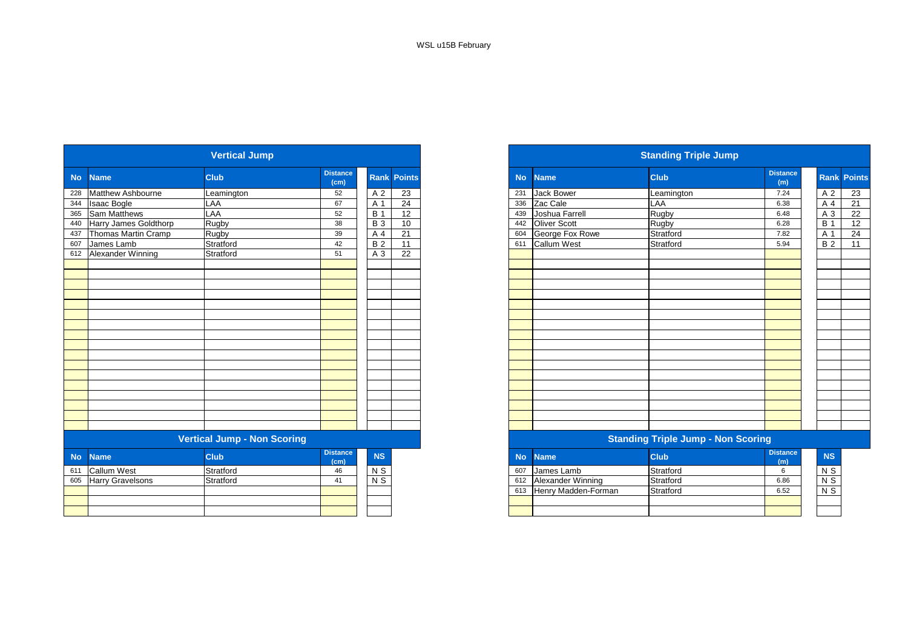|           |                          | <b>Vertical Jump</b>               |                         |                 |                 |
|-----------|--------------------------|------------------------------------|-------------------------|-----------------|-----------------|
| <b>No</b> | <b>Name</b>              | <b>Club</b>                        | <b>Distance</b><br>(cm) | <b>Rank</b>     | <b>Points</b>   |
| 228       | <b>Matthew Ashbourne</b> | Leamington                         | 52                      | A 2             | $\overline{23}$ |
| 344       | <b>Isaac Bogle</b>       | LAA                                | 67                      | A 1             | 24              |
| 365       | Sam Matthews             | LAA                                | 52                      | <b>B</b> 1      | 12              |
| 440       | Harry James Goldthorp    | Rugby                              | 38                      | <b>B</b> 3      | 10              |
| 437       | Thomas Martin Cramp      | <b>Rugby</b>                       | 39                      | A 4             | 21              |
| 607       | James Lamb               | Stratford                          | 42                      | $\overline{B2}$ | 11              |
| 612       | Alexander Winning        | Stratford                          | 51                      | A 3             | 22              |
|           |                          |                                    |                         |                 |                 |
|           |                          |                                    |                         |                 |                 |
|           |                          |                                    |                         |                 |                 |
|           |                          |                                    |                         |                 |                 |
|           |                          |                                    |                         |                 |                 |
|           |                          |                                    |                         |                 |                 |
|           |                          |                                    |                         |                 |                 |
|           |                          |                                    |                         |                 |                 |
|           |                          |                                    |                         |                 |                 |
|           |                          |                                    |                         |                 |                 |
|           |                          |                                    |                         |                 |                 |
|           |                          |                                    |                         |                 |                 |
|           |                          |                                    |                         |                 |                 |
|           |                          |                                    |                         |                 |                 |
|           |                          |                                    |                         |                 |                 |
|           |                          |                                    |                         |                 |                 |
|           |                          |                                    |                         |                 |                 |
|           |                          | <b>Vertical Jump - Non Scoring</b> |                         |                 |                 |
| <b>No</b> | <b>Name</b>              | <b>Club</b>                        | <b>Distance</b><br>(cm) | NS              |                 |
| 611       | <b>Callum West</b>       | Stratford                          | 46                      | $N$ S           |                 |
| 605       | <b>Harry Gravelsons</b>  | Stratford                          | 41                      | $N$ S           |                 |
|           |                          |                                    |                         |                 |                 |
|           |                          |                                    |                         |                 |                 |
|           |                          |                                    |                         |                 |                 |

|                           | <b>Vertical Jump</b> |                         |            |                    |
|---------------------------|----------------------|-------------------------|------------|--------------------|
| No Name                   | <b>Club</b>          | <b>Distance</b><br>(cm) |            | <b>Rank Points</b> |
| 228 Matthew Ashbourne     | Leamington           | 52                      | A 2        | 23                 |
| 344 Isaac Bogle           | LAA                  | 67                      | A 1        | 24                 |
| 365 Sam Matthews          | LAA                  | 52                      | <b>B</b> 1 | 12                 |
| 440 Harry James Goldthorp | Rugby                | 38                      | <b>B</b> 3 | 10                 |
| 437 Thomas Martin Cramp   | Rugby                | 39                      | A 4        | 21                 |
| 607 James Lamb            | Stratford            | 42                      | <b>B2</b>  | 11                 |
| 612 Alexander Winning     | Stratford            | 51                      | A 3        | 22                 |
|                           |                      |                         |            |                    |
|                           |                      |                         |            |                    |
|                           |                      |                         |            |                    |
|                           |                      |                         |            |                    |
|                           |                      |                         |            |                    |
|                           |                      |                         |            |                    |
|                           |                      |                         |            |                    |
|                           |                      |                         |            |                    |
|                           |                      |                         |            |                    |
|                           |                      |                         |            |                    |
|                           |                      |                         |            |                    |
|                           |                      |                         |            |                    |
|                           |                      |                         |            |                    |
|                           |                      |                         |            |                    |
|                           |                      |                         |            |                    |
|                           |                      |                         |            |                    |
|                           |                      |                         |            |                    |

#### **Vertical Jump - Non Scoring Standing Triple Jump - Non Scoring**

| <b>stance</b><br>(cm) | <b>NS</b>      | <b>No</b> | <b>Name</b>         | <b>Club</b> | <b>Distance</b><br>(m) | <b>NS</b>      |
|-----------------------|----------------|-----------|---------------------|-------------|------------------------|----------------|
| 46                    | N S            | 607       | IJames Lamb         | Stratford   |                        | N S            |
| 41                    | N <sub>S</sub> | 612       | Alexander Winning   | Stratford   | 6.86                   | N <sub>S</sub> |
|                       |                | 613       | Henry Madden-Forman | Stratford   | 6.52                   | N <sub>S</sub> |
|                       |                |           |                     |             |                        |                |
|                       |                |           |                     |             |                        |                |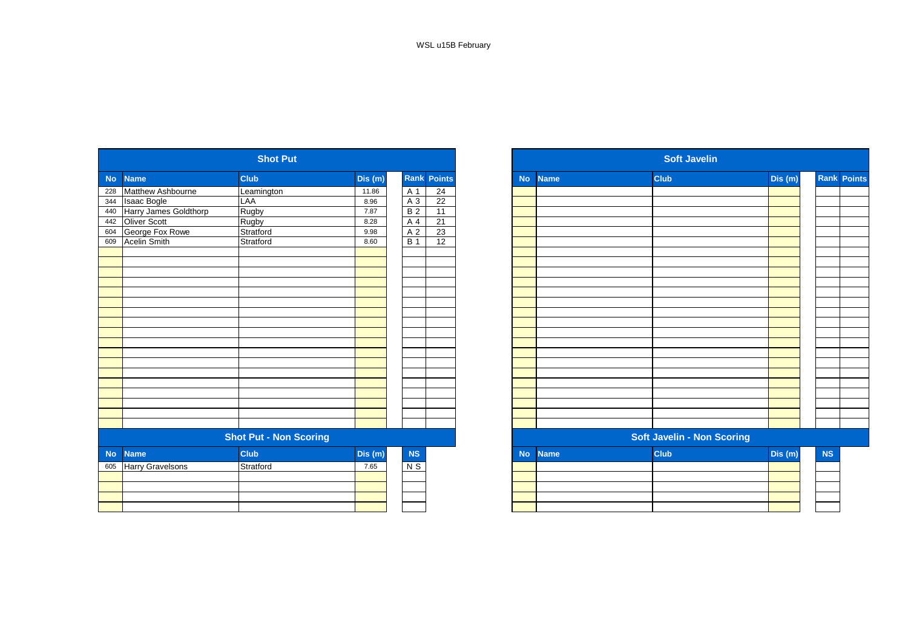|           |                         | <b>Shot Put</b>               |         |                |                    |           |             | <b>Soft Javelin</b>               |         |
|-----------|-------------------------|-------------------------------|---------|----------------|--------------------|-----------|-------------|-----------------------------------|---------|
| <b>No</b> | <b>Name</b>             | <b>Club</b>                   | Dis(m)  |                | <b>Rank Points</b> | <b>No</b> | <b>Name</b> | <b>Club</b>                       | Dis (m) |
| 228       | Matthew Ashbourne       | Leamington                    | 11.86   | A 1            | $\overline{24}$    |           |             |                                   |         |
| 344       | <b>Isaac Bogle</b>      | LAA                           | 8.96    | A 3            | 22                 |           |             |                                   |         |
| 440       | Harry James Goldthorp   | Rugby                         | 7.87    | B <sub>2</sub> | 11                 |           |             |                                   |         |
| 442       | <b>Oliver Scott</b>     | Rugby                         | 8.28    | A 4            | 21                 |           |             |                                   |         |
| 604       | George Fox Rowe         | Stratford                     | 9.98    | A 2            | 23                 |           |             |                                   |         |
| 609       | <b>Acelin Smith</b>     | Stratford                     | 8.60    | <b>B</b> 1     | 12                 |           |             |                                   |         |
|           |                         |                               |         |                |                    |           |             |                                   |         |
|           |                         |                               |         |                |                    |           |             |                                   |         |
|           |                         |                               |         |                |                    |           |             |                                   |         |
|           |                         |                               |         |                |                    |           |             |                                   |         |
|           |                         |                               |         |                |                    |           |             |                                   |         |
|           |                         |                               |         |                |                    |           |             |                                   |         |
|           |                         |                               |         |                |                    |           |             |                                   |         |
|           |                         |                               |         |                |                    |           |             |                                   |         |
|           |                         |                               |         |                |                    |           |             |                                   |         |
|           |                         |                               |         |                |                    |           |             |                                   |         |
|           |                         |                               |         |                |                    |           |             |                                   |         |
|           |                         |                               |         |                |                    |           |             |                                   |         |
|           |                         |                               |         |                |                    |           |             |                                   |         |
|           |                         |                               |         |                |                    |           |             |                                   |         |
|           |                         |                               |         |                |                    |           |             |                                   |         |
|           |                         |                               |         |                |                    |           |             |                                   |         |
|           |                         |                               |         |                |                    |           |             |                                   |         |
|           |                         |                               |         |                |                    |           |             |                                   |         |
|           |                         | <b>Shot Put - Non Scoring</b> |         |                |                    |           |             | <b>Soft Javelin - Non Scoring</b> |         |
| <b>No</b> | <b>Name</b>             | <b>Club</b>                   | Dis (m) | NS             |                    | <b>No</b> | <b>Name</b> | <b>Club</b>                       | Dis (m) |
| 605       | <b>Harry Gravelsons</b> | Stratford                     | 7.65    | $N$ S          |                    |           |             |                                   |         |
|           |                         |                               |         |                |                    |           |             |                                   |         |
|           |                         |                               |         |                |                    |           |             |                                   |         |
|           |                         |                               |         |                |                    |           |             |                                   |         |
|           |                         |                               |         |                |                    |           |             |                                   |         |

|            |                         | <b>Shot Put</b>               |         |            |                    |
|------------|-------------------------|-------------------------------|---------|------------|--------------------|
| No         | <b>Name</b>             | Club                          | Dis (m) |            | <b>Rank Points</b> |
| 228<br>344 | Matthew Ashbourne       | Leamington                    | 11.86   | A 1        | 24                 |
|            | <b>Isaac Bogle</b>      | LAA                           | 8.96    | A 3        | 22                 |
| 440        | Harry James Goldthorp   | Rugby                         | 7.87    | <b>B2</b>  | 11                 |
| 442        | Oliver Scott            | Rugby                         | 8.28    | A 4        | 21                 |
| 604        | George Fox Rowe         | Stratford                     | 9.98    | A 2        | 23                 |
| 609        | <b>Acelin Smith</b>     | Stratford                     | 8.60    | <b>B</b> 1 | 12                 |
|            |                         |                               |         |            |                    |
|            |                         |                               |         |            |                    |
|            |                         |                               |         |            |                    |
|            |                         |                               |         |            |                    |
|            |                         |                               |         |            |                    |
|            |                         |                               |         |            |                    |
|            |                         |                               |         |            |                    |
|            |                         |                               |         |            |                    |
|            |                         |                               |         |            |                    |
|            |                         |                               |         |            |                    |
|            |                         |                               |         |            |                    |
|            |                         |                               |         |            |                    |
|            |                         |                               |         |            |                    |
|            |                         |                               |         |            |                    |
|            |                         |                               |         |            |                    |
|            |                         |                               |         |            |                    |
|            |                         |                               |         |            |                    |
|            |                         |                               |         |            |                    |
|            |                         | <b>Shot Put - Non Scoring</b> |         |            |                    |
| No         | <b>Name</b>             | Club                          | Dis (m) | NS         |                    |
| 605        | <b>Harry Gravelsons</b> | Stratford                     | 7.65    | $N$ S      |                    |
|            |                         |                               |         |            |                    |
|            |                         |                               |         |            |                    |
|            |                         |                               |         |            |                    |
|            |                         |                               |         |            |                    |